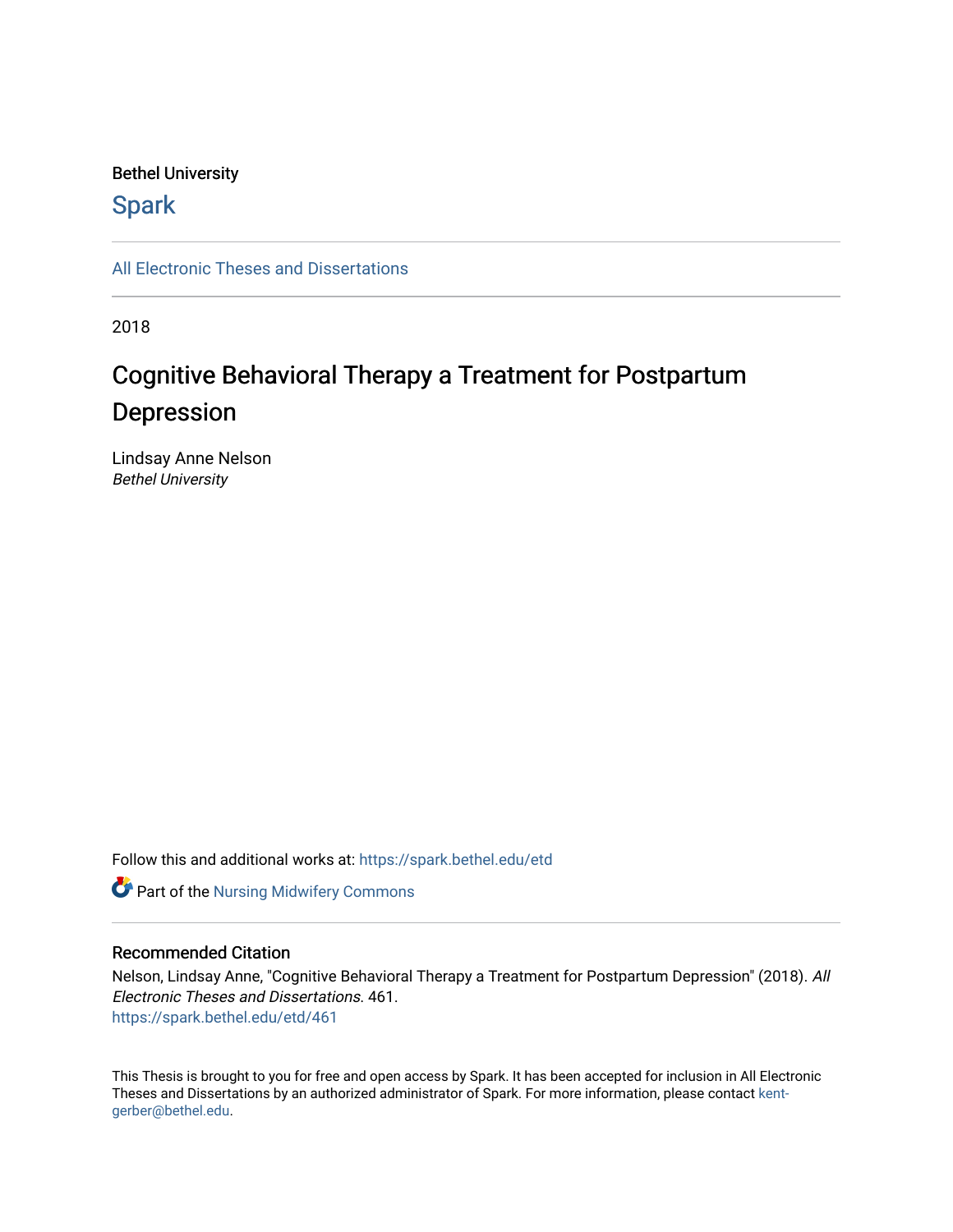# Bethel University

# **Spark**

[All Electronic Theses and Dissertations](https://spark.bethel.edu/etd) 

2018

# Cognitive Behavioral Therapy a Treatment for Postpartum Depression

Lindsay Anne Nelson Bethel University

Follow this and additional works at: [https://spark.bethel.edu/etd](https://spark.bethel.edu/etd?utm_source=spark.bethel.edu%2Fetd%2F461&utm_medium=PDF&utm_campaign=PDFCoverPages)



# Recommended Citation

Nelson, Lindsay Anne, "Cognitive Behavioral Therapy a Treatment for Postpartum Depression" (2018). All Electronic Theses and Dissertations. 461. [https://spark.bethel.edu/etd/461](https://spark.bethel.edu/etd/461?utm_source=spark.bethel.edu%2Fetd%2F461&utm_medium=PDF&utm_campaign=PDFCoverPages)

This Thesis is brought to you for free and open access by Spark. It has been accepted for inclusion in All Electronic Theses and Dissertations by an authorized administrator of Spark. For more information, please contact [kent](mailto:kent-gerber@bethel.edu)[gerber@bethel.edu.](mailto:kent-gerber@bethel.edu)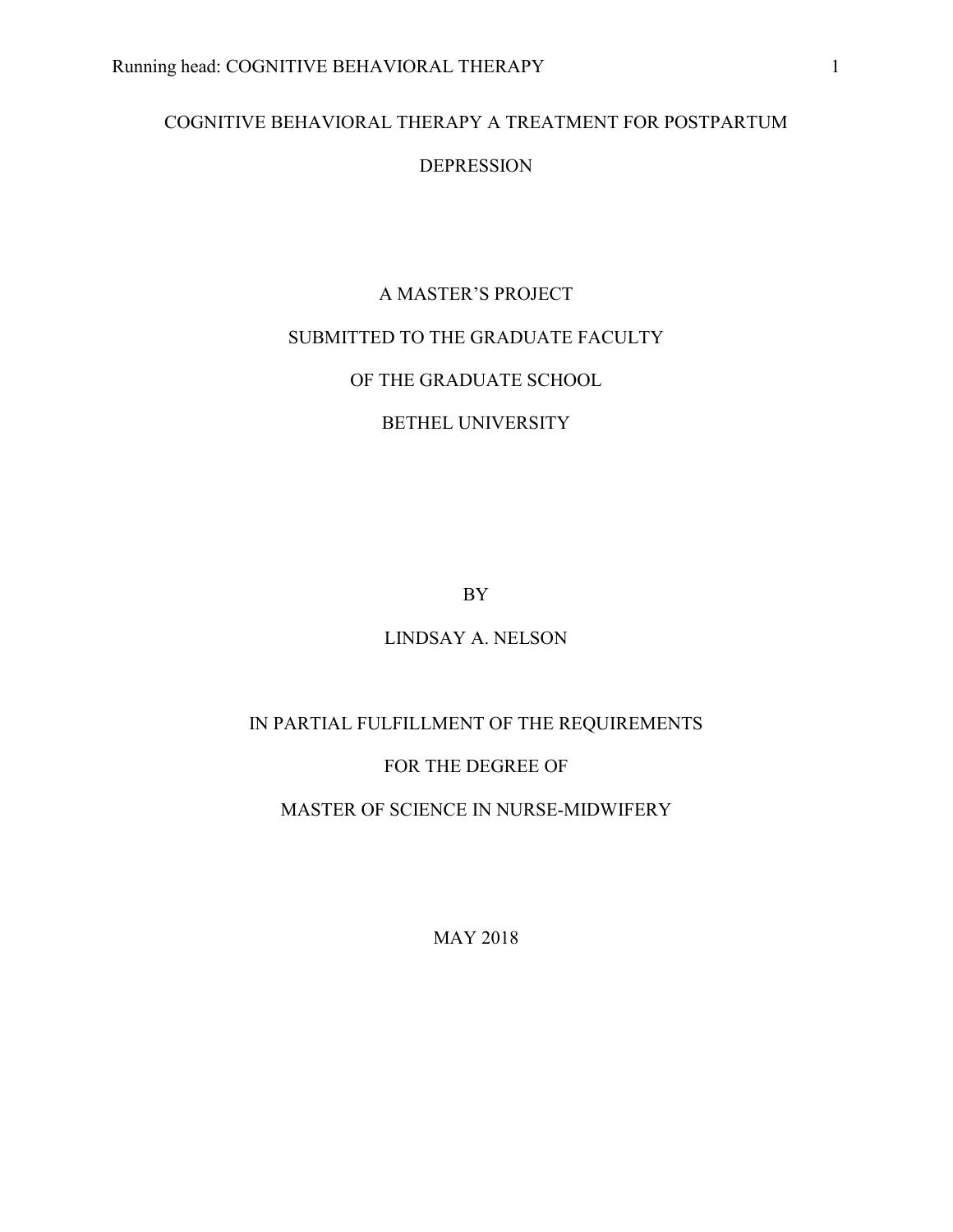# COGNITIVE BEHAVIORAL THERAPY A TREATMENT FOR POSTPARTUM

# DEPRESSION

# A MASTER'S PROJECT

# SUBMITTED TO THE GRADUATE FACULTY

# OF THE GRADUATE SCHOOL

# BETHEL UNIVERSITY

BY

# LINDSAY A. NELSON

# IN PARTIAL FULFILLMENT OF THE REQUIREMENTS

# FOR THE DEGREE OF

# MASTER OF SCIENCE IN NURSE-MIDWIFERY

MAY 2018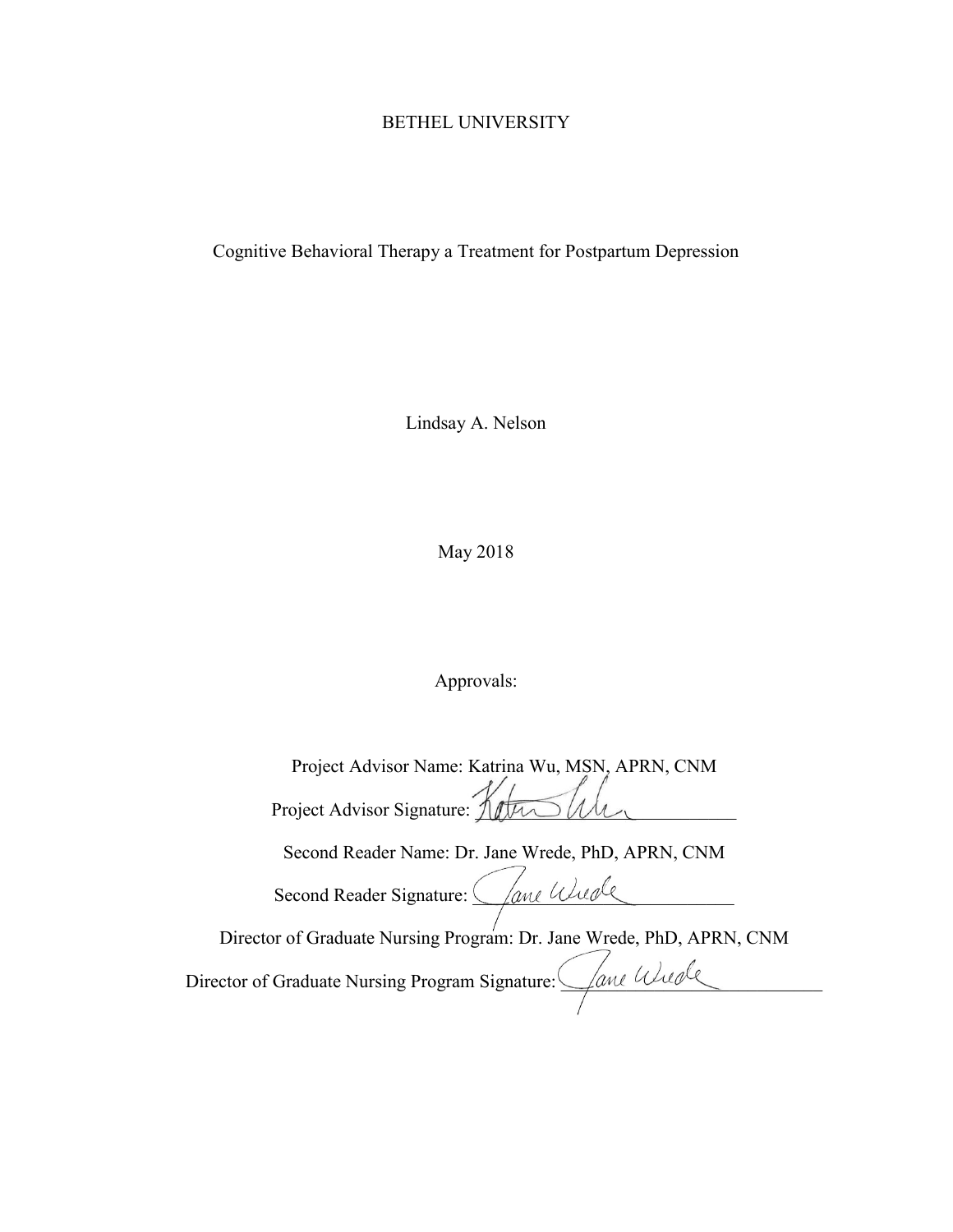# BETHEL UNIVERSITY

Cognitive Behavioral Therapy a Treatment for Postpartum Depression

Lindsay A. Nelson

May 2018

Approvals:

| Project Advisor Name: Katrina Wu, MSN, APRN, CNM                     |
|----------------------------------------------------------------------|
| Project Advisor Signature: 1                                         |
| Second Reader Name: Dr. Jane Wrede, PhD, APRN, CNM                   |
| Lane Wienle<br>Second Reader Signature:                              |
| Director of Graduate Nursing Program: Dr. Jane Wrede, PhD, APRN, CNM |
| Jane Wiede<br>Director of Graduate Nursing Program Signature:        |
|                                                                      |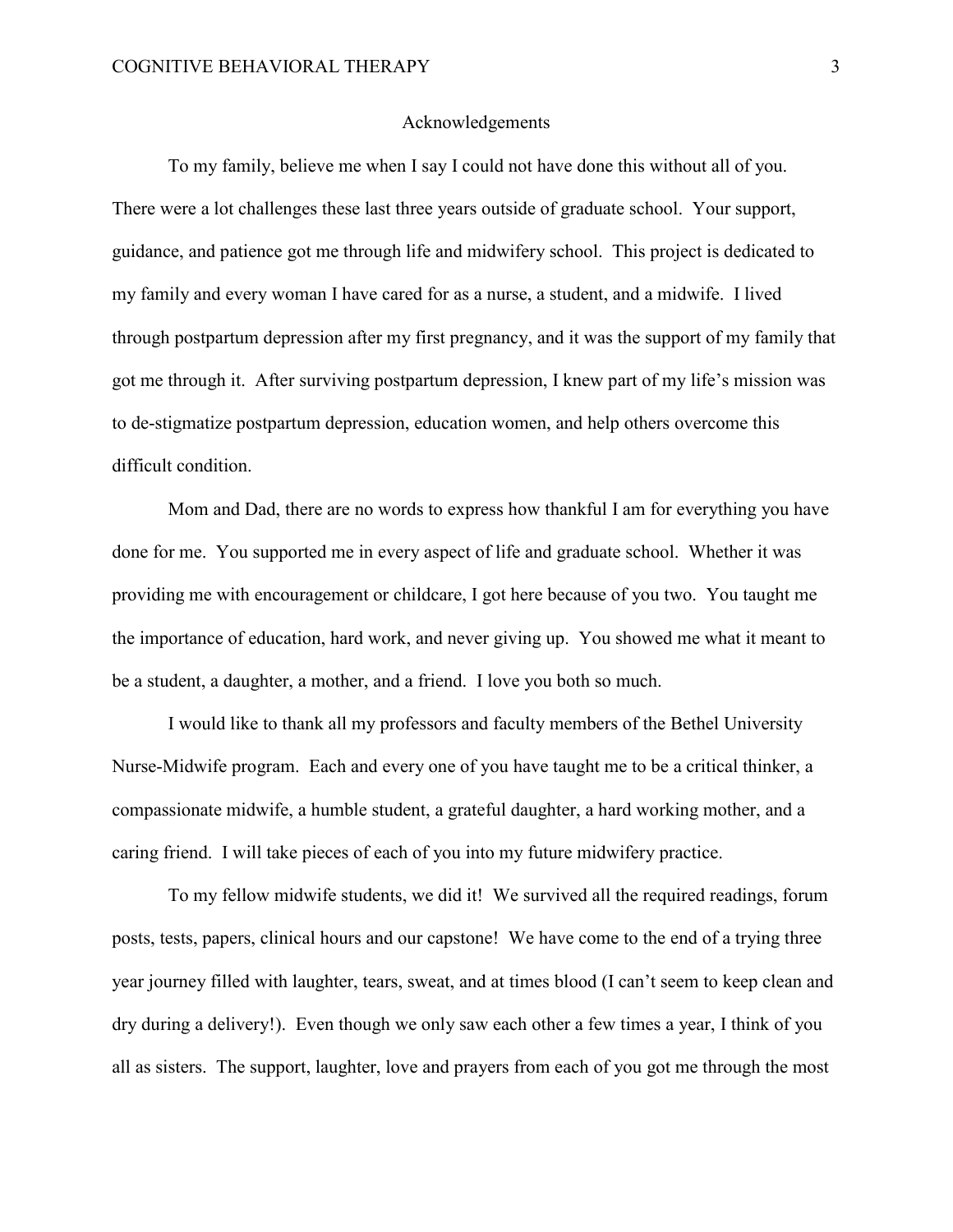#### Acknowledgements

To my family, believe me when I say I could not have done this without all of you. There were a lot challenges these last three years outside of graduate school. Your support, guidance, and patience got me through life and midwifery school. This project is dedicated to my family and every woman I have cared for as a nurse, a student, and a midwife. I lived through postpartum depression after my first pregnancy, and it was the support of my family that got me through it. After surviving postpartum depression, I knew part of my life's mission was to de-stigmatize postpartum depression, education women, and help others overcome this difficult condition.

Mom and Dad, there are no words to express how thankful I am for everything you have done for me. You supported me in every aspect of life and graduate school. Whether it was providing me with encouragement or childcare, I got here because of you two. You taught me the importance of education, hard work, and never giving up. You showed me what it meant to be a student, a daughter, a mother, and a friend. I love you both so much.

I would like to thank all my professors and faculty members of the Bethel University Nurse-Midwife program. Each and every one of you have taught me to be a critical thinker, a compassionate midwife, a humble student, a grateful daughter, a hard working mother, and a caring friend. I will take pieces of each of you into my future midwifery practice.

To my fellow midwife students, we did it! We survived all the required readings, forum posts, tests, papers, clinical hours and our capstone! We have come to the end of a trying three year journey filled with laughter, tears, sweat, and at times blood (I can't seem to keep clean and dry during a delivery!). Even though we only saw each other a few times a year, I think of you all as sisters. The support, laughter, love and prayers from each of you got me through the most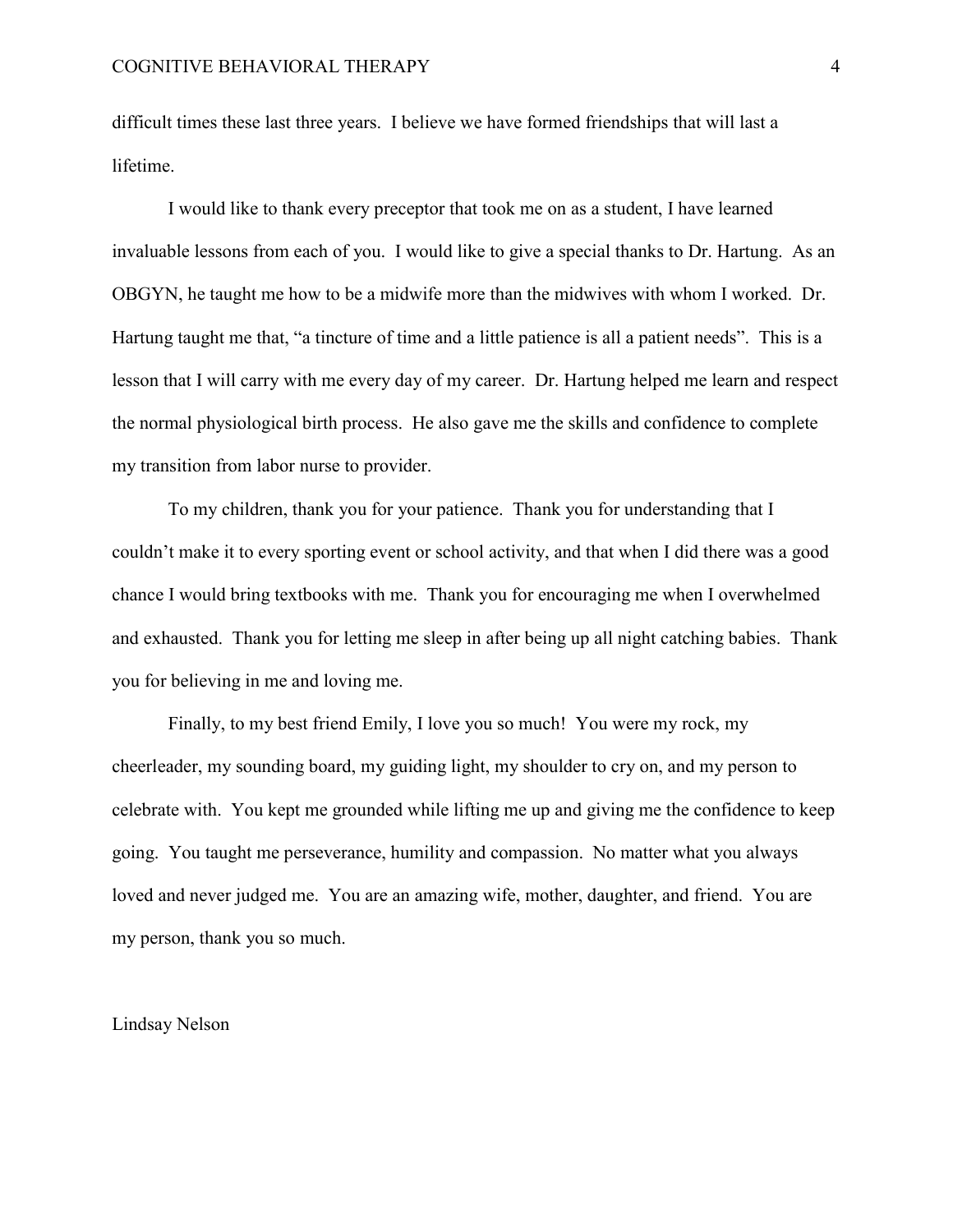difficult times these last three years. I believe we have formed friendships that will last a lifetime.

I would like to thank every preceptor that took me on as a student, I have learned invaluable lessons from each of you. I would like to give a special thanks to Dr. Hartung. As an OBGYN, he taught me how to be a midwife more than the midwives with whom I worked. Dr. Hartung taught me that, "a tincture of time and a little patience is all a patient needs". This is a lesson that I will carry with me every day of my career. Dr. Hartung helped me learn and respect the normal physiological birth process. He also gave me the skills and confidence to complete my transition from labor nurse to provider.

To my children, thank you for your patience. Thank you for understanding that I couldn't make it to every sporting event or school activity, and that when I did there was a good chance I would bring textbooks with me. Thank you for encouraging me when I overwhelmed and exhausted. Thank you for letting me sleep in after being up all night catching babies. Thank you for believing in me and loving me.

Finally, to my best friend Emily, I love you so much! You were my rock, my cheerleader, my sounding board, my guiding light, my shoulder to cry on, and my person to celebrate with. You kept me grounded while lifting me up and giving me the confidence to keep going. You taught me perseverance, humility and compassion. No matter what you always loved and never judged me. You are an amazing wife, mother, daughter, and friend. You are my person, thank you so much.

Lindsay Nelson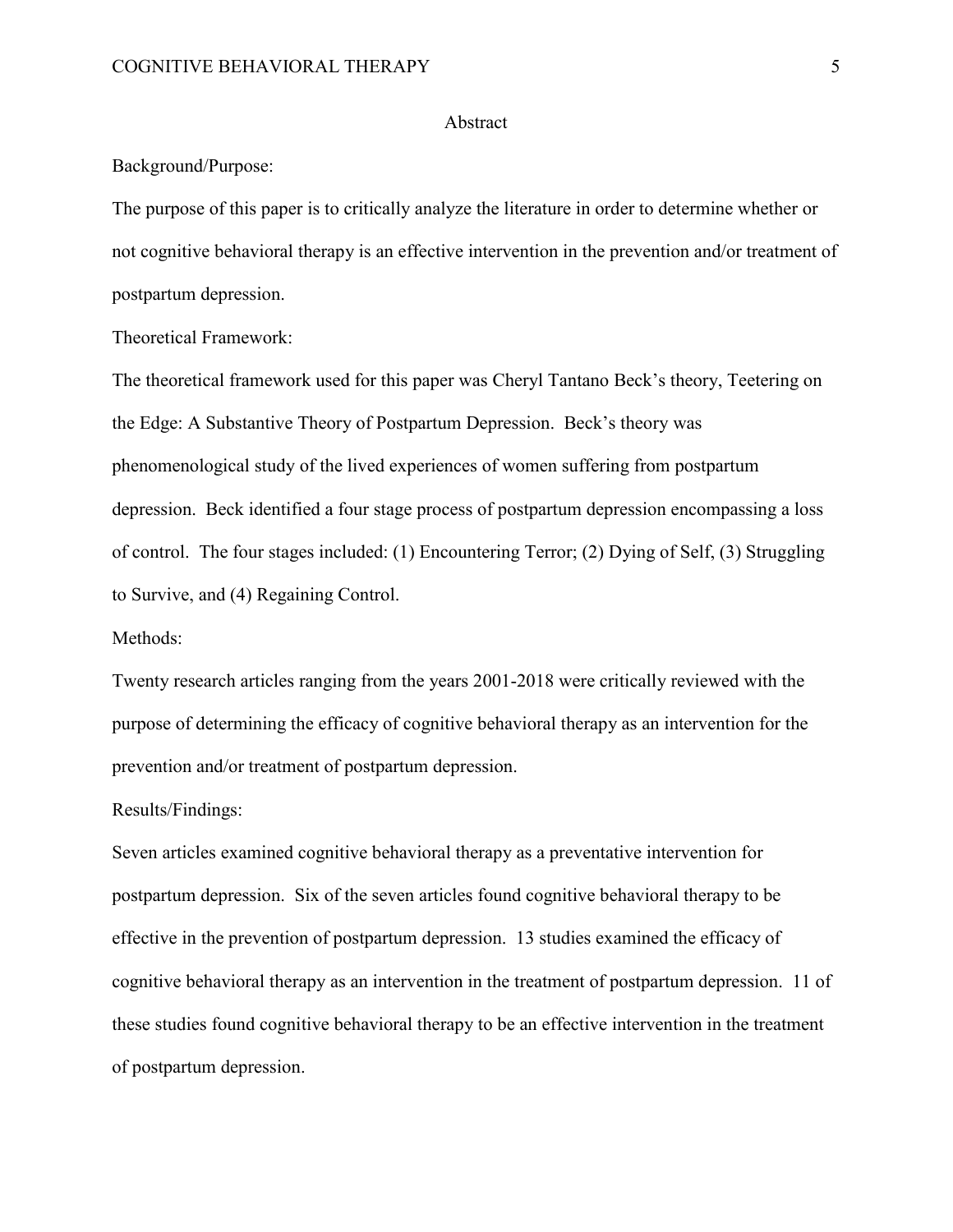#### Abstract

Background/Purpose:

The purpose of this paper is to critically analyze the literature in order to determine whether or not cognitive behavioral therapy is an effective intervention in the prevention and/or treatment of postpartum depression.

Theoretical Framework:

The theoretical framework used for this paper was Cheryl Tantano Beck's theory, Teetering on the Edge: A Substantive Theory of Postpartum Depression. Beck's theory was phenomenological study of the lived experiences of women suffering from postpartum depression. Beck identified a four stage process of postpartum depression encompassing a loss of control. The four stages included: (1) Encountering Terror; (2) Dying of Self, (3) Struggling to Survive, and (4) Regaining Control.

Methods:

Twenty research articles ranging from the years 2001-2018 were critically reviewed with the purpose of determining the efficacy of cognitive behavioral therapy as an intervention for the prevention and/or treatment of postpartum depression.

Results/Findings:

Seven articles examined cognitive behavioral therapy as a preventative intervention for postpartum depression. Six of the seven articles found cognitive behavioral therapy to be effective in the prevention of postpartum depression. 13 studies examined the efficacy of cognitive behavioral therapy as an intervention in the treatment of postpartum depression. 11 of these studies found cognitive behavioral therapy to be an effective intervention in the treatment of postpartum depression.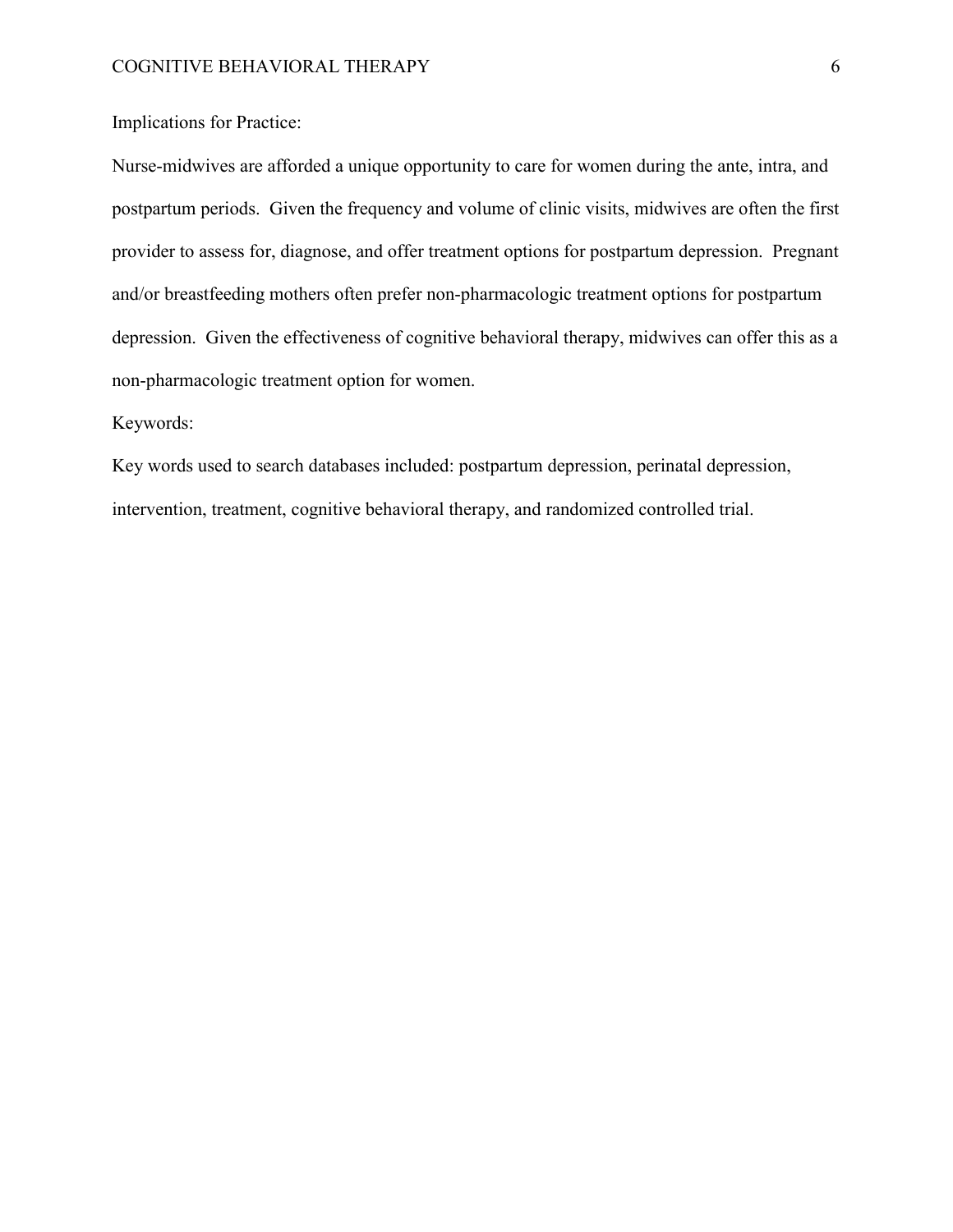Implications for Practice:

Nurse-midwives are afforded a unique opportunity to care for women during the ante, intra, and postpartum periods. Given the frequency and volume of clinic visits, midwives are often the first provider to assess for, diagnose, and offer treatment options for postpartum depression. Pregnant and/or breastfeeding mothers often prefer non-pharmacologic treatment options for postpartum depression. Given the effectiveness of cognitive behavioral therapy, midwives can offer this as a non-pharmacologic treatment option for women.

### Keywords:

Key words used to search databases included: postpartum depression, perinatal depression, intervention, treatment, cognitive behavioral therapy, and randomized controlled trial.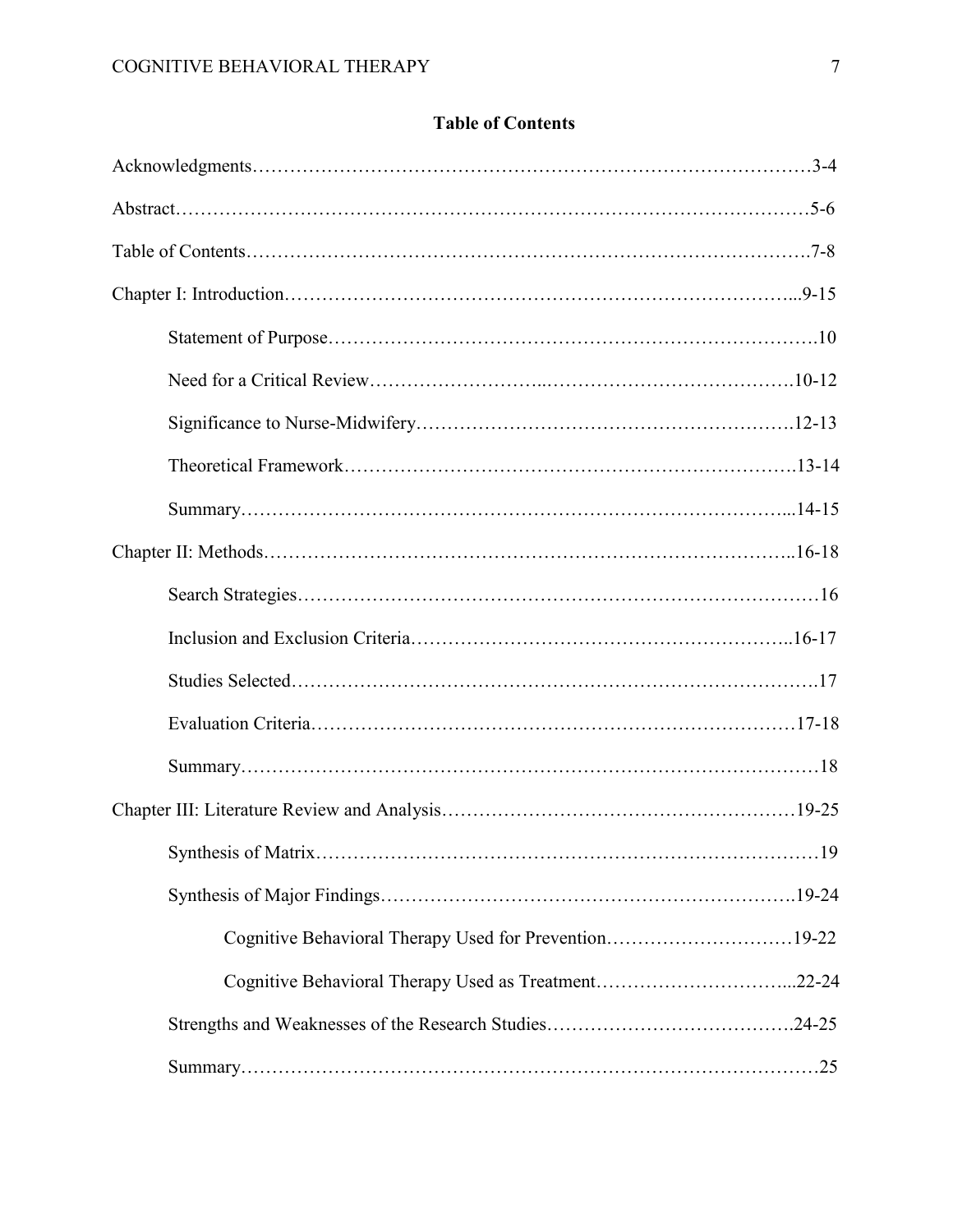| <b>Table of Contents</b> |  |
|--------------------------|--|
|--------------------------|--|

| Cognitive Behavioral Therapy Used for Prevention19-22 |
|-------------------------------------------------------|
|                                                       |
|                                                       |
|                                                       |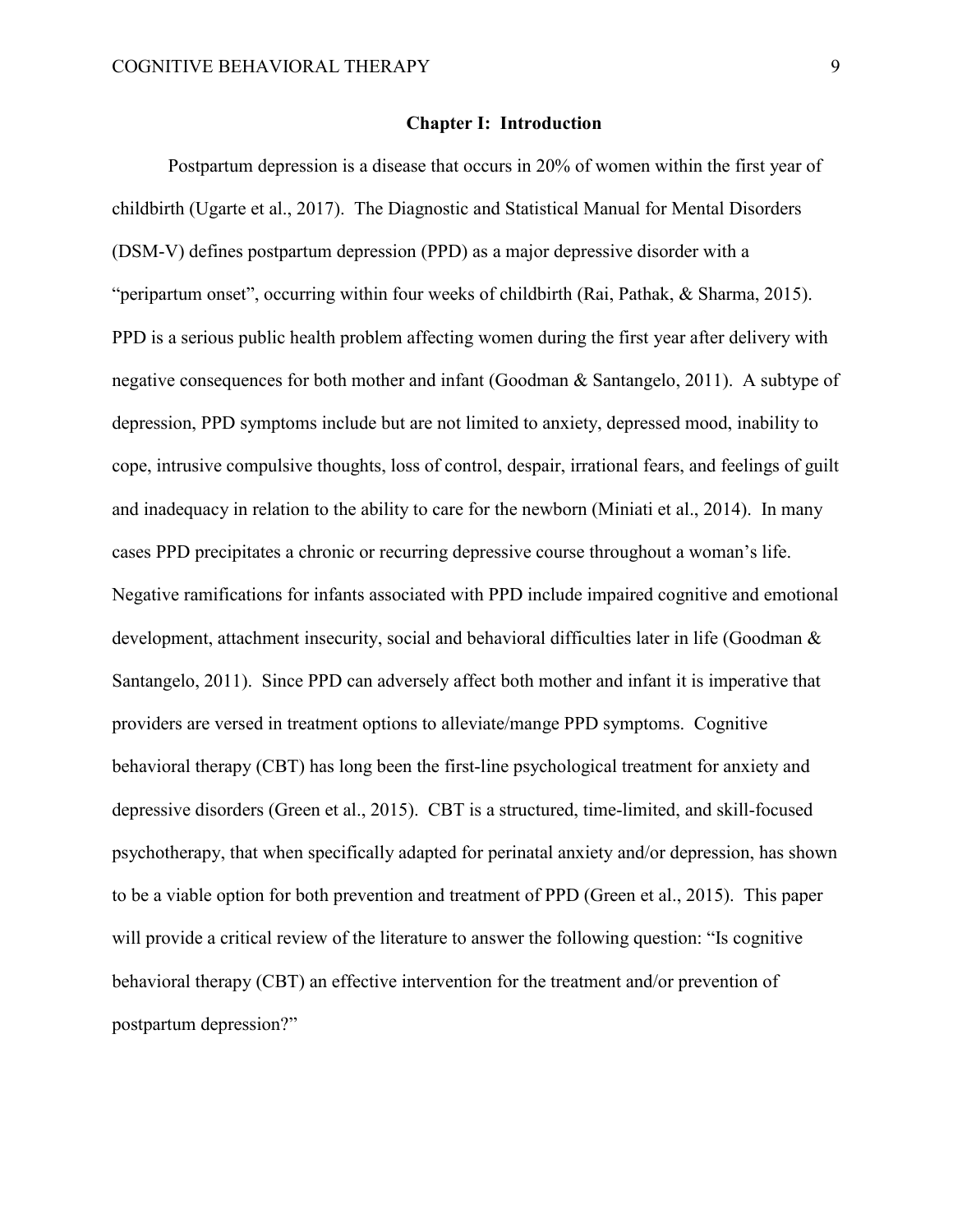#### **Chapter I: Introduction**

Postpartum depression is a disease that occurs in 20% of women within the first year of childbirth (Ugarte et al., 2017). The Diagnostic and Statistical Manual for Mental Disorders (DSM-V) defines postpartum depression (PPD) as a major depressive disorder with a "peripartum onset", occurring within four weeks of childbirth (Rai, Pathak, & Sharma, 2015). PPD is a serious public health problem affecting women during the first year after delivery with negative consequences for both mother and infant (Goodman & Santangelo, 2011). A subtype of depression, PPD symptoms include but are not limited to anxiety, depressed mood, inability to cope, intrusive compulsive thoughts, loss of control, despair, irrational fears, and feelings of guilt and inadequacy in relation to the ability to care for the newborn (Miniati et al., 2014). In many cases PPD precipitates a chronic or recurring depressive course throughout a woman's life. Negative ramifications for infants associated with PPD include impaired cognitive and emotional development, attachment insecurity, social and behavioral difficulties later in life (Goodman & Santangelo, 2011). Since PPD can adversely affect both mother and infant it is imperative that providers are versed in treatment options to alleviate/mange PPD symptoms. Cognitive behavioral therapy (CBT) has long been the first-line psychological treatment for anxiety and depressive disorders (Green et al., 2015). CBT is a structured, time-limited, and skill-focused psychotherapy, that when specifically adapted for perinatal anxiety and/or depression, has shown to be a viable option for both prevention and treatment of PPD (Green et al., 2015). This paper will provide a critical review of the literature to answer the following question: "Is cognitive behavioral therapy (CBT) an effective intervention for the treatment and/or prevention of postpartum depression?"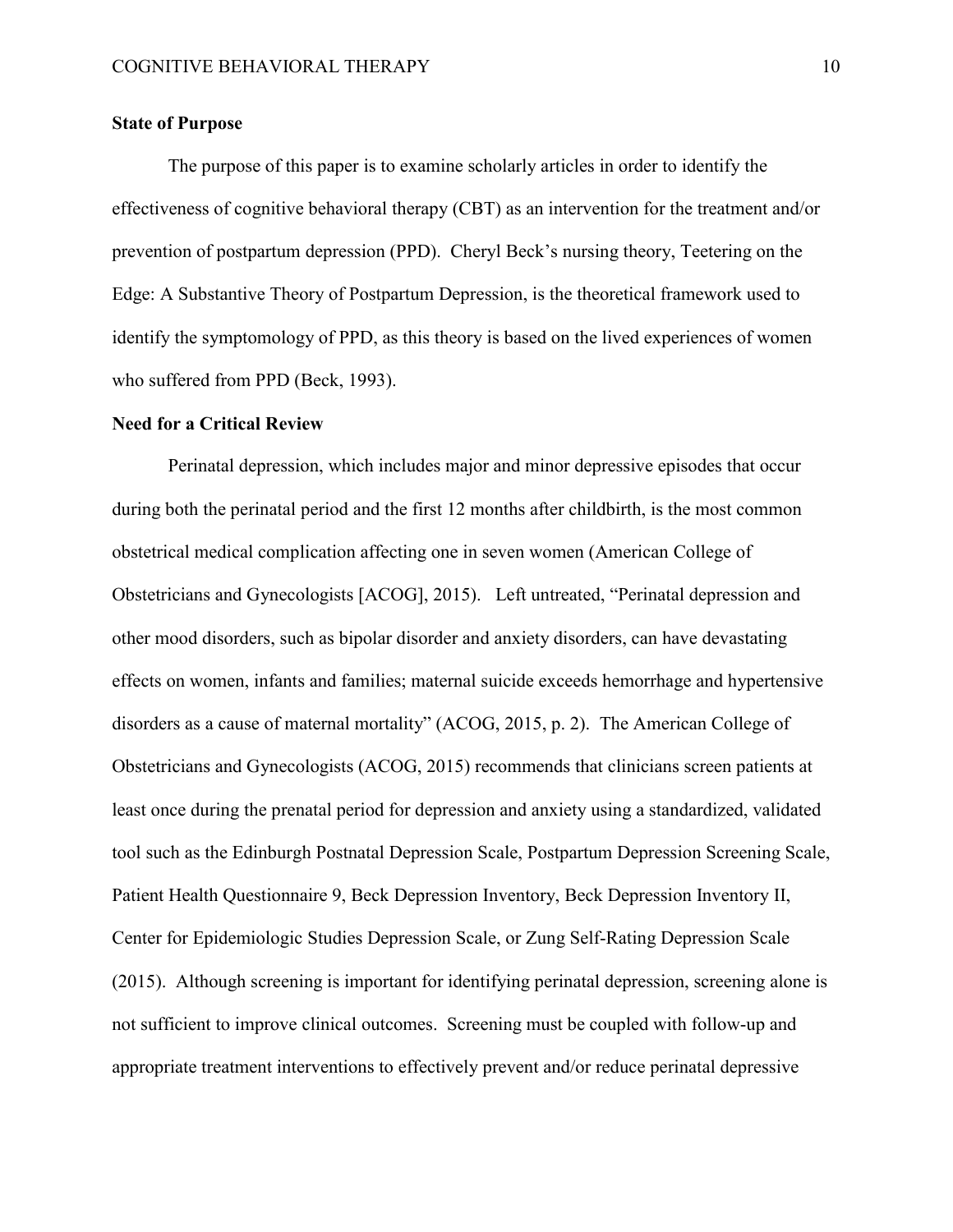# **State of Purpose**

The purpose of this paper is to examine scholarly articles in order to identify the effectiveness of cognitive behavioral therapy (CBT) as an intervention for the treatment and/or prevention of postpartum depression (PPD). Cheryl Beck's nursing theory, Teetering on the Edge: A Substantive Theory of Postpartum Depression, is the theoretical framework used to identify the symptomology of PPD, as this theory is based on the lived experiences of women who suffered from PPD (Beck, 1993).

#### **Need for a Critical Review**

Perinatal depression, which includes major and minor depressive episodes that occur during both the perinatal period and the first 12 months after childbirth, is the most common obstetrical medical complication affecting one in seven women (American College of Obstetricians and Gynecologists [ACOG], 2015). Left untreated, "Perinatal depression and other mood disorders, such as bipolar disorder and anxiety disorders, can have devastating effects on women, infants and families; maternal suicide exceeds hemorrhage and hypertensive disorders as a cause of maternal mortality" (ACOG, 2015, p. 2). The American College of Obstetricians and Gynecologists (ACOG, 2015) recommends that clinicians screen patients at least once during the prenatal period for depression and anxiety using a standardized, validated tool such as the Edinburgh Postnatal Depression Scale, Postpartum Depression Screening Scale, Patient Health Questionnaire 9, Beck Depression Inventory, Beck Depression Inventory II, Center for Epidemiologic Studies Depression Scale, or Zung Self-Rating Depression Scale (2015). Although screening is important for identifying perinatal depression, screening alone is not sufficient to improve clinical outcomes. Screening must be coupled with follow-up and appropriate treatment interventions to effectively prevent and/or reduce perinatal depressive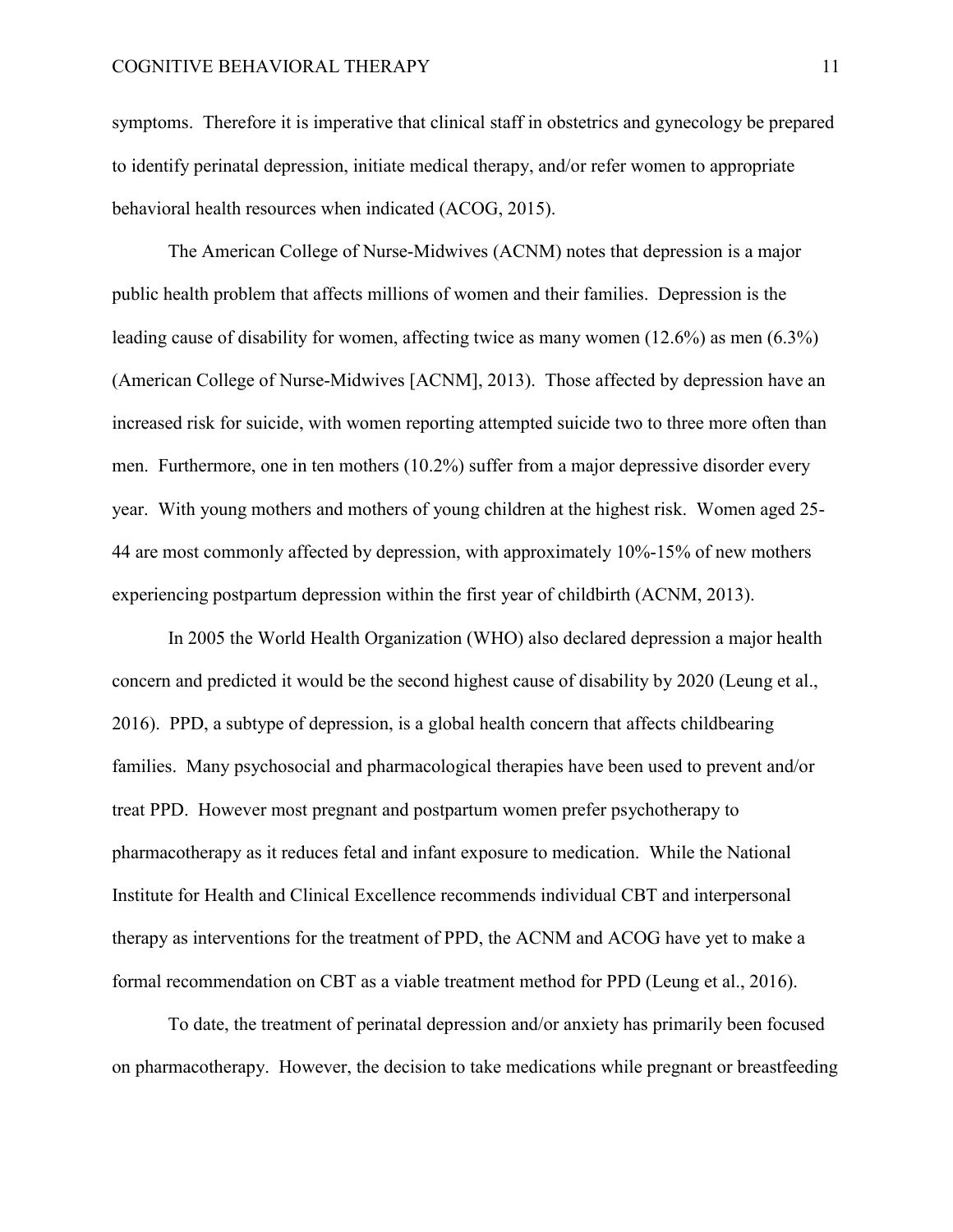symptoms. Therefore it is imperative that clinical staff in obstetrics and gynecology be prepared to identify perinatal depression, initiate medical therapy, and/or refer women to appropriate behavioral health resources when indicated (ACOG, 2015).

 The American College of Nurse-Midwives (ACNM) notes that depression is a major public health problem that affects millions of women and their families. Depression is the leading cause of disability for women, affecting twice as many women (12.6%) as men (6.3%) (American College of Nurse-Midwives [ACNM], 2013). Those affected by depression have an increased risk for suicide, with women reporting attempted suicide two to three more often than men. Furthermore, one in ten mothers (10.2%) suffer from a major depressive disorder every year. With young mothers and mothers of young children at the highest risk. Women aged 25- 44 are most commonly affected by depression, with approximately 10%-15% of new mothers experiencing postpartum depression within the first year of childbirth (ACNM, 2013).

In 2005 the World Health Organization (WHO) also declared depression a major health concern and predicted it would be the second highest cause of disability by 2020 (Leung et al., 2016). PPD, a subtype of depression, is a global health concern that affects childbearing families. Many psychosocial and pharmacological therapies have been used to prevent and/or treat PPD. However most pregnant and postpartum women prefer psychotherapy to pharmacotherapy as it reduces fetal and infant exposure to medication. While the National Institute for Health and Clinical Excellence recommends individual CBT and interpersonal therapy as interventions for the treatment of PPD, the ACNM and ACOG have yet to make a formal recommendation on CBT as a viable treatment method for PPD (Leung et al., 2016).

 To date, the treatment of perinatal depression and/or anxiety has primarily been focused on pharmacotherapy. However, the decision to take medications while pregnant or breastfeeding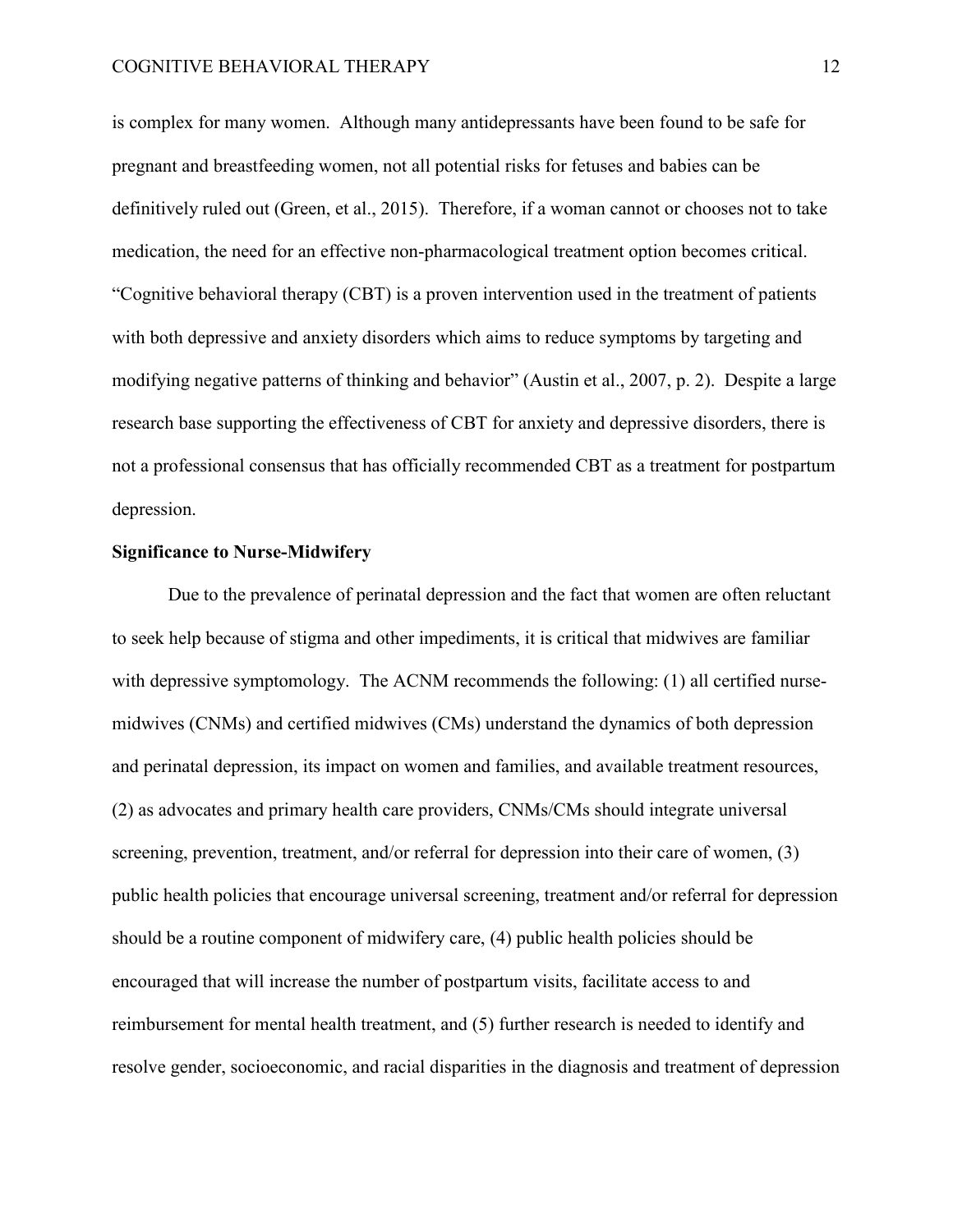is complex for many women. Although many antidepressants have been found to be safe for pregnant and breastfeeding women, not all potential risks for fetuses and babies can be definitively ruled out (Green, et al., 2015). Therefore, if a woman cannot or chooses not to take medication, the need for an effective non-pharmacological treatment option becomes critical. "Cognitive behavioral therapy (CBT) is a proven intervention used in the treatment of patients with both depressive and anxiety disorders which aims to reduce symptoms by targeting and modifying negative patterns of thinking and behavior" (Austin et al., 2007, p. 2). Despite a large research base supporting the effectiveness of CBT for anxiety and depressive disorders, there is not a professional consensus that has officially recommended CBT as a treatment for postpartum depression.

# **Significance to Nurse-Midwifery**

Due to the prevalence of perinatal depression and the fact that women are often reluctant to seek help because of stigma and other impediments, it is critical that midwives are familiar with depressive symptomology. The ACNM recommends the following: (1) all certified nursemidwives (CNMs) and certified midwives (CMs) understand the dynamics of both depression and perinatal depression, its impact on women and families, and available treatment resources, (2) as advocates and primary health care providers, CNMs/CMs should integrate universal screening, prevention, treatment, and/or referral for depression into their care of women, (3) public health policies that encourage universal screening, treatment and/or referral for depression should be a routine component of midwifery care, (4) public health policies should be encouraged that will increase the number of postpartum visits, facilitate access to and reimbursement for mental health treatment, and (5) further research is needed to identify and resolve gender, socioeconomic, and racial disparities in the diagnosis and treatment of depression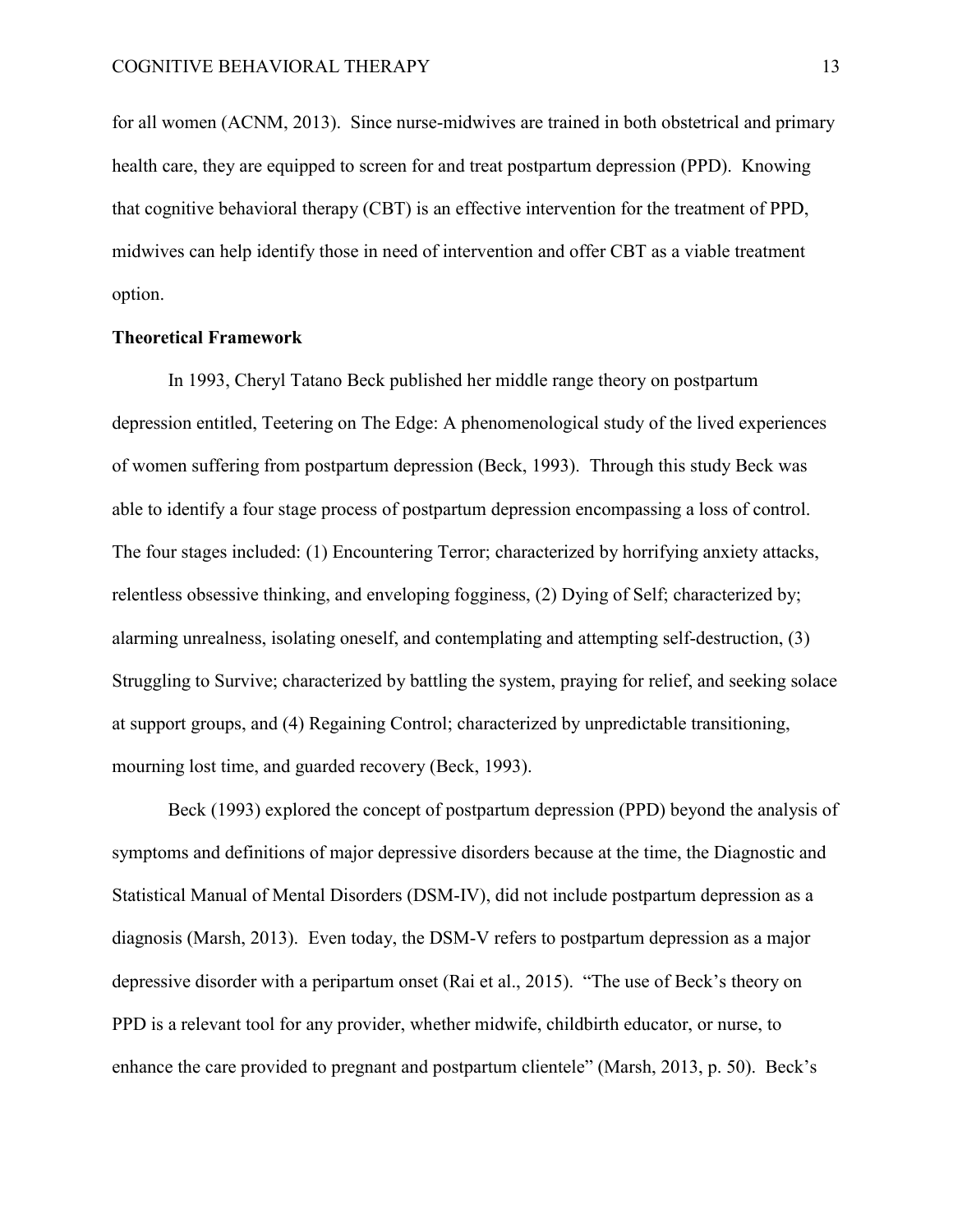for all women (ACNM, 2013). Since nurse-midwives are trained in both obstetrical and primary health care, they are equipped to screen for and treat postpartum depression (PPD). Knowing that cognitive behavioral therapy (CBT) is an effective intervention for the treatment of PPD, midwives can help identify those in need of intervention and offer CBT as a viable treatment option.

# **Theoretical Framework**

In 1993, Cheryl Tatano Beck published her middle range theory on postpartum depression entitled, Teetering on The Edge: A phenomenological study of the lived experiences of women suffering from postpartum depression (Beck, 1993). Through this study Beck was able to identify a four stage process of postpartum depression encompassing a loss of control. The four stages included: (1) Encountering Terror; characterized by horrifying anxiety attacks, relentless obsessive thinking, and enveloping fogginess, (2) Dying of Self; characterized by; alarming unrealness, isolating oneself, and contemplating and attempting self-destruction, (3) Struggling to Survive; characterized by battling the system, praying for relief, and seeking solace at support groups, and (4) Regaining Control; characterized by unpredictable transitioning, mourning lost time, and guarded recovery (Beck, 1993).

Beck (1993) explored the concept of postpartum depression (PPD) beyond the analysis of symptoms and definitions of major depressive disorders because at the time, the Diagnostic and Statistical Manual of Mental Disorders (DSM-IV), did not include postpartum depression as a diagnosis (Marsh, 2013). Even today, the DSM-V refers to postpartum depression as a major depressive disorder with a peripartum onset (Rai et al., 2015). "The use of Beck's theory on PPD is a relevant tool for any provider, whether midwife, childbirth educator, or nurse, to enhance the care provided to pregnant and postpartum clientele" (Marsh, 2013, p. 50). Beck's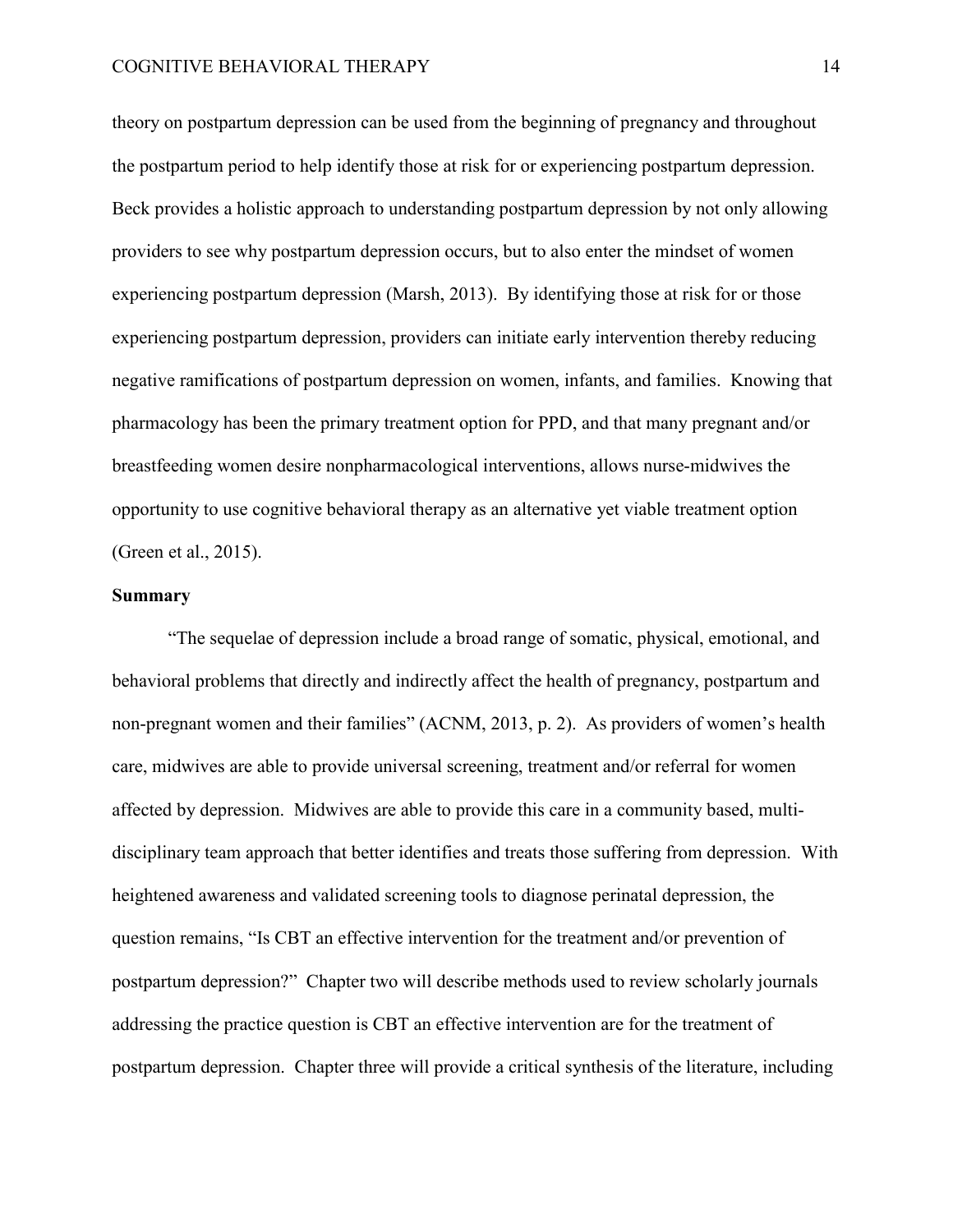theory on postpartum depression can be used from the beginning of pregnancy and throughout the postpartum period to help identify those at risk for or experiencing postpartum depression. Beck provides a holistic approach to understanding postpartum depression by not only allowing providers to see why postpartum depression occurs, but to also enter the mindset of women experiencing postpartum depression (Marsh, 2013). By identifying those at risk for or those experiencing postpartum depression, providers can initiate early intervention thereby reducing negative ramifications of postpartum depression on women, infants, and families. Knowing that pharmacology has been the primary treatment option for PPD, and that many pregnant and/or breastfeeding women desire nonpharmacological interventions, allows nurse-midwives the opportunity to use cognitive behavioral therapy as an alternative yet viable treatment option (Green et al., 2015).

# **Summary**

"The sequelae of depression include a broad range of somatic, physical, emotional, and behavioral problems that directly and indirectly affect the health of pregnancy, postpartum and non-pregnant women and their families" (ACNM, 2013, p. 2). As providers of women's health care, midwives are able to provide universal screening, treatment and/or referral for women affected by depression. Midwives are able to provide this care in a community based, multidisciplinary team approach that better identifies and treats those suffering from depression. With heightened awareness and validated screening tools to diagnose perinatal depression, the question remains, "Is CBT an effective intervention for the treatment and/or prevention of postpartum depression?" Chapter two will describe methods used to review scholarly journals addressing the practice question is CBT an effective intervention are for the treatment of postpartum depression. Chapter three will provide a critical synthesis of the literature, including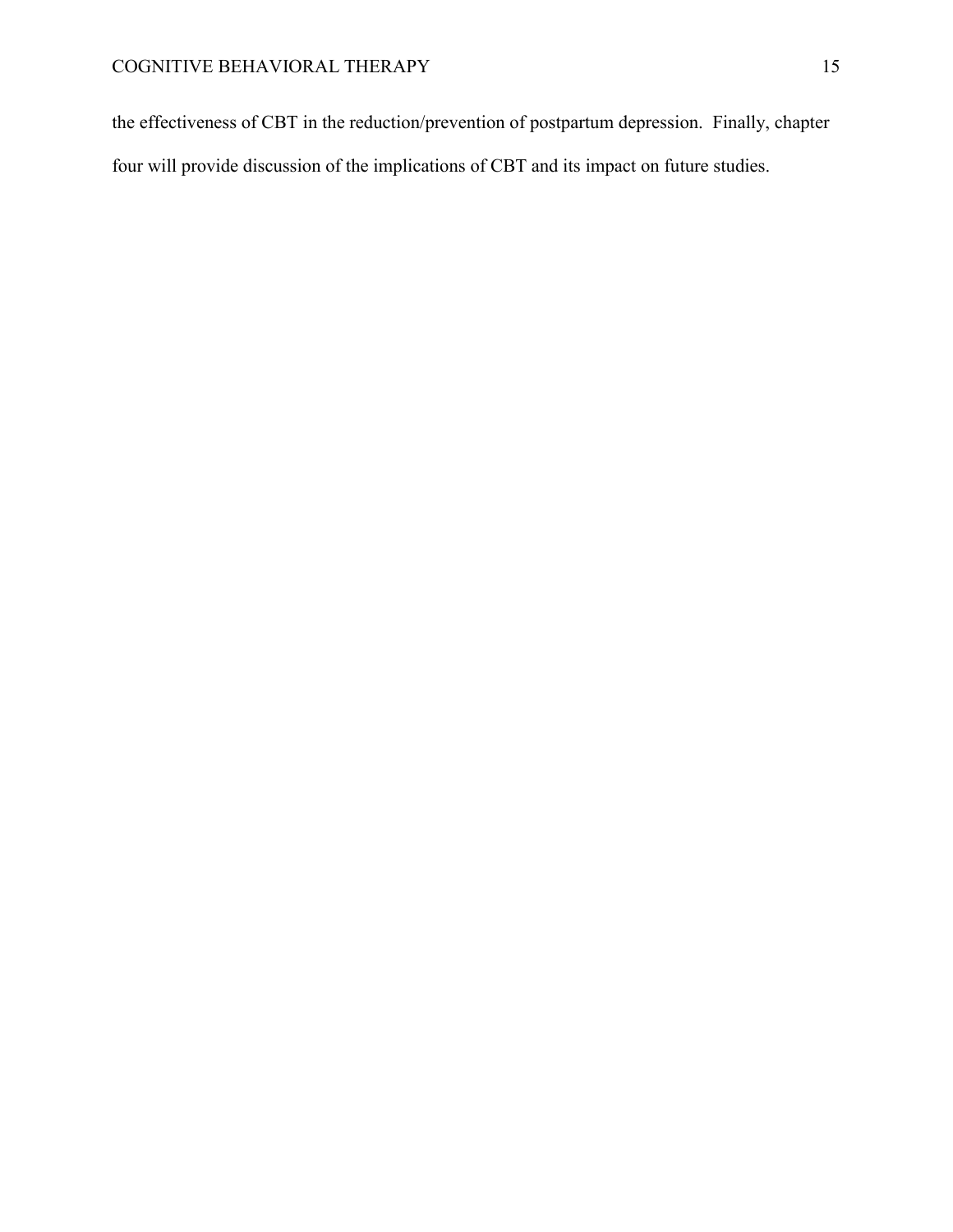the effectiveness of CBT in the reduction/prevention of postpartum depression. Finally, chapter four will provide discussion of the implications of CBT and its impact on future studies.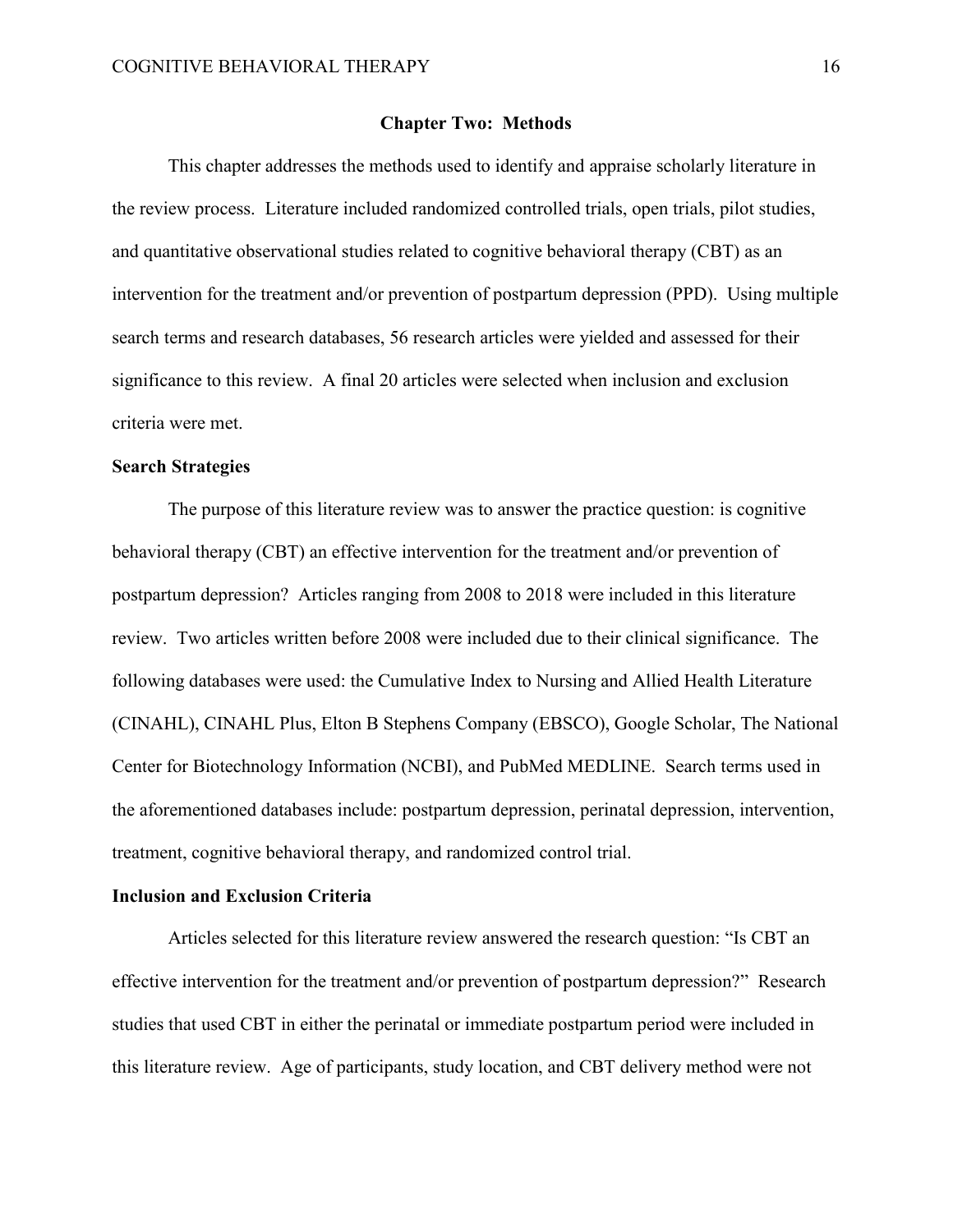#### **Chapter Two: Methods**

 This chapter addresses the methods used to identify and appraise scholarly literature in the review process. Literature included randomized controlled trials, open trials, pilot studies, and quantitative observational studies related to cognitive behavioral therapy (CBT) as an intervention for the treatment and/or prevention of postpartum depression (PPD). Using multiple search terms and research databases, 56 research articles were yielded and assessed for their significance to this review. A final 20 articles were selected when inclusion and exclusion criteria were met.

# **Search Strategies**

 The purpose of this literature review was to answer the practice question: is cognitive behavioral therapy (CBT) an effective intervention for the treatment and/or prevention of postpartum depression? Articles ranging from 2008 to 2018 were included in this literature review. Two articles written before 2008 were included due to their clinical significance. The following databases were used: the Cumulative Index to Nursing and Allied Health Literature (CINAHL), CINAHL Plus, Elton B Stephens Company (EBSCO), Google Scholar, The National Center for Biotechnology Information (NCBI), and PubMed MEDLINE. Search terms used in the aforementioned databases include: postpartum depression, perinatal depression, intervention, treatment, cognitive behavioral therapy, and randomized control trial.

### **Inclusion and Exclusion Criteria**

Articles selected for this literature review answered the research question: "Is CBT an effective intervention for the treatment and/or prevention of postpartum depression?" Research studies that used CBT in either the perinatal or immediate postpartum period were included in this literature review. Age of participants, study location, and CBT delivery method were not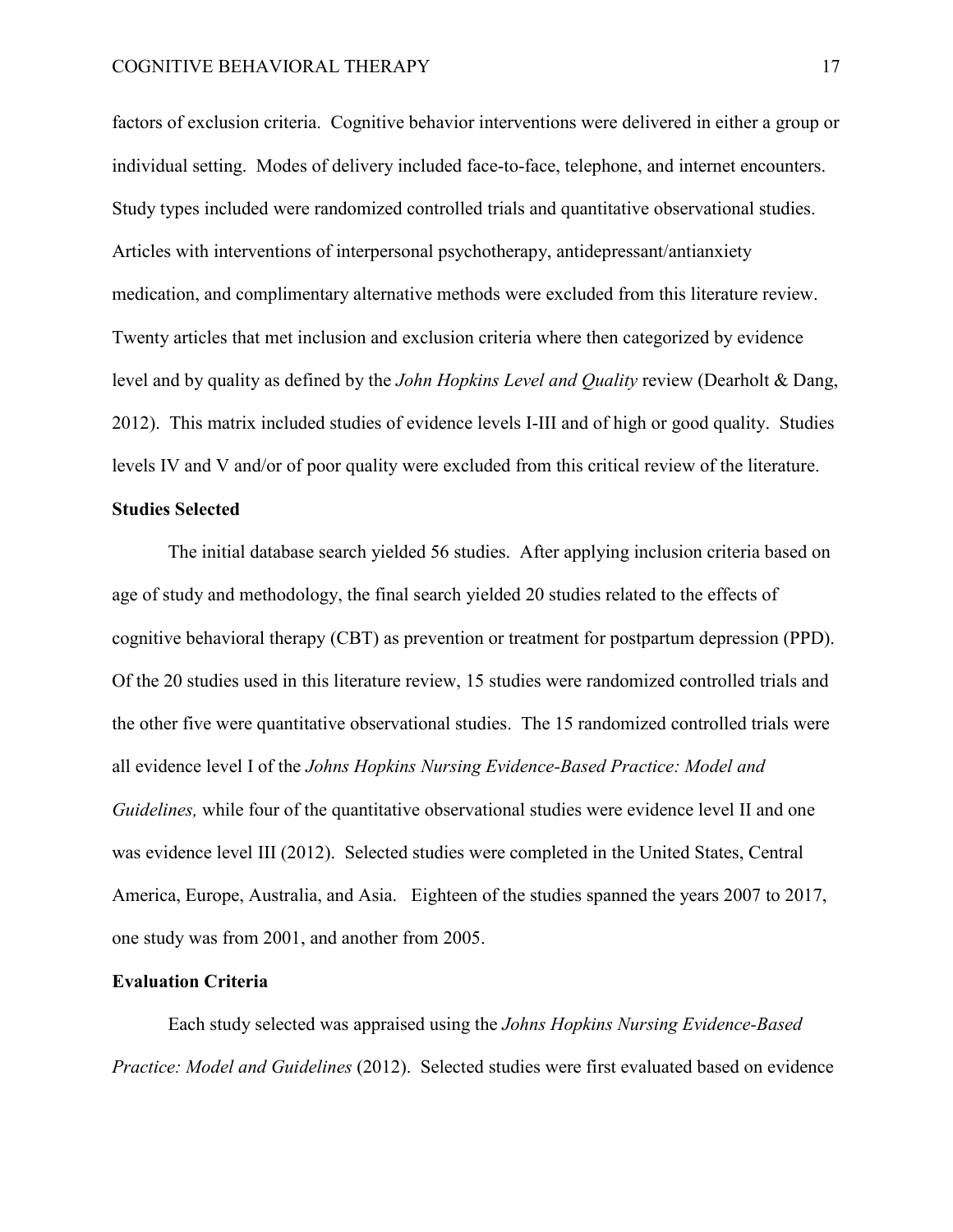factors of exclusion criteria. Cognitive behavior interventions were delivered in either a group or individual setting. Modes of delivery included face-to-face, telephone, and internet encounters. Study types included were randomized controlled trials and quantitative observational studies. Articles with interventions of interpersonal psychotherapy, antidepressant/antianxiety medication, and complimentary alternative methods were excluded from this literature review. Twenty articles that met inclusion and exclusion criteria where then categorized by evidence level and by quality as defined by the *John Hopkins Level and Quality* review (Dearholt & Dang, 2012). This matrix included studies of evidence levels I-III and of high or good quality. Studies levels IV and V and/or of poor quality were excluded from this critical review of the literature.

# **Studies Selected**

 The initial database search yielded 56 studies. After applying inclusion criteria based on age of study and methodology, the final search yielded 20 studies related to the effects of cognitive behavioral therapy (CBT) as prevention or treatment for postpartum depression (PPD). Of the 20 studies used in this literature review, 15 studies were randomized controlled trials and the other five were quantitative observational studies. The 15 randomized controlled trials were all evidence level I of the *Johns Hopkins Nursing Evidence-Based Practice: Model and Guidelines,* while four of the quantitative observational studies were evidence level II and one was evidence level III (2012). Selected studies were completed in the United States, Central America, Europe, Australia, and Asia. Eighteen of the studies spanned the years 2007 to 2017, one study was from 2001, and another from 2005.

# **Evaluation Criteria**

Each study selected was appraised using the *Johns Hopkins Nursing Evidence-Based Practice: Model and Guidelines* (2012). Selected studies were first evaluated based on evidence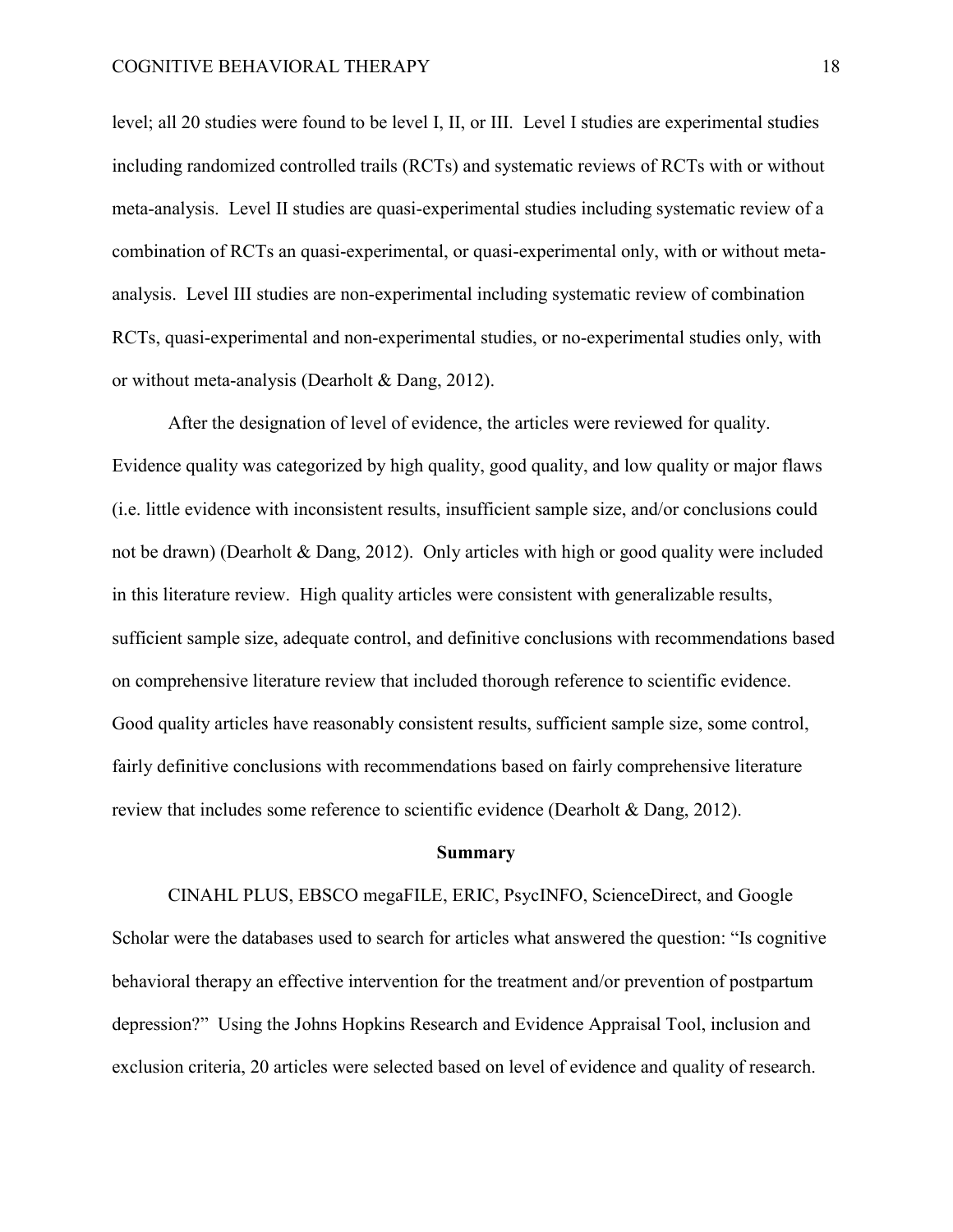level; all 20 studies were found to be level I, II, or III. Level I studies are experimental studies including randomized controlled trails (RCTs) and systematic reviews of RCTs with or without meta-analysis. Level II studies are quasi-experimental studies including systematic review of a combination of RCTs an quasi-experimental, or quasi-experimental only, with or without metaanalysis. Level III studies are non-experimental including systematic review of combination RCTs, quasi-experimental and non-experimental studies, or no-experimental studies only, with or without meta-analysis (Dearholt & Dang, 2012).

After the designation of level of evidence, the articles were reviewed for quality. Evidence quality was categorized by high quality, good quality, and low quality or major flaws (i.e. little evidence with inconsistent results, insufficient sample size, and/or conclusions could not be drawn) (Dearholt & Dang, 2012). Only articles with high or good quality were included in this literature review. High quality articles were consistent with generalizable results, sufficient sample size, adequate control, and definitive conclusions with recommendations based on comprehensive literature review that included thorough reference to scientific evidence. Good quality articles have reasonably consistent results, sufficient sample size, some control, fairly definitive conclusions with recommendations based on fairly comprehensive literature review that includes some reference to scientific evidence (Dearholt & Dang, 2012).

# **Summary**

CINAHL PLUS, EBSCO megaFILE, ERIC, PsycINFO, ScienceDirect, and Google Scholar were the databases used to search for articles what answered the question: "Is cognitive behavioral therapy an effective intervention for the treatment and/or prevention of postpartum depression?" Using the Johns Hopkins Research and Evidence Appraisal Tool, inclusion and exclusion criteria, 20 articles were selected based on level of evidence and quality of research.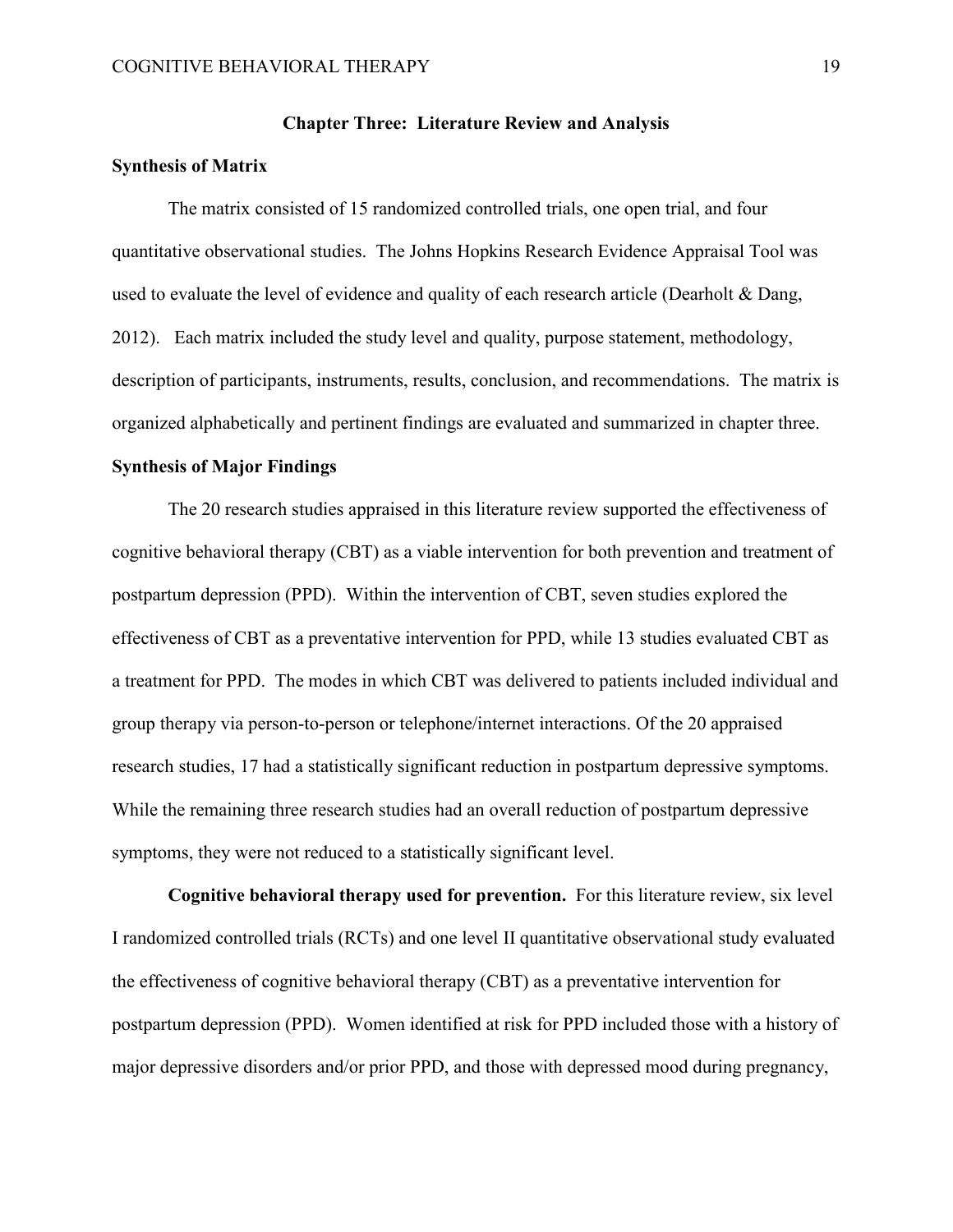## **Chapter Three: Literature Review and Analysis**

### **Synthesis of Matrix**

The matrix consisted of 15 randomized controlled trials, one open trial, and four quantitative observational studies. The Johns Hopkins Research Evidence Appraisal Tool was used to evaluate the level of evidence and quality of each research article (Dearholt & Dang, 2012). Each matrix included the study level and quality, purpose statement, methodology, description of participants, instruments, results, conclusion, and recommendations. The matrix is organized alphabetically and pertinent findings are evaluated and summarized in chapter three.

# **Synthesis of Major Findings**

The 20 research studies appraised in this literature review supported the effectiveness of cognitive behavioral therapy (CBT) as a viable intervention for both prevention and treatment of postpartum depression (PPD). Within the intervention of CBT, seven studies explored the effectiveness of CBT as a preventative intervention for PPD, while 13 studies evaluated CBT as a treatment for PPD. The modes in which CBT was delivered to patients included individual and group therapy via person-to-person or telephone/internet interactions. Of the 20 appraised research studies, 17 had a statistically significant reduction in postpartum depressive symptoms. While the remaining three research studies had an overall reduction of postpartum depressive symptoms, they were not reduced to a statistically significant level.

**Cognitive behavioral therapy used for prevention.** For this literature review, six level I randomized controlled trials (RCTs) and one level II quantitative observational study evaluated the effectiveness of cognitive behavioral therapy (CBT) as a preventative intervention for postpartum depression (PPD). Women identified at risk for PPD included those with a history of major depressive disorders and/or prior PPD, and those with depressed mood during pregnancy,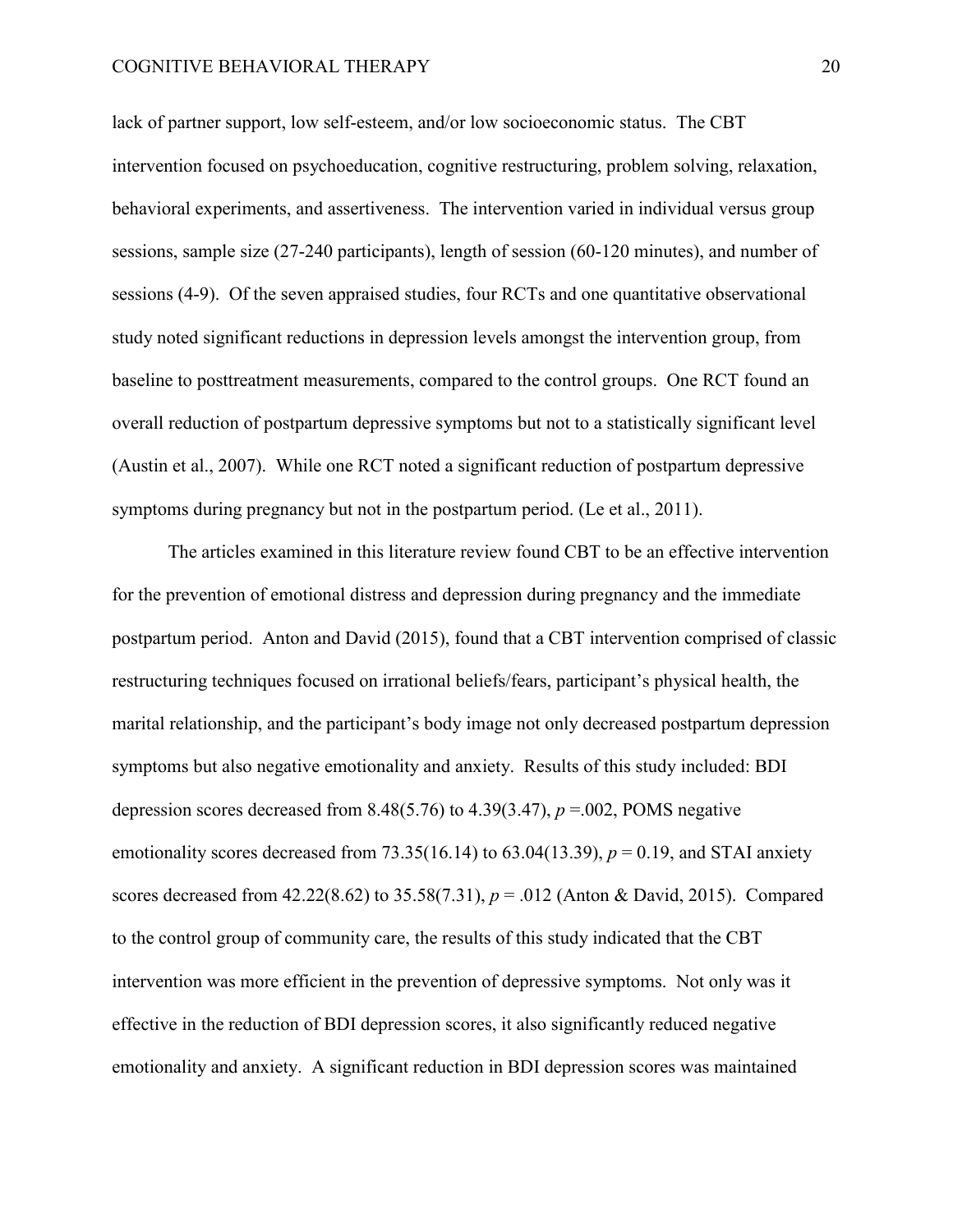lack of partner support, low self-esteem, and/or low socioeconomic status. The CBT intervention focused on psychoeducation, cognitive restructuring, problem solving, relaxation, behavioral experiments, and assertiveness. The intervention varied in individual versus group sessions, sample size (27-240 participants), length of session (60-120 minutes), and number of sessions (4-9). Of the seven appraised studies, four RCTs and one quantitative observational study noted significant reductions in depression levels amongst the intervention group, from baseline to posttreatment measurements, compared to the control groups. One RCT found an overall reduction of postpartum depressive symptoms but not to a statistically significant level (Austin et al., 2007). While one RCT noted a significant reduction of postpartum depressive symptoms during pregnancy but not in the postpartum period. (Le et al., 2011).

The articles examined in this literature review found CBT to be an effective intervention for the prevention of emotional distress and depression during pregnancy and the immediate postpartum period. Anton and David (2015), found that a CBT intervention comprised of classic restructuring techniques focused on irrational beliefs/fears, participant's physical health, the marital relationship, and the participant's body image not only decreased postpartum depression symptoms but also negative emotionality and anxiety. Results of this study included: BDI depression scores decreased from 8.48(5.76) to 4.39(3.47), *p* =.002, POMS negative emotionality scores decreased from 73.35(16.14) to 63.04(13.39),  $p = 0.19$ , and STAI anxiety scores decreased from 42.22(8.62) to 35.58(7.31), *p* = .012 (Anton & David, 2015). Compared to the control group of community care, the results of this study indicated that the CBT intervention was more efficient in the prevention of depressive symptoms. Not only was it effective in the reduction of BDI depression scores, it also significantly reduced negative emotionality and anxiety. A significant reduction in BDI depression scores was maintained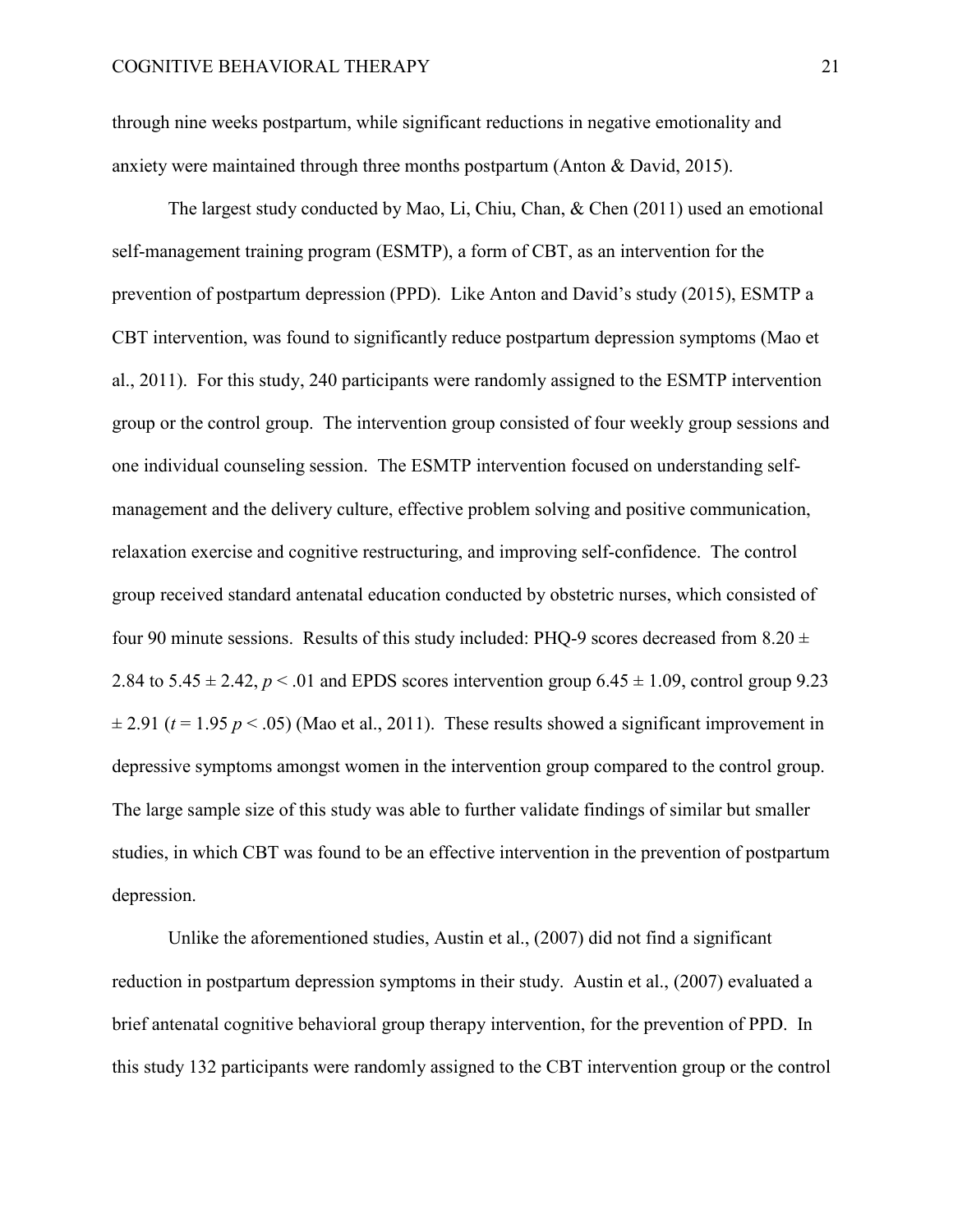through nine weeks postpartum, while significant reductions in negative emotionality and anxiety were maintained through three months postpartum (Anton & David, 2015).

The largest study conducted by Mao, Li, Chiu, Chan, & Chen (2011) used an emotional self-management training program (ESMTP), a form of CBT, as an intervention for the prevention of postpartum depression (PPD). Like Anton and David's study (2015), ESMTP a CBT intervention, was found to significantly reduce postpartum depression symptoms (Mao et al., 2011). For this study, 240 participants were randomly assigned to the ESMTP intervention group or the control group. The intervention group consisted of four weekly group sessions and one individual counseling session. The ESMTP intervention focused on understanding selfmanagement and the delivery culture, effective problem solving and positive communication, relaxation exercise and cognitive restructuring, and improving self-confidence. The control group received standard antenatal education conducted by obstetric nurses, which consisted of four 90 minute sessions. Results of this study included: PHQ-9 scores decreased from  $8.20 \pm$ 2.84 to  $5.45 \pm 2.42$ ,  $p < 0.01$  and EPDS scores intervention group  $6.45 \pm 1.09$ , control group 9.23  $\pm$  2.91 ( $t$  = 1.95  $p$  < .05) (Mao et al., 2011). These results showed a significant improvement in depressive symptoms amongst women in the intervention group compared to the control group. The large sample size of this study was able to further validate findings of similar but smaller studies, in which CBT was found to be an effective intervention in the prevention of postpartum depression.

Unlike the aforementioned studies, Austin et al., (2007) did not find a significant reduction in postpartum depression symptoms in their study. Austin et al., (2007) evaluated a brief antenatal cognitive behavioral group therapy intervention, for the prevention of PPD. In this study 132 participants were randomly assigned to the CBT intervention group or the control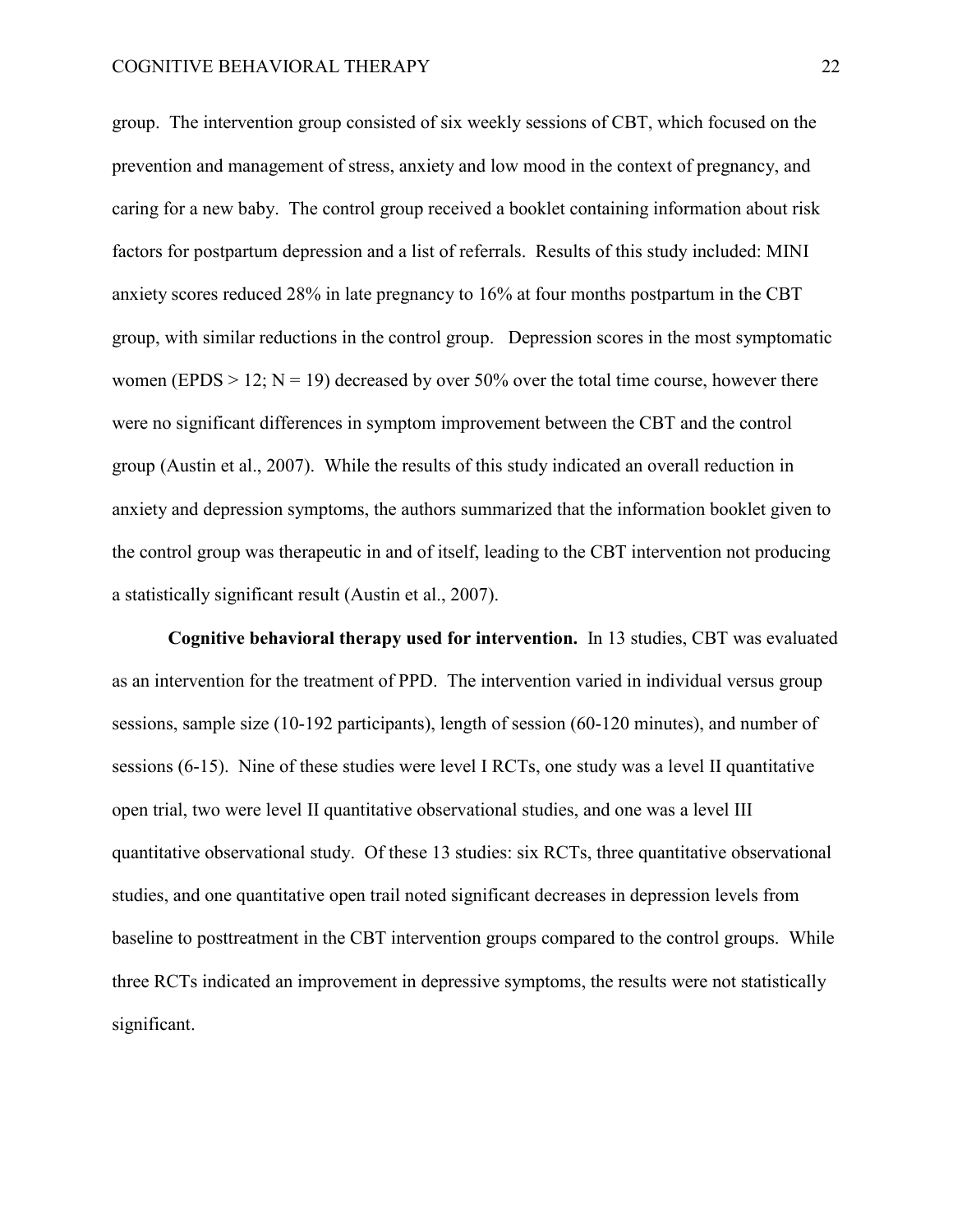group. The intervention group consisted of six weekly sessions of CBT, which focused on the prevention and management of stress, anxiety and low mood in the context of pregnancy, and caring for a new baby. The control group received a booklet containing information about risk factors for postpartum depression and a list of referrals. Results of this study included: MINI anxiety scores reduced 28% in late pregnancy to 16% at four months postpartum in the CBT group, with similar reductions in the control group. Depression scores in the most symptomatic women (EPDS  $> 12$ ; N = 19) decreased by over 50% over the total time course, however there were no significant differences in symptom improvement between the CBT and the control group (Austin et al., 2007). While the results of this study indicated an overall reduction in anxiety and depression symptoms, the authors summarized that the information booklet given to the control group was therapeutic in and of itself, leading to the CBT intervention not producing a statistically significant result (Austin et al., 2007).

**Cognitive behavioral therapy used for intervention.** In 13 studies, CBT was evaluated as an intervention for the treatment of PPD. The intervention varied in individual versus group sessions, sample size (10-192 participants), length of session (60-120 minutes), and number of sessions (6-15). Nine of these studies were level I RCTs, one study was a level II quantitative open trial, two were level II quantitative observational studies, and one was a level III quantitative observational study. Of these 13 studies: six RCTs, three quantitative observational studies, and one quantitative open trail noted significant decreases in depression levels from baseline to posttreatment in the CBT intervention groups compared to the control groups. While three RCTs indicated an improvement in depressive symptoms, the results were not statistically significant.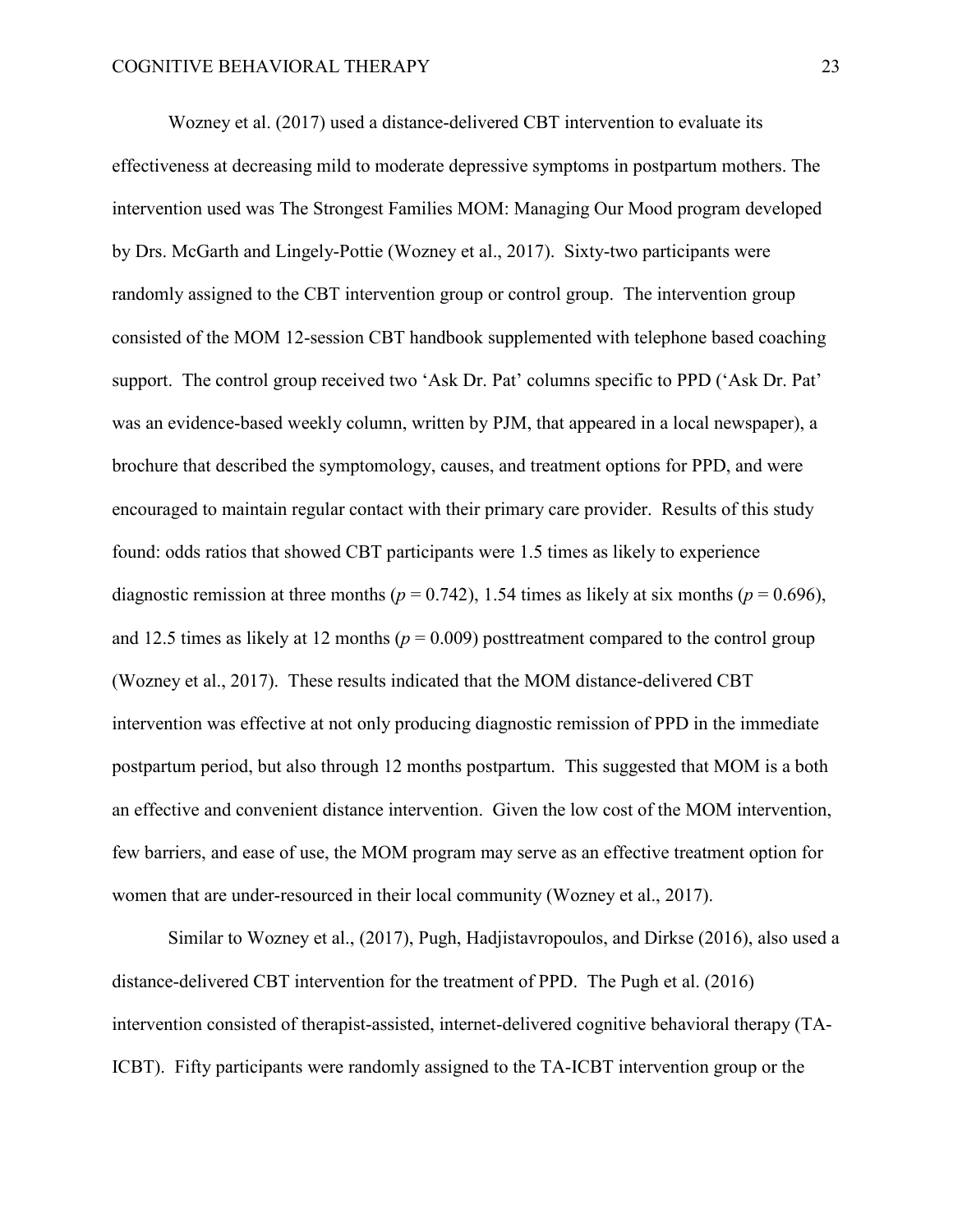Wozney et al. (2017) used a distance-delivered CBT intervention to evaluate its effectiveness at decreasing mild to moderate depressive symptoms in postpartum mothers. The intervention used was The Strongest Families MOM: Managing Our Mood program developed by Drs. McGarth and Lingely-Pottie (Wozney et al., 2017). Sixty-two participants were randomly assigned to the CBT intervention group or control group. The intervention group consisted of the MOM 12-session CBT handbook supplemented with telephone based coaching support. The control group received two 'Ask Dr. Pat' columns specific to PPD ('Ask Dr. Pat' was an evidence-based weekly column, written by PJM, that appeared in a local newspaper), a brochure that described the symptomology, causes, and treatment options for PPD, and were encouraged to maintain regular contact with their primary care provider. Results of this study found: odds ratios that showed CBT participants were 1.5 times as likely to experience diagnostic remission at three months ( $p = 0.742$ ), 1.54 times as likely at six months ( $p = 0.696$ ), and 12.5 times as likely at 12 months ( $p = 0.009$ ) posttreatment compared to the control group (Wozney et al., 2017). These results indicated that the MOM distance-delivered CBT intervention was effective at not only producing diagnostic remission of PPD in the immediate postpartum period, but also through 12 months postpartum. This suggested that MOM is a both an effective and convenient distance intervention. Given the low cost of the MOM intervention, few barriers, and ease of use, the MOM program may serve as an effective treatment option for women that are under-resourced in their local community (Wozney et al., 2017).

Similar to Wozney et al., (2017), Pugh, Hadjistavropoulos, and Dirkse (2016), also used a distance-delivered CBT intervention for the treatment of PPD. The Pugh et al. (2016) intervention consisted of therapist-assisted, internet-delivered cognitive behavioral therapy (TA-ICBT). Fifty participants were randomly assigned to the TA-ICBT intervention group or the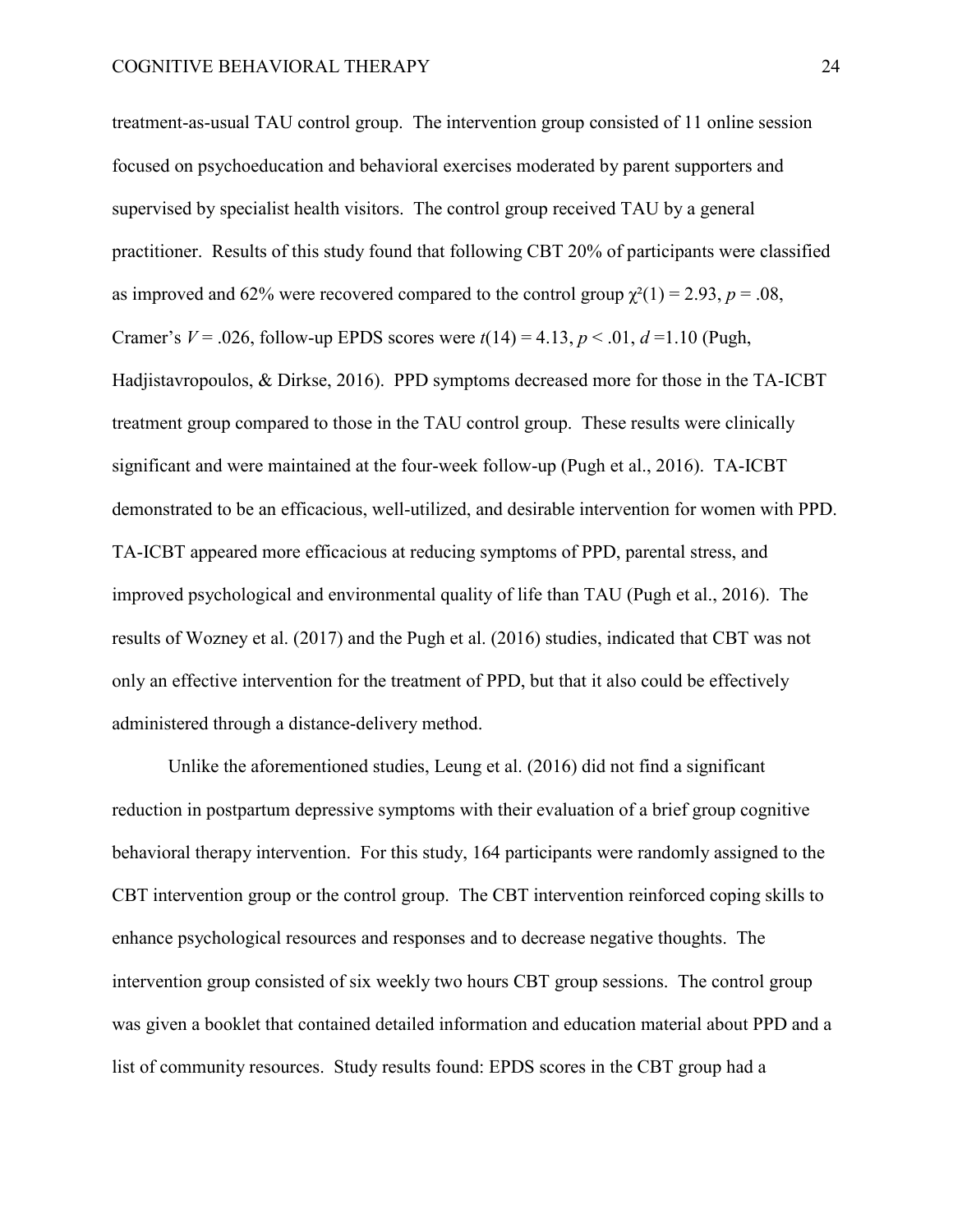treatment-as-usual TAU control group. The intervention group consisted of 11 online session focused on psychoeducation and behavioral exercises moderated by parent supporters and supervised by specialist health visitors. The control group received TAU by a general practitioner. Results of this study found that following CBT 20% of participants were classified as improved and 62% were recovered compared to the control group  $\chi^2(1) = 2.93$ ,  $p = .08$ , Cramer's  $V = .026$ , follow-up EPDS scores were  $t(14) = 4.13$ ,  $p < .01$ ,  $d = 1.10$  (Pugh, Hadjistavropoulos, & Dirkse, 2016). PPD symptoms decreased more for those in the TA-ICBT treatment group compared to those in the TAU control group. These results were clinically significant and were maintained at the four-week follow-up (Pugh et al., 2016). TA-ICBT demonstrated to be an efficacious, well-utilized, and desirable intervention for women with PPD. TA-ICBT appeared more efficacious at reducing symptoms of PPD, parental stress, and improved psychological and environmental quality of life than TAU (Pugh et al., 2016). The results of Wozney et al. (2017) and the Pugh et al. (2016) studies, indicated that CBT was not only an effective intervention for the treatment of PPD, but that it also could be effectively administered through a distance-delivery method.

Unlike the aforementioned studies, Leung et al. (2016) did not find a significant reduction in postpartum depressive symptoms with their evaluation of a brief group cognitive behavioral therapy intervention. For this study, 164 participants were randomly assigned to the CBT intervention group or the control group. The CBT intervention reinforced coping skills to enhance psychological resources and responses and to decrease negative thoughts. The intervention group consisted of six weekly two hours CBT group sessions. The control group was given a booklet that contained detailed information and education material about PPD and a list of community resources. Study results found: EPDS scores in the CBT group had a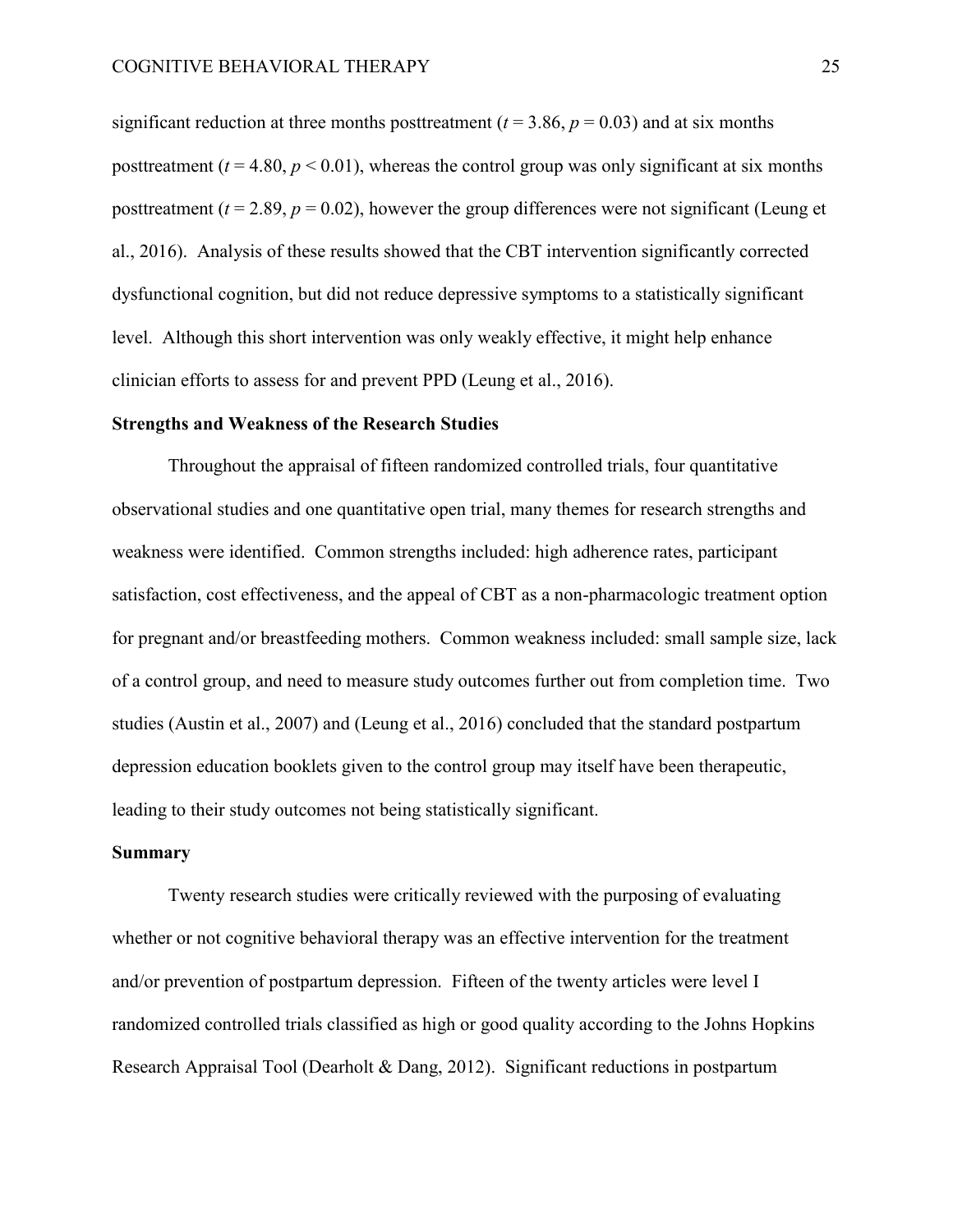significant reduction at three months posttreatment  $(t = 3.86, p = 0.03)$  and at six months posttreatment ( $t = 4.80$ ,  $p < 0.01$ ), whereas the control group was only significant at six months posttreatment  $(t = 2.89, p = 0.02)$ , however the group differences were not significant (Leung et al., 2016). Analysis of these results showed that the CBT intervention significantly corrected dysfunctional cognition, but did not reduce depressive symptoms to a statistically significant level. Although this short intervention was only weakly effective, it might help enhance clinician efforts to assess for and prevent PPD (Leung et al., 2016).

### **Strengths and Weakness of the Research Studies**

 Throughout the appraisal of fifteen randomized controlled trials, four quantitative observational studies and one quantitative open trial, many themes for research strengths and weakness were identified. Common strengths included: high adherence rates, participant satisfaction, cost effectiveness, and the appeal of CBT as a non-pharmacologic treatment option for pregnant and/or breastfeeding mothers. Common weakness included: small sample size, lack of a control group, and need to measure study outcomes further out from completion time. Two studies (Austin et al., 2007) and (Leung et al., 2016) concluded that the standard postpartum depression education booklets given to the control group may itself have been therapeutic, leading to their study outcomes not being statistically significant.

### **Summary**

 Twenty research studies were critically reviewed with the purposing of evaluating whether or not cognitive behavioral therapy was an effective intervention for the treatment and/or prevention of postpartum depression. Fifteen of the twenty articles were level I randomized controlled trials classified as high or good quality according to the Johns Hopkins Research Appraisal Tool (Dearholt & Dang, 2012). Significant reductions in postpartum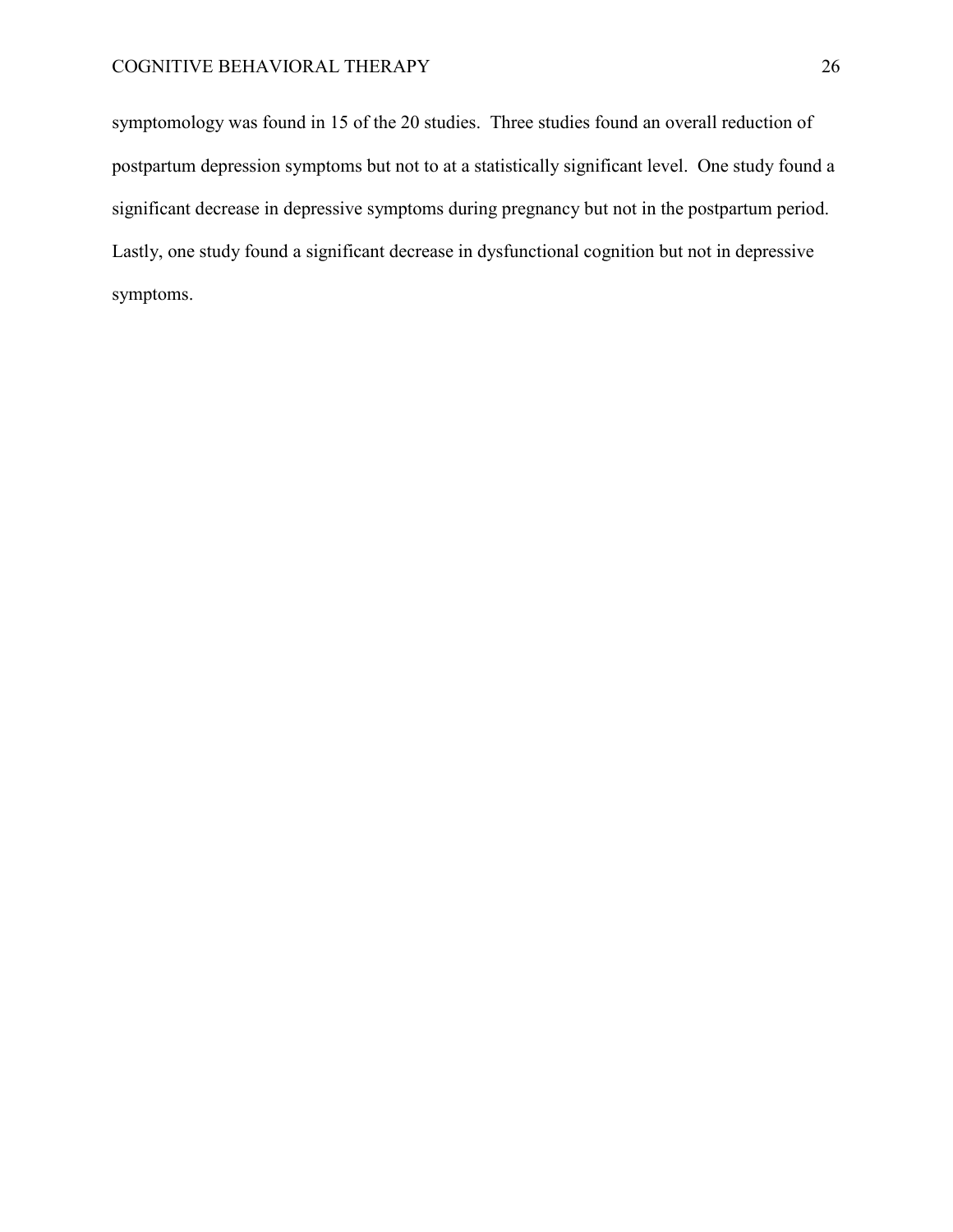symptomology was found in 15 of the 20 studies. Three studies found an overall reduction of postpartum depression symptoms but not to at a statistically significant level. One study found a significant decrease in depressive symptoms during pregnancy but not in the postpartum period. Lastly, one study found a significant decrease in dysfunctional cognition but not in depressive symptoms.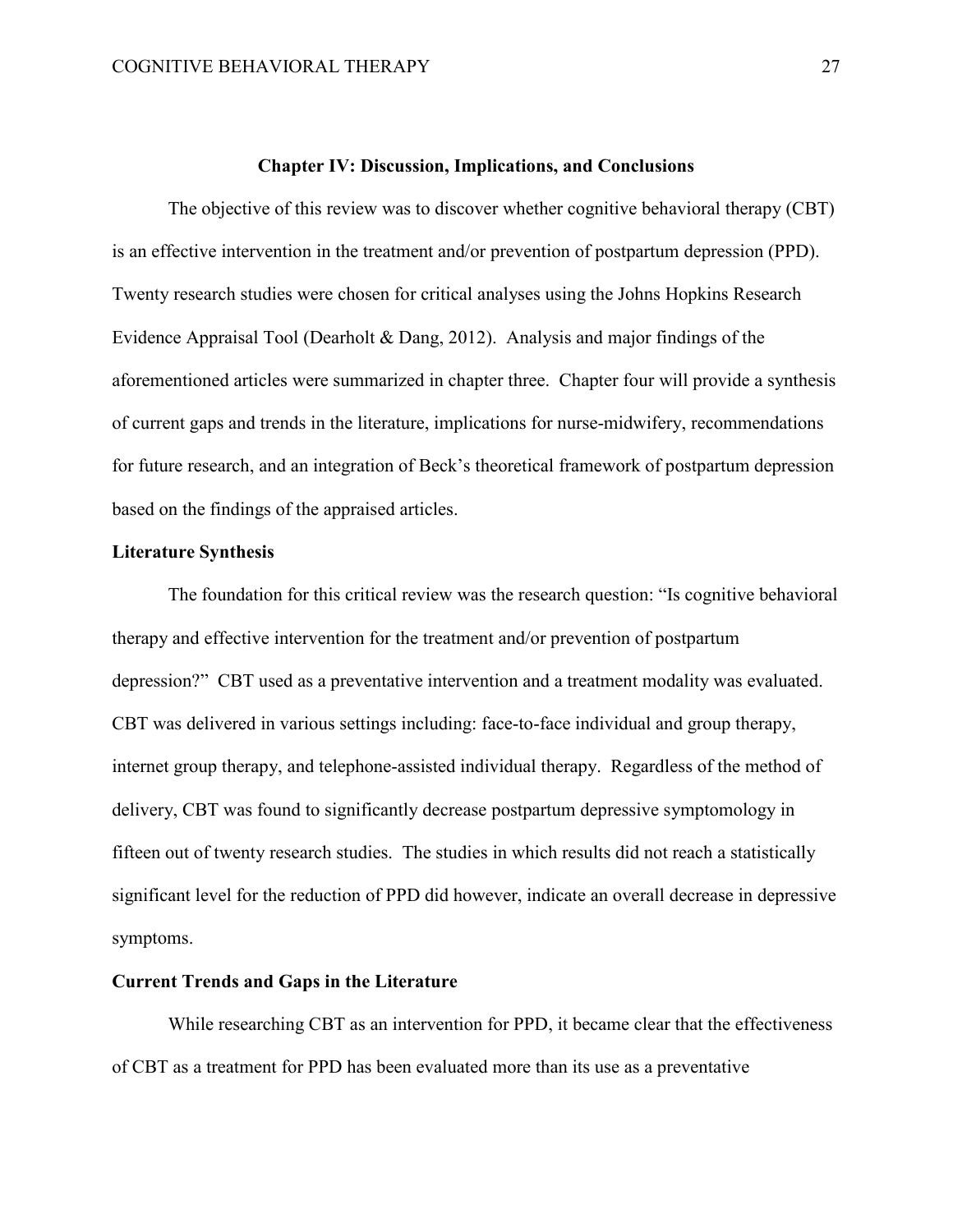#### **Chapter IV: Discussion, Implications, and Conclusions**

The objective of this review was to discover whether cognitive behavioral therapy (CBT) is an effective intervention in the treatment and/or prevention of postpartum depression (PPD). Twenty research studies were chosen for critical analyses using the Johns Hopkins Research Evidence Appraisal Tool (Dearholt & Dang, 2012). Analysis and major findings of the aforementioned articles were summarized in chapter three. Chapter four will provide a synthesis of current gaps and trends in the literature, implications for nurse-midwifery, recommendations for future research, and an integration of Beck's theoretical framework of postpartum depression based on the findings of the appraised articles.

### **Literature Synthesis**

 The foundation for this critical review was the research question: "Is cognitive behavioral therapy and effective intervention for the treatment and/or prevention of postpartum depression?" CBT used as a preventative intervention and a treatment modality was evaluated. CBT was delivered in various settings including: face-to-face individual and group therapy, internet group therapy, and telephone-assisted individual therapy. Regardless of the method of delivery, CBT was found to significantly decrease postpartum depressive symptomology in fifteen out of twenty research studies. The studies in which results did not reach a statistically significant level for the reduction of PPD did however, indicate an overall decrease in depressive symptoms.

# **Current Trends and Gaps in the Literature**

While researching CBT as an intervention for PPD, it became clear that the effectiveness of CBT as a treatment for PPD has been evaluated more than its use as a preventative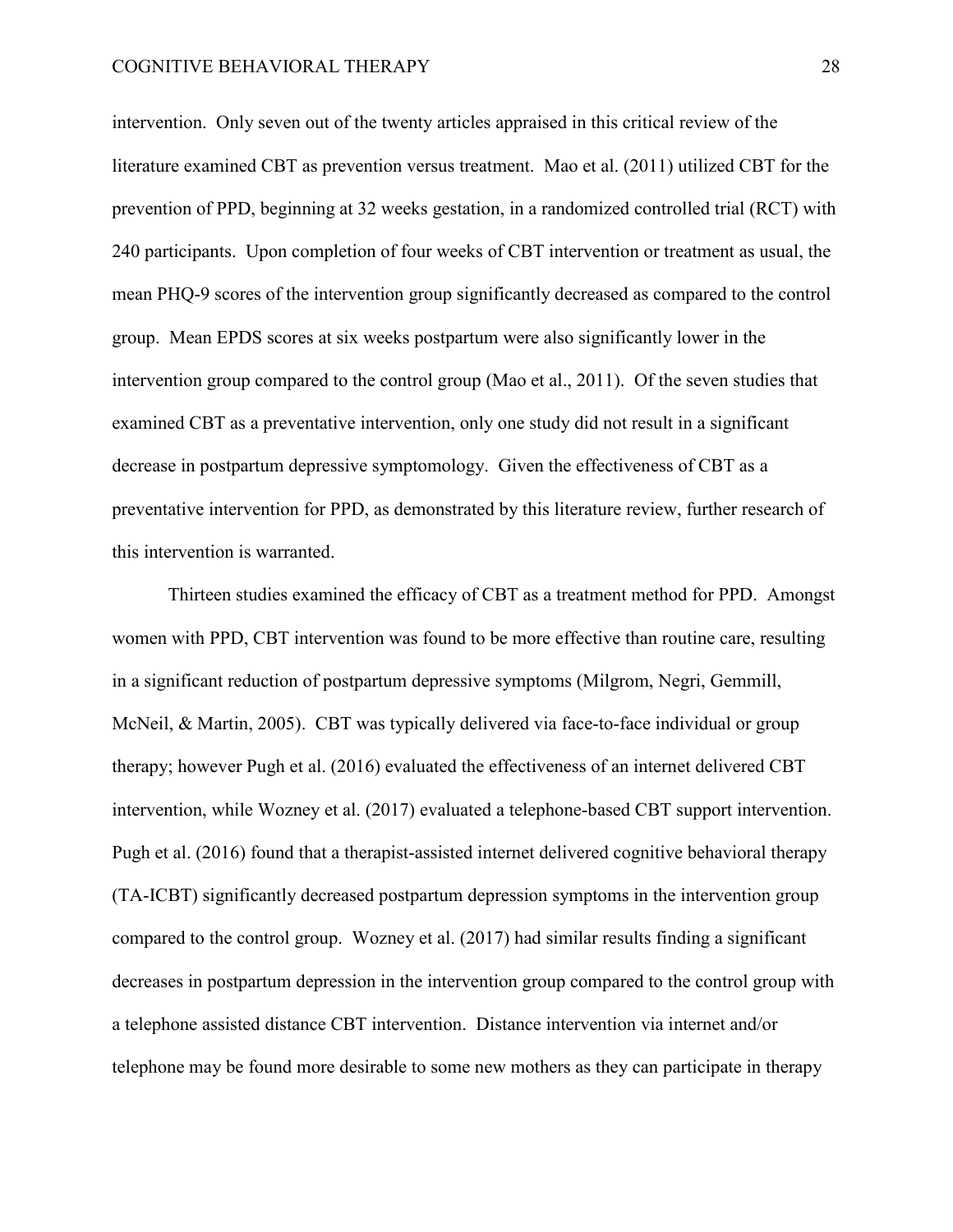intervention. Only seven out of the twenty articles appraised in this critical review of the literature examined CBT as prevention versus treatment. Mao et al. (2011) utilized CBT for the prevention of PPD, beginning at 32 weeks gestation, in a randomized controlled trial (RCT) with 240 participants. Upon completion of four weeks of CBT intervention or treatment as usual, the mean PHQ-9 scores of the intervention group significantly decreased as compared to the control group. Mean EPDS scores at six weeks postpartum were also significantly lower in the intervention group compared to the control group (Mao et al., 2011). Of the seven studies that examined CBT as a preventative intervention, only one study did not result in a significant decrease in postpartum depressive symptomology. Given the effectiveness of CBT as a preventative intervention for PPD, as demonstrated by this literature review, further research of this intervention is warranted.

Thirteen studies examined the efficacy of CBT as a treatment method for PPD. Amongst women with PPD, CBT intervention was found to be more effective than routine care, resulting in a significant reduction of postpartum depressive symptoms (Milgrom, Negri, Gemmill, McNeil, & Martin, 2005). CBT was typically delivered via face-to-face individual or group therapy; however Pugh et al. (2016) evaluated the effectiveness of an internet delivered CBT intervention, while Wozney et al. (2017) evaluated a telephone-based CBT support intervention. Pugh et al. (2016) found that a therapist-assisted internet delivered cognitive behavioral therapy (TA-ICBT) significantly decreased postpartum depression symptoms in the intervention group compared to the control group. Wozney et al. (2017) had similar results finding a significant decreases in postpartum depression in the intervention group compared to the control group with a telephone assisted distance CBT intervention. Distance intervention via internet and/or telephone may be found more desirable to some new mothers as they can participate in therapy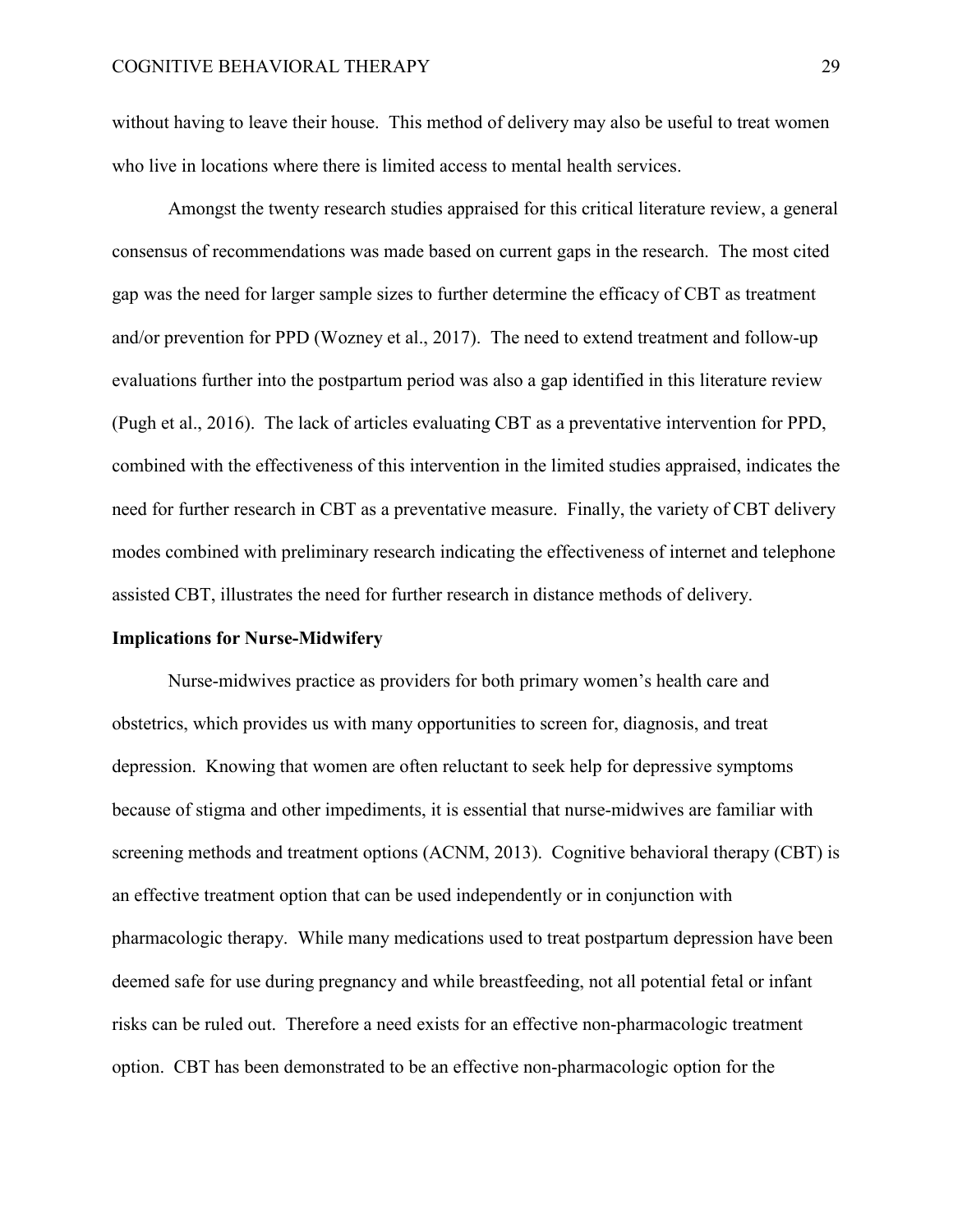without having to leave their house. This method of delivery may also be useful to treat women who live in locations where there is limited access to mental health services.

Amongst the twenty research studies appraised for this critical literature review, a general consensus of recommendations was made based on current gaps in the research. The most cited gap was the need for larger sample sizes to further determine the efficacy of CBT as treatment and/or prevention for PPD (Wozney et al., 2017). The need to extend treatment and follow-up evaluations further into the postpartum period was also a gap identified in this literature review (Pugh et al., 2016). The lack of articles evaluating CBT as a preventative intervention for PPD, combined with the effectiveness of this intervention in the limited studies appraised, indicates the need for further research in CBT as a preventative measure. Finally, the variety of CBT delivery modes combined with preliminary research indicating the effectiveness of internet and telephone assisted CBT, illustrates the need for further research in distance methods of delivery.

#### **Implications for Nurse-Midwifery**

Nurse-midwives practice as providers for both primary women's health care and obstetrics, which provides us with many opportunities to screen for, diagnosis, and treat depression. Knowing that women are often reluctant to seek help for depressive symptoms because of stigma and other impediments, it is essential that nurse-midwives are familiar with screening methods and treatment options (ACNM, 2013). Cognitive behavioral therapy (CBT) is an effective treatment option that can be used independently or in conjunction with pharmacologic therapy. While many medications used to treat postpartum depression have been deemed safe for use during pregnancy and while breastfeeding, not all potential fetal or infant risks can be ruled out. Therefore a need exists for an effective non-pharmacologic treatment option. CBT has been demonstrated to be an effective non-pharmacologic option for the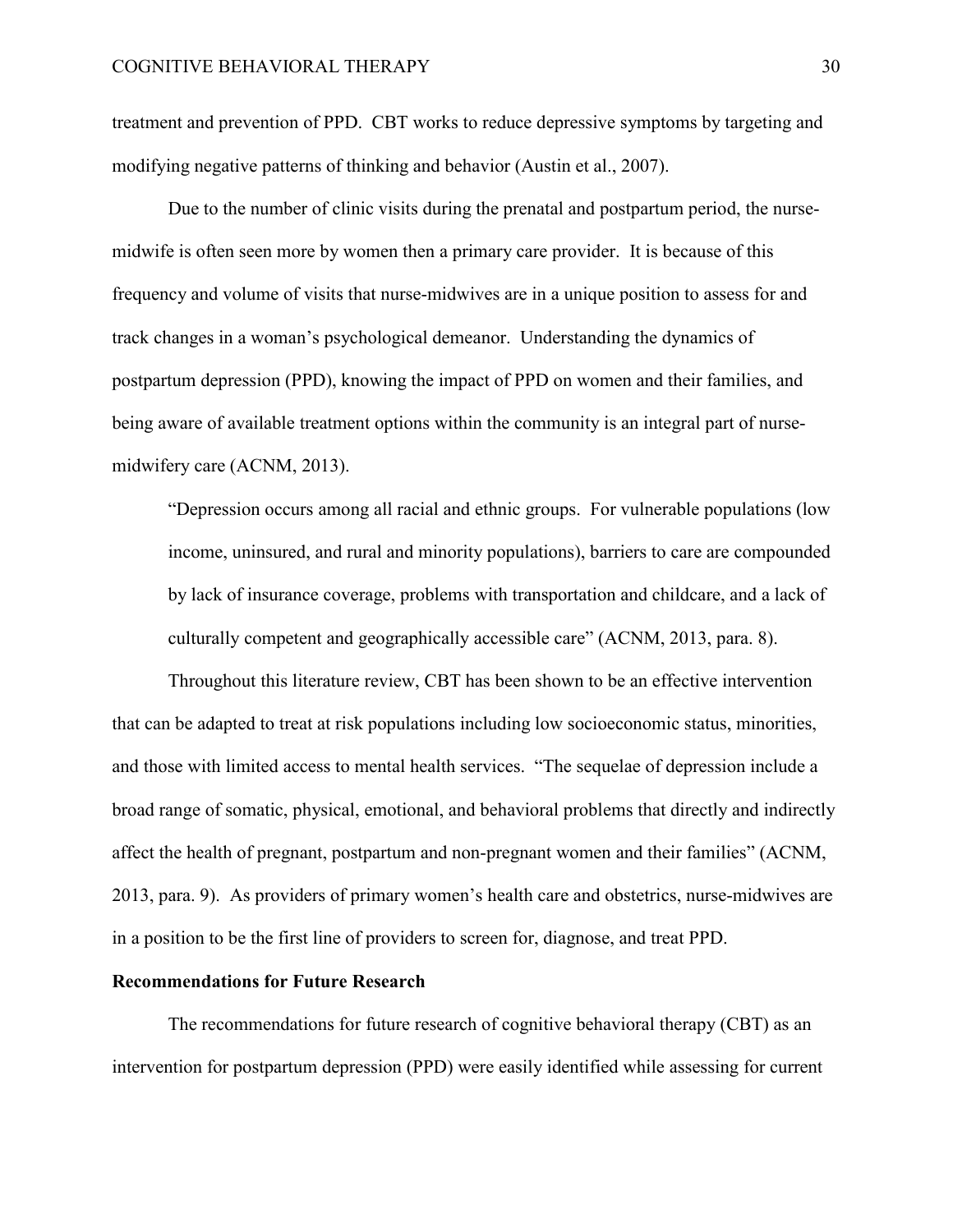treatment and prevention of PPD. CBT works to reduce depressive symptoms by targeting and modifying negative patterns of thinking and behavior (Austin et al., 2007).

 Due to the number of clinic visits during the prenatal and postpartum period, the nursemidwife is often seen more by women then a primary care provider. It is because of this frequency and volume of visits that nurse-midwives are in a unique position to assess for and track changes in a woman's psychological demeanor. Understanding the dynamics of postpartum depression (PPD), knowing the impact of PPD on women and their families, and being aware of available treatment options within the community is an integral part of nursemidwifery care (ACNM, 2013).

"Depression occurs among all racial and ethnic groups. For vulnerable populations (low income, uninsured, and rural and minority populations), barriers to care are compounded by lack of insurance coverage, problems with transportation and childcare, and a lack of culturally competent and geographically accessible care" (ACNM, 2013, para. 8).

Throughout this literature review, CBT has been shown to be an effective intervention that can be adapted to treat at risk populations including low socioeconomic status, minorities, and those with limited access to mental health services. "The sequelae of depression include a broad range of somatic, physical, emotional, and behavioral problems that directly and indirectly affect the health of pregnant, postpartum and non-pregnant women and their families" (ACNM, 2013, para. 9). As providers of primary women's health care and obstetrics, nurse-midwives are in a position to be the first line of providers to screen for, diagnose, and treat PPD.

### **Recommendations for Future Research**

 The recommendations for future research of cognitive behavioral therapy (CBT) as an intervention for postpartum depression (PPD) were easily identified while assessing for current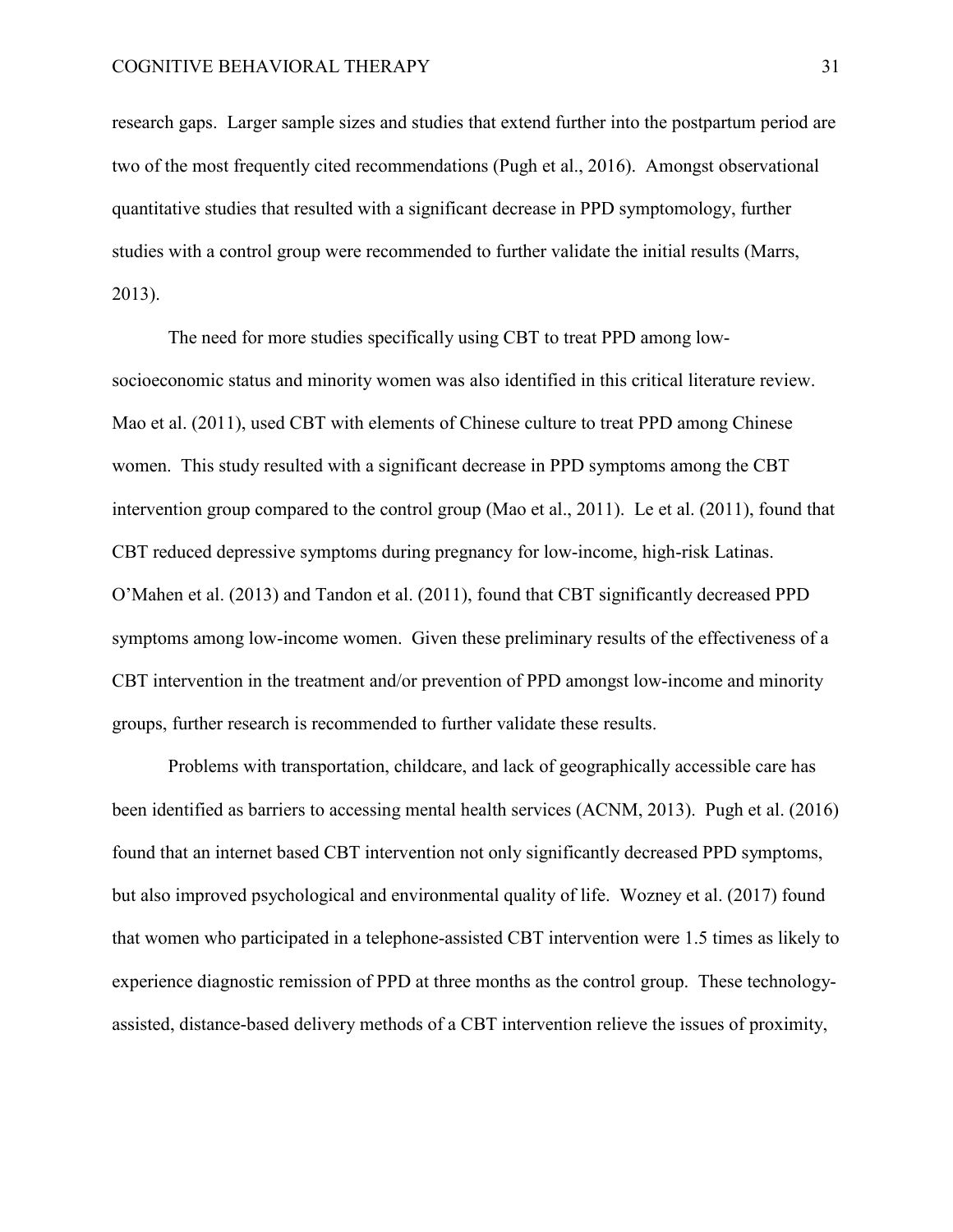research gaps. Larger sample sizes and studies that extend further into the postpartum period are two of the most frequently cited recommendations (Pugh et al., 2016). Amongst observational quantitative studies that resulted with a significant decrease in PPD symptomology, further studies with a control group were recommended to further validate the initial results (Marrs, 2013).

 The need for more studies specifically using CBT to treat PPD among lowsocioeconomic status and minority women was also identified in this critical literature review. Mao et al. (2011), used CBT with elements of Chinese culture to treat PPD among Chinese women. This study resulted with a significant decrease in PPD symptoms among the CBT intervention group compared to the control group (Mao et al., 2011). Le et al. (2011), found that CBT reduced depressive symptoms during pregnancy for low-income, high-risk Latinas. O'Mahen et al. (2013) and Tandon et al. (2011), found that CBT significantly decreased PPD symptoms among low-income women. Given these preliminary results of the effectiveness of a CBT intervention in the treatment and/or prevention of PPD amongst low-income and minority groups, further research is recommended to further validate these results.

Problems with transportation, childcare, and lack of geographically accessible care has been identified as barriers to accessing mental health services (ACNM, 2013). Pugh et al. (2016) found that an internet based CBT intervention not only significantly decreased PPD symptoms, but also improved psychological and environmental quality of life. Wozney et al. (2017) found that women who participated in a telephone-assisted CBT intervention were 1.5 times as likely to experience diagnostic remission of PPD at three months as the control group. These technologyassisted, distance-based delivery methods of a CBT intervention relieve the issues of proximity,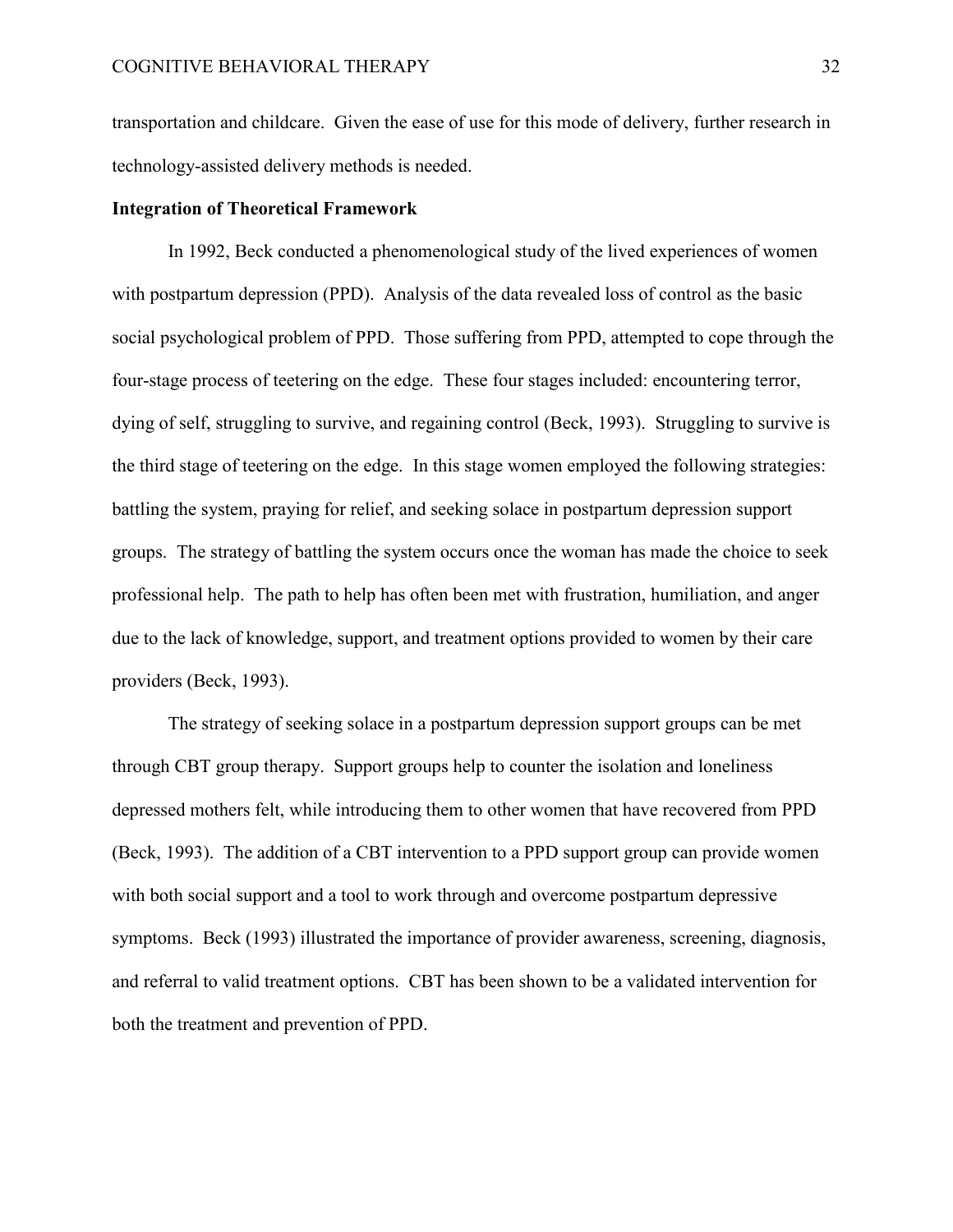transportation and childcare. Given the ease of use for this mode of delivery, further research in technology-assisted delivery methods is needed.

# **Integration of Theoretical Framework**

In 1992, Beck conducted a phenomenological study of the lived experiences of women with postpartum depression (PPD). Analysis of the data revealed loss of control as the basic social psychological problem of PPD. Those suffering from PPD, attempted to cope through the four-stage process of teetering on the edge. These four stages included: encountering terror, dying of self, struggling to survive, and regaining control (Beck, 1993). Struggling to survive is the third stage of teetering on the edge. In this stage women employed the following strategies: battling the system, praying for relief, and seeking solace in postpartum depression support groups. The strategy of battling the system occurs once the woman has made the choice to seek professional help. The path to help has often been met with frustration, humiliation, and anger due to the lack of knowledge, support, and treatment options provided to women by their care providers (Beck, 1993).

 The strategy of seeking solace in a postpartum depression support groups can be met through CBT group therapy. Support groups help to counter the isolation and loneliness depressed mothers felt, while introducing them to other women that have recovered from PPD (Beck, 1993). The addition of a CBT intervention to a PPD support group can provide women with both social support and a tool to work through and overcome postpartum depressive symptoms. Beck (1993) illustrated the importance of provider awareness, screening, diagnosis, and referral to valid treatment options. CBT has been shown to be a validated intervention for both the treatment and prevention of PPD.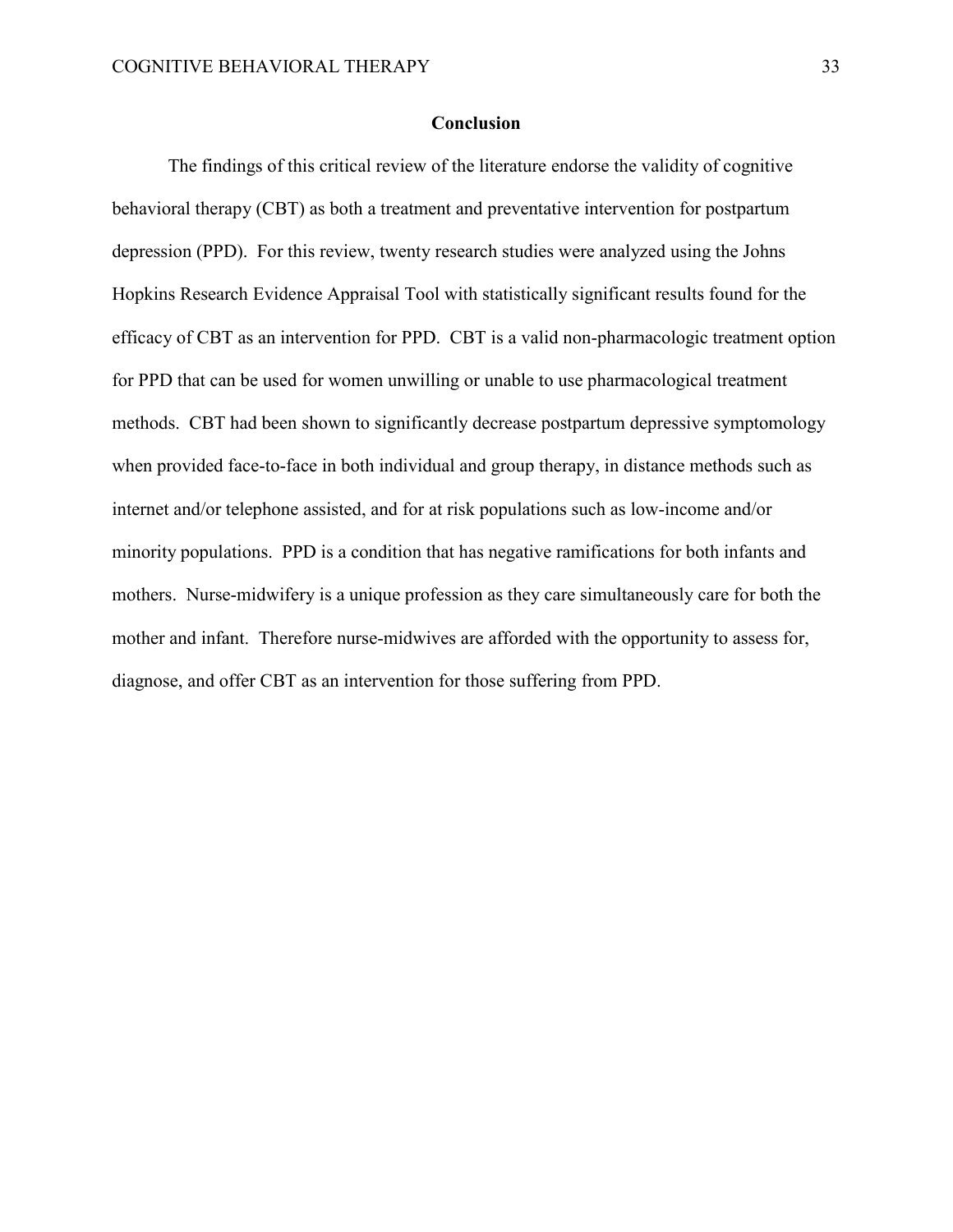# **Conclusion**

The findings of this critical review of the literature endorse the validity of cognitive behavioral therapy (CBT) as both a treatment and preventative intervention for postpartum depression (PPD). For this review, twenty research studies were analyzed using the Johns Hopkins Research Evidence Appraisal Tool with statistically significant results found for the efficacy of CBT as an intervention for PPD. CBT is a valid non-pharmacologic treatment option for PPD that can be used for women unwilling or unable to use pharmacological treatment methods. CBT had been shown to significantly decrease postpartum depressive symptomology when provided face-to-face in both individual and group therapy, in distance methods such as internet and/or telephone assisted, and for at risk populations such as low-income and/or minority populations. PPD is a condition that has negative ramifications for both infants and mothers. Nurse-midwifery is a unique profession as they care simultaneously care for both the mother and infant. Therefore nurse-midwives are afforded with the opportunity to assess for, diagnose, and offer CBT as an intervention for those suffering from PPD.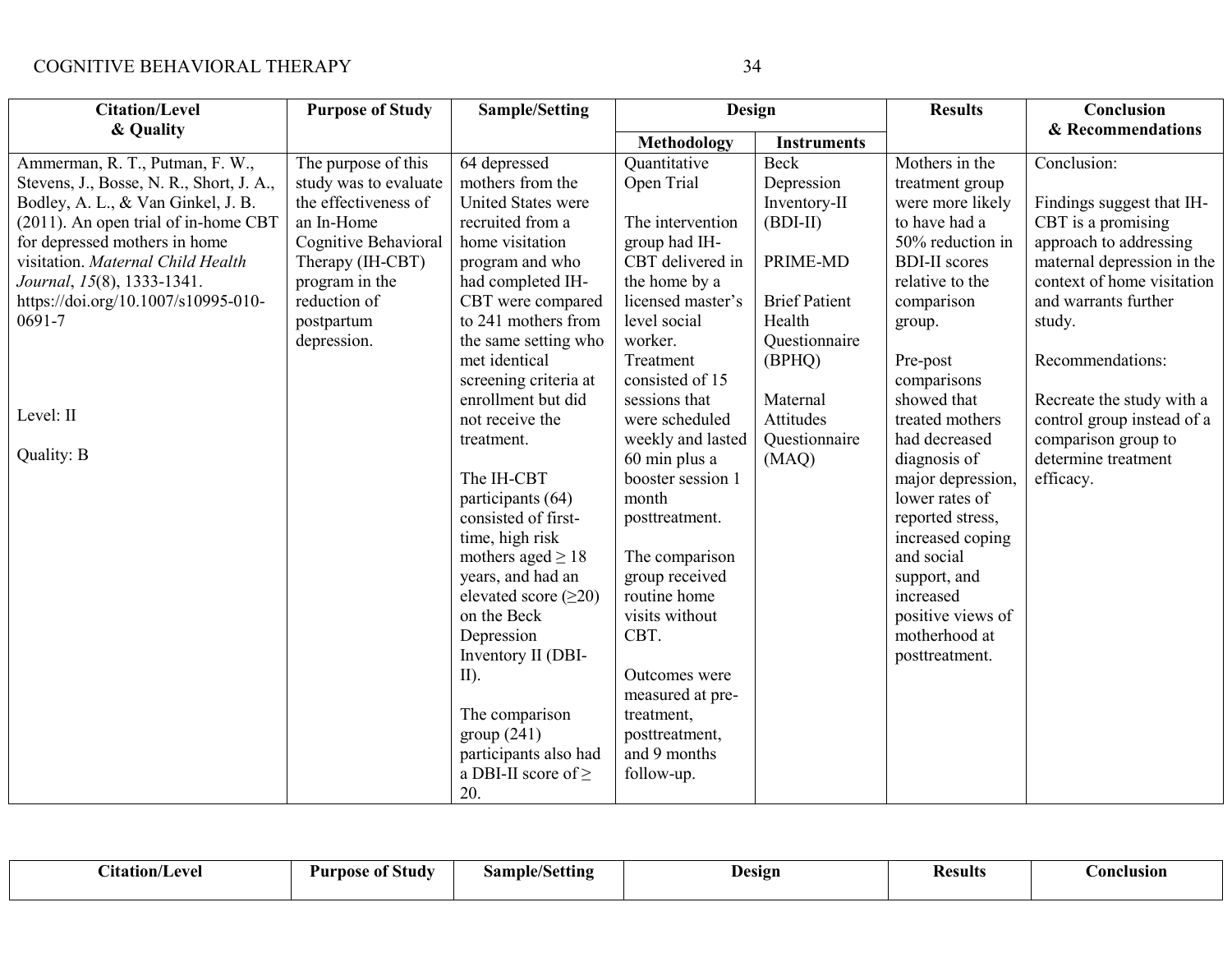| <b>Citation/Level</b>                    | <b>Purpose of Study</b> | <b>Sample/Setting</b>      | Design            |                      | <b>Results</b>       | Conclusion                 |
|------------------------------------------|-------------------------|----------------------------|-------------------|----------------------|----------------------|----------------------------|
| & Quality                                |                         |                            | Methodology       | <b>Instruments</b>   |                      | & Recommendations          |
| Ammerman, R. T., Putman, F. W.,          | The purpose of this     | 64 depressed               | Quantitative      | <b>Beck</b>          | Mothers in the       | Conclusion:                |
| Stevens, J., Bosse, N. R., Short, J. A., | study was to evaluate   | mothers from the           | Open Trial        | Depression           | treatment group      |                            |
| Bodley, A. L., & Van Ginkel, J. B.       | the effectiveness of    | <b>United States were</b>  |                   | Inventory-II         | were more likely     | Findings suggest that IH-  |
| (2011). An open trial of in-home CBT     | an In-Home              | recruited from a           | The intervention  | $(BDI-II)$           | to have had a        | CBT is a promising         |
| for depressed mothers in home            | Cognitive Behavioral    | home visitation            | group had IH-     |                      | 50% reduction in     | approach to addressing     |
| visitation. Maternal Child Health        | Therapy (IH-CBT)        | program and who            | CBT delivered in  | PRIME-MD             | <b>BDI-II</b> scores | maternal depression in the |
| Journal, 15(8), 1333-1341.               | program in the          | had completed IH-          | the home by a     |                      | relative to the      | context of home visitation |
| https://doi.org/10.1007/s10995-010-      | reduction of            | CBT were compared          | licensed master's | <b>Brief Patient</b> | comparison           | and warrants further       |
| 0691-7                                   | postpartum              | to 241 mothers from        | level social      | Health               | group.               | study.                     |
|                                          | depression.             | the same setting who       | worker.           | Questionnaire        |                      |                            |
|                                          |                         | met identical              | Treatment         | (BPHQ)               | Pre-post             | Recommendations:           |
|                                          |                         | screening criteria at      | consisted of 15   |                      | comparisons          |                            |
|                                          |                         | enrollment but did         | sessions that     | Maternal             | showed that          | Recreate the study with a  |
| Level: II                                |                         | not receive the            | were scheduled    | Attitudes            | treated mothers      | control group instead of a |
|                                          |                         | treatment.                 | weekly and lasted | Questionnaire        | had decreased        | comparison group to        |
| Quality: B                               |                         |                            | 60 min plus a     | (MAQ)                | diagnosis of         | determine treatment        |
|                                          |                         | The IH-CBT                 | booster session 1 |                      | major depression,    | efficacy.                  |
|                                          |                         | participants (64)          | month             |                      | lower rates of       |                            |
|                                          |                         | consisted of first-        | posttreatment.    |                      | reported stress,     |                            |
|                                          |                         | time, high risk            |                   |                      | increased coping     |                            |
|                                          |                         | mothers aged $\geq 18$     | The comparison    |                      | and social           |                            |
|                                          |                         | years, and had an          | group received    |                      | support, and         |                            |
|                                          |                         | elevated score $(\geq 20)$ | routine home      |                      | increased            |                            |
|                                          |                         | on the Beck                | visits without    |                      | positive views of    |                            |
|                                          |                         | Depression                 | CBT.              |                      | motherhood at        |                            |
|                                          |                         | Inventory II (DBI-         |                   |                      | posttreatment.       |                            |
|                                          |                         | $II$ ).                    | Outcomes were     |                      |                      |                            |
|                                          |                         |                            | measured at pre-  |                      |                      |                            |
|                                          |                         | The comparison             | treatment,        |                      |                      |                            |
|                                          |                         | group(241)                 | posttreatment,    |                      |                      |                            |
|                                          |                         | participants also had      | and 9 months      |                      |                      |                            |
|                                          |                         | a DBI-II score of $\geq$   | follow-up.        |                      |                      |                            |
|                                          |                         | 20.                        |                   |                      |                      |                            |

| $\sim \cdot$<br>/Level<br>Atation/ | <b>Study</b><br>Purpos<br>-01 | $\cdots$<br>$\mathbf{sample}/\mathbf{V}$<br>/Setting/ | Design | .<br>Results | <b>Conclusion</b> |
|------------------------------------|-------------------------------|-------------------------------------------------------|--------|--------------|-------------------|
|------------------------------------|-------------------------------|-------------------------------------------------------|--------|--------------|-------------------|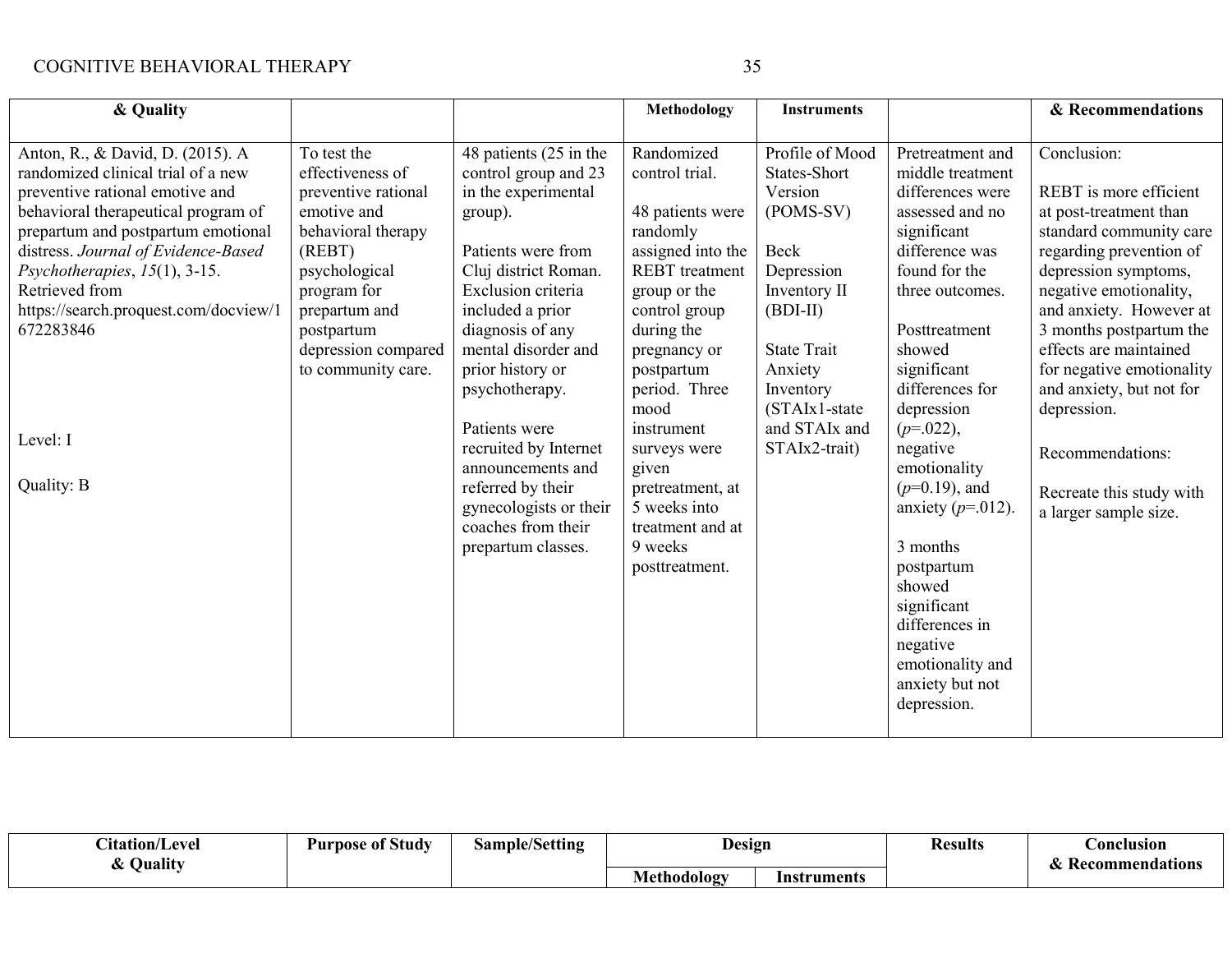| & Quality                                                                                                                                                                                                                                                                                                                                 |                                                                                                                                                                                                                   |                                                                                                                                                                                                                                                           | <b>Methodology</b>                                                                                                                                                                                       | <b>Instruments</b>                                                                                                                                        |                                                                                                                                                                                                               | & Recommendations                                                                                                                                                                                                                                                                                                |
|-------------------------------------------------------------------------------------------------------------------------------------------------------------------------------------------------------------------------------------------------------------------------------------------------------------------------------------------|-------------------------------------------------------------------------------------------------------------------------------------------------------------------------------------------------------------------|-----------------------------------------------------------------------------------------------------------------------------------------------------------------------------------------------------------------------------------------------------------|----------------------------------------------------------------------------------------------------------------------------------------------------------------------------------------------------------|-----------------------------------------------------------------------------------------------------------------------------------------------------------|---------------------------------------------------------------------------------------------------------------------------------------------------------------------------------------------------------------|------------------------------------------------------------------------------------------------------------------------------------------------------------------------------------------------------------------------------------------------------------------------------------------------------------------|
| Anton, R., & David, D. (2015). A<br>randomized clinical trial of a new<br>preventive rational emotive and<br>behavioral therapeutical program of<br>prepartum and postpartum emotional<br>distress. Journal of Evidence-Based<br>Psychotherapies, $15(1)$ , 3-15.<br>Retrieved from<br>https://search.proquest.com/docview/1<br>672283846 | To test the<br>effectiveness of<br>preventive rational<br>emotive and<br>behavioral therapy<br>(REBT)<br>psychological<br>program for<br>prepartum and<br>postpartum<br>depression compared<br>to community care. | 48 patients (25 in the<br>control group and 23<br>in the experimental<br>group).<br>Patients were from<br>Cluj district Roman.<br>Exclusion criteria<br>included a prior<br>diagnosis of any<br>mental disorder and<br>prior history or<br>psychotherapy. | Randomized<br>control trial.<br>48 patients were<br>randomly<br>assigned into the<br><b>REBT</b> treatment<br>group or the<br>control group<br>during the<br>pregnancy or<br>postpartum<br>period. Three | Profile of Mood<br>States-Short<br>Version<br>(POMS-SV)<br>Beck<br>Depression<br>Inventory II<br>$(BDI-II)$<br><b>State Trait</b><br>Anxiety<br>Inventory | Pretreatment and<br>middle treatment<br>differences were<br>assessed and no<br>significant<br>difference was<br>found for the<br>three outcomes.<br>Posttreatment<br>showed<br>significant<br>differences for | Conclusion:<br>REBT is more efficient<br>at post-treatment than<br>standard community care<br>regarding prevention of<br>depression symptoms,<br>negative emotionality,<br>and anxiety. However at<br>3 months postpartum the<br>effects are maintained<br>for negative emotionality<br>and anxiety, but not for |
| Level: I                                                                                                                                                                                                                                                                                                                                  |                                                                                                                                                                                                                   | Patients were<br>recruited by Internet<br>announcements and                                                                                                                                                                                               | mood<br>instrument<br>surveys were<br>given                                                                                                                                                              | $(STAIx1-state$<br>and STAIx and<br>STAIx2-trait)                                                                                                         | depression<br>$(p=.022),$<br>negative<br>emotionality                                                                                                                                                         | depression.<br>Recommendations:                                                                                                                                                                                                                                                                                  |
| Quality: B                                                                                                                                                                                                                                                                                                                                |                                                                                                                                                                                                                   | referred by their<br>gynecologists or their<br>coaches from their<br>prepartum classes.                                                                                                                                                                   | pretreatment, at<br>5 weeks into<br>treatment and at<br>9 weeks<br>posttreatment.                                                                                                                        |                                                                                                                                                           | $(p=0.19)$ , and<br>anxiety ( $p=012$ ).<br>3 months<br>postpartum<br>showed<br>significant<br>differences in<br>negative<br>emotionality and<br>anxiety but not<br>depression.                               | Recreate this study with<br>a larger sample size.                                                                                                                                                                                                                                                                |

| $\sim$<br>atation/!<br>eve<br>Quality | $\sim$<br>Study<br>nose<br>: 01<br>Pur | Sample/Setting | Design      |             | Kesults | <b>Anclusion</b> |
|---------------------------------------|----------------------------------------|----------------|-------------|-------------|---------|------------------|
|                                       |                                        |                | Methodology | Instruments |         | Kecommendations  |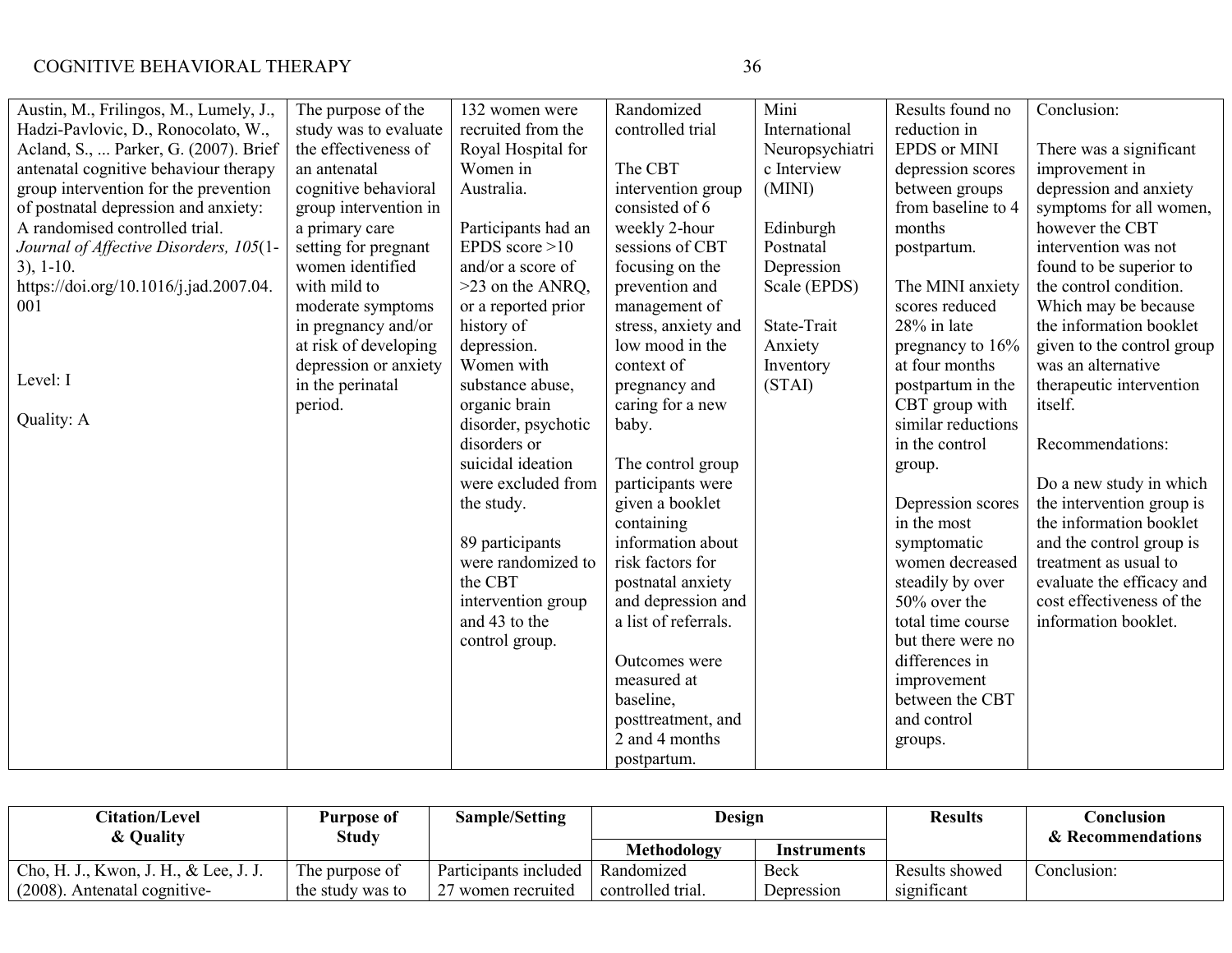| ٠<br>i<br>I | ٧<br>I<br>٠<br>I<br>٠. |
|-------------|------------------------|
| ۰.<br>۰,    | I<br>I<br>×<br>۰,      |

| Austin, M., Frilingos, M., Lumely, J., | The purpose of the    | 132 women were      | Randomized           | Mini            | Results found no   | Conclusion:                |
|----------------------------------------|-----------------------|---------------------|----------------------|-----------------|--------------------|----------------------------|
| Hadzi-Pavlovic, D., Ronocolato, W.,    | study was to evaluate | recruited from the  | controlled trial     | International   | reduction in       |                            |
| Acland, S.,  Parker, G. (2007). Brief  | the effectiveness of  | Royal Hospital for  |                      | Neuropsychiatri | EPDS or MINI       | There was a significant    |
| antenatal cognitive behaviour therapy  | an antenatal          | Women in            | The CBT              | c Interview     | depression scores  | improvement in             |
| group intervention for the prevention  | cognitive behavioral  | Australia.          | intervention group   | (MINI)          | between groups     | depression and anxiety     |
| of postnatal depression and anxiety:   | group intervention in |                     | consisted of 6       |                 | from baseline to 4 | symptoms for all women,    |
| A randomised controlled trial.         | a primary care        | Participants had an | weekly 2-hour        | Edinburgh       | months             | however the CBT            |
| Journal of Affective Disorders, 105(1- | setting for pregnant  | EPDS score $>10$    | sessions of CBT      | Postnatal       | postpartum.        | intervention was not       |
| $3)$ , 1-10.                           | women identified      | and/or a score of   | focusing on the      | Depression      |                    | found to be superior to    |
| https://doi.org/10.1016/j.jad.2007.04. | with mild to          | $>23$ on the ANRQ,  | prevention and       | Scale (EPDS)    | The MINI anxiety   | the control condition.     |
| 001                                    | moderate symptoms     | or a reported prior | management of        |                 | scores reduced     | Which may be because       |
|                                        | in pregnancy and/or   | history of          | stress, anxiety and  | State-Trait     | 28% in late        | the information booklet    |
|                                        | at risk of developing | depression.         | low mood in the      | Anxiety         | pregnancy to 16%   | given to the control group |
|                                        | depression or anxiety | Women with          | context of           | Inventory       | at four months     | was an alternative         |
| Level: I                               | in the perinatal      | substance abuse,    | pregnancy and        | (STAI)          | postpartum in the  | therapeutic intervention   |
|                                        | period.               | organic brain       | caring for a new     |                 | CBT group with     | itself.                    |
| Quality: A                             |                       | disorder, psychotic | baby.                |                 | similar reductions |                            |
|                                        |                       | disorders or        |                      |                 | in the control     | Recommendations:           |
|                                        |                       | suicidal ideation   | The control group    |                 | group.             |                            |
|                                        |                       | were excluded from  | participants were    |                 |                    | Do a new study in which    |
|                                        |                       | the study.          | given a booklet      |                 | Depression scores  | the intervention group is  |
|                                        |                       |                     | containing           |                 | in the most        | the information booklet    |
|                                        |                       | 89 participants     | information about    |                 | symptomatic        | and the control group is   |
|                                        |                       | were randomized to  | risk factors for     |                 | women decreased    | treatment as usual to      |
|                                        |                       | the CBT             | postnatal anxiety    |                 | steadily by over   | evaluate the efficacy and  |
|                                        |                       | intervention group  | and depression and   |                 | 50% over the       | cost effectiveness of the  |
|                                        |                       | and 43 to the       | a list of referrals. |                 | total time course  | information booklet.       |
|                                        |                       | control group.      |                      |                 | but there were no  |                            |
|                                        |                       |                     | Outcomes were        |                 | differences in     |                            |
|                                        |                       |                     | measured at          |                 | improvement        |                            |
|                                        |                       |                     | baseline,            |                 | between the CBT    |                            |
|                                        |                       |                     | posttreatment, and   |                 | and control        |                            |
|                                        |                       |                     | 2 and 4 months       |                 | groups.            |                            |
|                                        |                       |                     | postpartum.          |                 |                    |                            |

| <b>Citation/Level</b><br>& Quality    | Purpose of<br>Study | Sample/Setting        | Design            |             | <b>Results</b> | Conclusion<br>& Recommendations |
|---------------------------------------|---------------------|-----------------------|-------------------|-------------|----------------|---------------------------------|
|                                       |                     |                       | Methodology       | Instruments |                |                                 |
| Cho, H. J., Kwon, J. H., & Lee, J. J. | The purpose of      | Participants included | Randomized        | Beck        | Results showed | Conclusion:                     |
| (2008)<br>Antenatal cognitive-        | the study was to    | 7 women recruited     | controlled trial. | Depression  | significant    |                                 |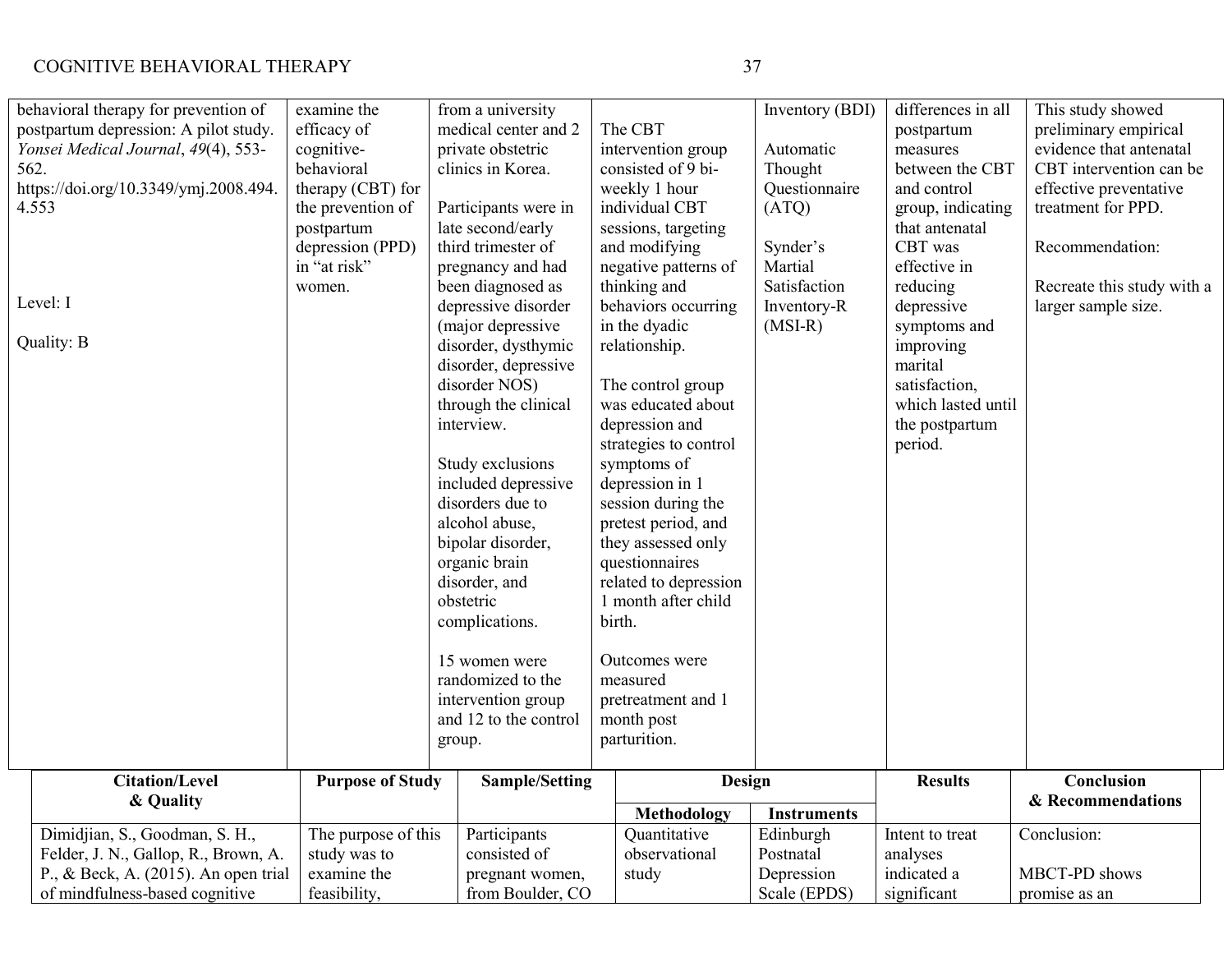| behavioral therapy for prevention of  | examine the             | from a university                           |                       | Inventory (BDI)    | differences in all | This study showed          |
|---------------------------------------|-------------------------|---------------------------------------------|-----------------------|--------------------|--------------------|----------------------------|
| postpartum depression: A pilot study. | efficacy of             | medical center and 2                        | The CBT               |                    | postpartum         | preliminary empirical      |
| Yonsei Medical Journal, 49(4), 553-   | cognitive-              | private obstetric                           | intervention group    | Automatic          | measures           | evidence that antenatal    |
| 562.                                  | behavioral              | clinics in Korea.                           | consisted of 9 bi-    | Thought            | between the CBT    | CBT intervention can be    |
| https://doi.org/10.3349/ymj.2008.494. | therapy (CBT) for       |                                             | weekly 1 hour         | Questionnaire      | and control        | effective preventative     |
| 4.553                                 | the prevention of       | Participants were in                        | individual CBT        | (ATQ)              | group, indicating  | treatment for PPD.         |
|                                       | postpartum              | late second/early                           | sessions, targeting   |                    | that antenatal     |                            |
|                                       | depression (PPD)        | third trimester of                          | and modifying         | Synder's           | CBT was            | Recommendation:            |
|                                       | in "at risk"            | pregnancy and had                           | negative patterns of  | Martial            | effective in       |                            |
|                                       | women.                  | been diagnosed as                           | thinking and          | Satisfaction       | reducing           | Recreate this study with a |
| Level: I                              |                         | depressive disorder                         | behaviors occurring   | Inventory-R        | depressive         | larger sample size.        |
|                                       |                         | (major depressive                           | in the dyadic         | $(MSI-R)$          | symptoms and       |                            |
| Quality: B                            |                         | disorder, dysthymic                         | relationship.         |                    | improving          |                            |
|                                       |                         | disorder, depressive                        |                       |                    | marital            |                            |
|                                       |                         | disorder NOS)                               | The control group     |                    | satisfaction,      |                            |
|                                       |                         | through the clinical                        | was educated about    |                    | which lasted until |                            |
|                                       |                         | interview.                                  | depression and        |                    | the postpartum     |                            |
|                                       |                         |                                             | strategies to control |                    | period.            |                            |
|                                       |                         | Study exclusions                            | symptoms of           |                    |                    |                            |
|                                       |                         | included depressive                         | depression in 1       |                    |                    |                            |
|                                       |                         | disorders due to                            | session during the    |                    |                    |                            |
|                                       |                         | alcohol abuse,                              | pretest period, and   |                    |                    |                            |
|                                       |                         | bipolar disorder,                           | they assessed only    |                    |                    |                            |
|                                       |                         | organic brain                               | questionnaires        |                    |                    |                            |
|                                       |                         | disorder, and                               | related to depression |                    |                    |                            |
|                                       |                         | obstetric                                   | 1 month after child   |                    |                    |                            |
|                                       |                         | complications.                              | birth.                |                    |                    |                            |
|                                       |                         |                                             |                       |                    |                    |                            |
|                                       |                         | 15 women were                               | Outcomes were         |                    |                    |                            |
|                                       |                         | randomized to the                           | measured              |                    |                    |                            |
|                                       |                         |                                             |                       |                    |                    |                            |
|                                       |                         | intervention group<br>and 12 to the control | pretreatment and 1    |                    |                    |                            |
|                                       |                         |                                             | month post            |                    |                    |                            |
|                                       |                         | group.                                      | parturition.          |                    |                    |                            |
| <b>Citation/Level</b>                 | <b>Purpose of Study</b> | <b>Sample/Setting</b>                       | <b>Design</b>         |                    | <b>Results</b>     | Conclusion                 |
| & Quality                             |                         |                                             |                       |                    |                    | & Recommendations          |
|                                       |                         |                                             | <b>Methodology</b>    | <b>Instruments</b> |                    |                            |
| Dimidjian, S., Goodman, S. H.,        | The purpose of this     | Participants                                | Quantitative          | Edinburgh          | Intent to treat    | Conclusion:                |
| Felder, J. N., Gallop, R., Brown, A.  | study was to            | consisted of                                | observational         | Postnatal          | analyses           |                            |
| P., & Beck, A. (2015). An open trial  | examine the             | pregnant women,                             | study                 | Depression         | indicated a        | MBCT-PD shows              |
| of mindfulness-based cognitive        | feasibility,            | from Boulder, CO                            |                       | Scale (EPDS)       | significant        | promise as an              |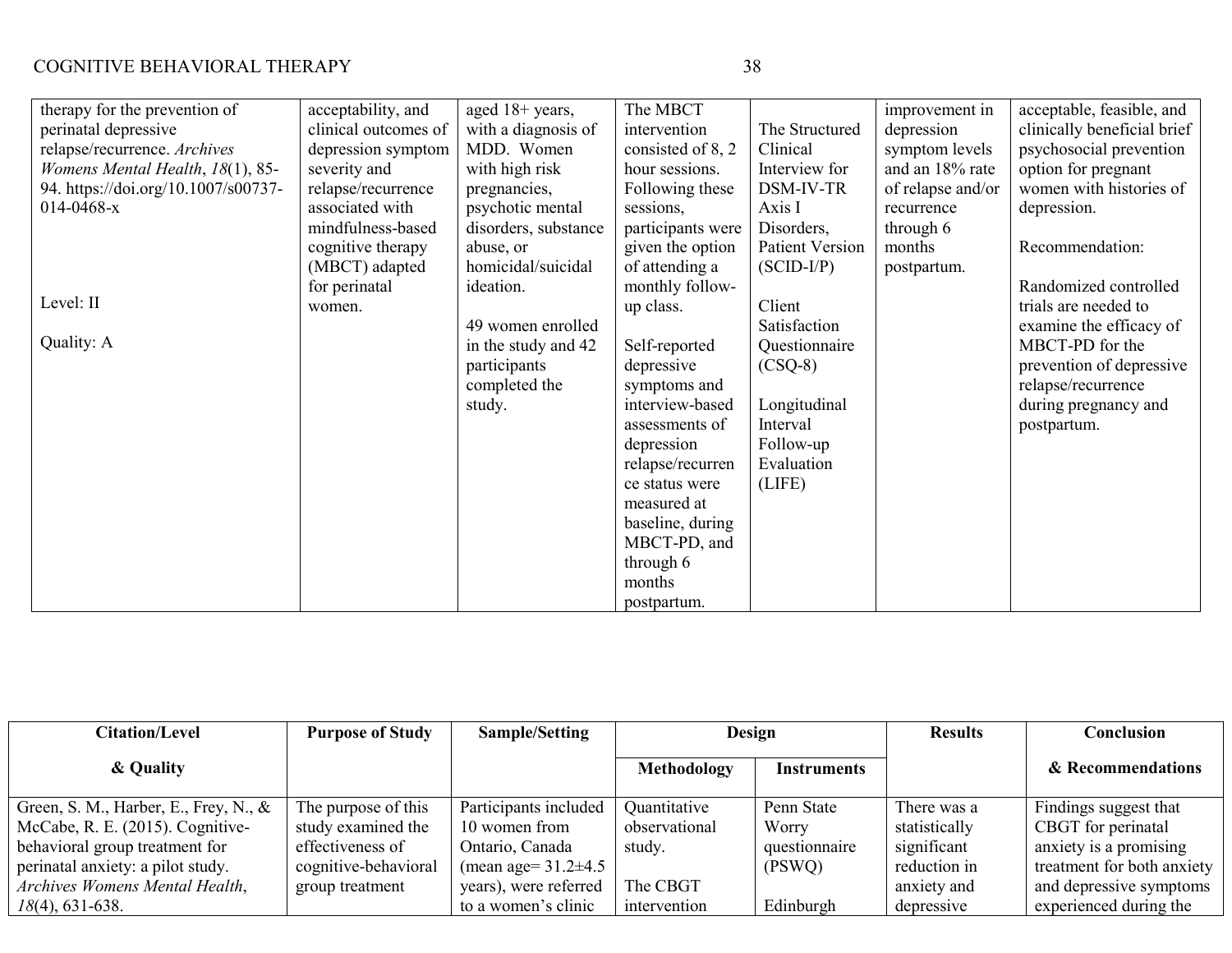| therapy for the prevention of<br>perinatal depressive<br>relapse/recurrence. Archives<br>Womens Mental Health, 18(1), 85-<br>94. https://doi.org/10.1007/s00737-<br>$014 - 0468 - x$<br>Level: II<br>Quality: A | acceptability, and<br>clinical outcomes of<br>depression symptom<br>severity and<br>relapse/recurrence<br>associated with<br>mindfulness-based<br>cognitive therapy<br>(MBCT) adapted<br>for perinatal<br>women. | aged 18+ years,<br>with a diagnosis of<br>MDD. Women<br>with high risk<br>pregnancies,<br>psychotic mental<br>disorders, substance<br>abuse, or<br>homicidal/suicidal<br>ideation.<br>49 women enrolled<br>in the study and 42<br>participants<br>completed the<br>study. | The MBCT<br>intervention<br>consisted of 8, 2<br>hour sessions.<br>Following these<br>sessions,<br>participants were<br>given the option<br>of attending a<br>monthly follow-<br>up class.<br>Self-reported<br>depressive<br>symptoms and<br>interview-based<br>assessments of<br>depression<br>relapse/recurren<br>ce status were<br>measured at<br>baseline, during<br>MBCT-PD, and<br>through 6<br>months<br>postpartum. | The Structured<br>Clinical<br>Interview for<br>DSM-IV-TR<br>Axis I<br>Disorders,<br><b>Patient Version</b><br>$(SCID-I/P)$<br>Client<br>Satisfaction<br>Questionnaire<br>$(CSQ-8)$<br>Longitudinal<br>Interval<br>Follow-up<br>Evaluation<br>(LIFE) | improvement in<br>depression<br>symptom levels<br>and an 18% rate<br>of relapse and/or<br>recurrence<br>through 6<br>months<br>postpartum. | acceptable, feasible, and<br>clinically beneficial brief<br>psychosocial prevention<br>option for pregnant<br>women with histories of<br>depression.<br>Recommendation:<br>Randomized controlled<br>trials are needed to<br>examine the efficacy of<br>MBCT-PD for the<br>prevention of depressive<br>relapse/recurrence<br>during pregnancy and<br>postpartum. |
|-----------------------------------------------------------------------------------------------------------------------------------------------------------------------------------------------------------------|------------------------------------------------------------------------------------------------------------------------------------------------------------------------------------------------------------------|---------------------------------------------------------------------------------------------------------------------------------------------------------------------------------------------------------------------------------------------------------------------------|-----------------------------------------------------------------------------------------------------------------------------------------------------------------------------------------------------------------------------------------------------------------------------------------------------------------------------------------------------------------------------------------------------------------------------|-----------------------------------------------------------------------------------------------------------------------------------------------------------------------------------------------------------------------------------------------------|--------------------------------------------------------------------------------------------------------------------------------------------|-----------------------------------------------------------------------------------------------------------------------------------------------------------------------------------------------------------------------------------------------------------------------------------------------------------------------------------------------------------------|
|-----------------------------------------------------------------------------------------------------------------------------------------------------------------------------------------------------------------|------------------------------------------------------------------------------------------------------------------------------------------------------------------------------------------------------------------|---------------------------------------------------------------------------------------------------------------------------------------------------------------------------------------------------------------------------------------------------------------------------|-----------------------------------------------------------------------------------------------------------------------------------------------------------------------------------------------------------------------------------------------------------------------------------------------------------------------------------------------------------------------------------------------------------------------------|-----------------------------------------------------------------------------------------------------------------------------------------------------------------------------------------------------------------------------------------------------|--------------------------------------------------------------------------------------------------------------------------------------------|-----------------------------------------------------------------------------------------------------------------------------------------------------------------------------------------------------------------------------------------------------------------------------------------------------------------------------------------------------------------|

| <b>Citation/Level</b>                    | <b>Purpose of Study</b> | Sample/Setting            | Design        |                    | <b>Results</b> | Conclusion                 |
|------------------------------------------|-------------------------|---------------------------|---------------|--------------------|----------------|----------------------------|
| & Quality                                |                         |                           | Methodology   | <b>Instruments</b> |                | & Recommendations          |
| Green, S. M., Harber, E., Frey, N., $\&$ | The purpose of this     | Participants included     | Quantitative  | Penn State         | There was a    | Findings suggest that      |
| McCabe, R. E. (2015). Cognitive-         | study examined the      | 10 women from             | observational | Worry              | statistically  | CBGT for perinatal         |
| behavioral group treatment for           | effectiveness of        | Ontario, Canada           | study.        | questionnaire      | significant    | anxiety is a promising     |
| perinatal anxiety: a pilot study.        | cognitive-behavioral    | (mean age= $31.2\pm4.5$ ) |               | (PSWQ)             | reduction in   | treatment for both anxiety |
| Archives Womens Mental Health,           | group treatment         | years), were referred     | The CBGT      |                    | anxiety and    | and depressive symptoms    |
| $18(4)$ , 631-638.                       |                         | to a women's clinic       | intervention  | Edinburgh          | depressive     | experienced during the     |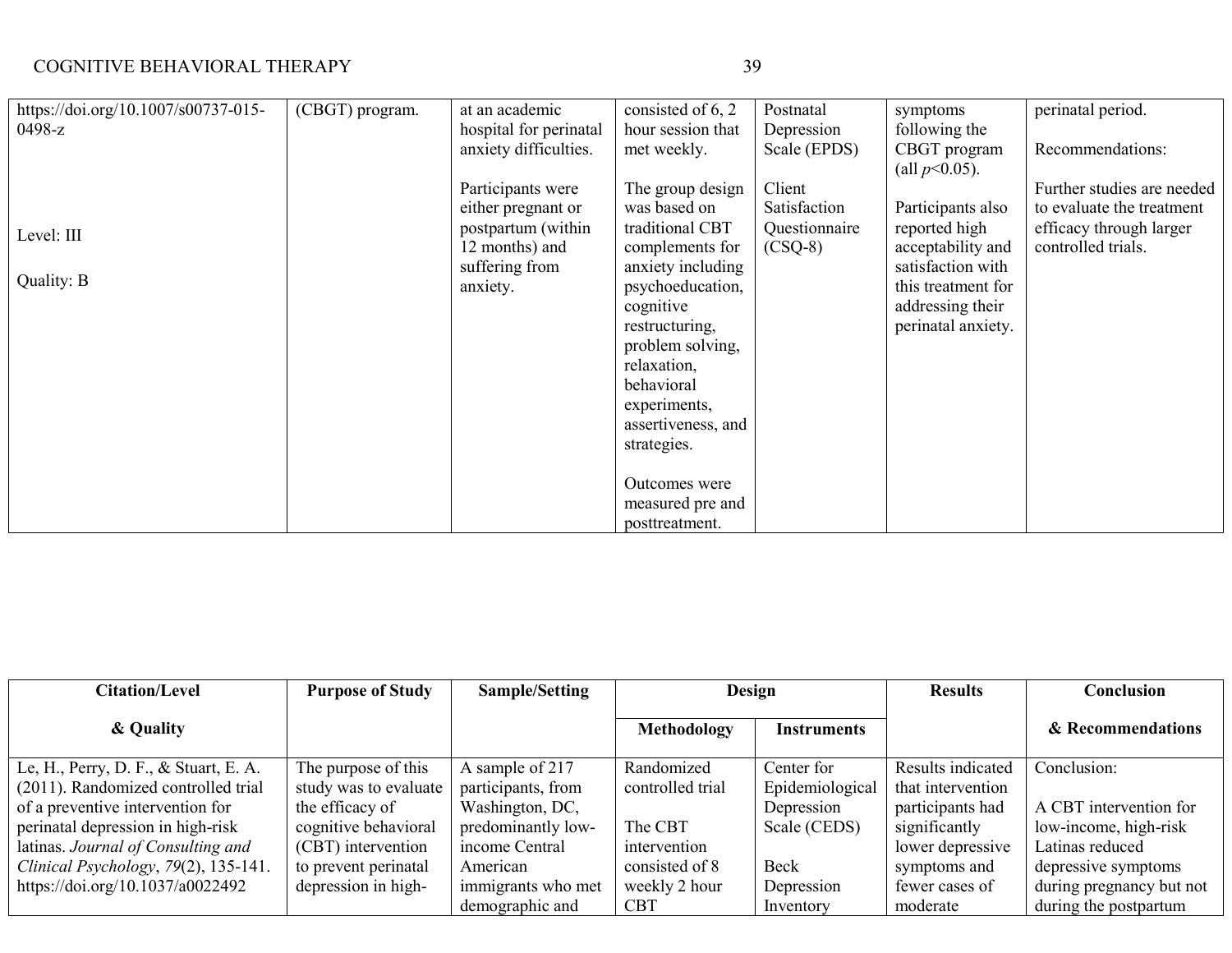| https://doi.org/10.1007/s00737-015- | (CBGT) program. | at an academic         | consisted of 6, 2  | Postnatal     | symptoms           | perinatal period.          |
|-------------------------------------|-----------------|------------------------|--------------------|---------------|--------------------|----------------------------|
| $0498-z$                            |                 | hospital for perinatal | hour session that  | Depression    | following the      |                            |
|                                     |                 | anxiety difficulties.  | met weekly.        | Scale (EPDS)  | CBGT program       | Recommendations:           |
|                                     |                 |                        |                    |               | (all $p<0.05$ ).   |                            |
|                                     |                 | Participants were      | The group design   | Client        |                    | Further studies are needed |
|                                     |                 | either pregnant or     | was based on       | Satisfaction  | Participants also  | to evaluate the treatment  |
| Level: III                          |                 | postpartum (within     | traditional CBT    | Questionnaire | reported high      | efficacy through larger    |
|                                     |                 | 12 months) and         | complements for    | $(CSQ-8)$     | acceptability and  | controlled trials.         |
|                                     |                 | suffering from         | anxiety including  |               | satisfaction with  |                            |
| Quality: B                          |                 | anxiety.               | psychoeducation,   |               | this treatment for |                            |
|                                     |                 |                        | cognitive          |               | addressing their   |                            |
|                                     |                 |                        | restructuring,     |               | perinatal anxiety. |                            |
|                                     |                 |                        | problem solving,   |               |                    |                            |
|                                     |                 |                        | relaxation,        |               |                    |                            |
|                                     |                 |                        | behavioral         |               |                    |                            |
|                                     |                 |                        | experiments,       |               |                    |                            |
|                                     |                 |                        | assertiveness, and |               |                    |                            |
|                                     |                 |                        | strategies.        |               |                    |                            |
|                                     |                 |                        |                    |               |                    |                            |
|                                     |                 |                        | Outcomes were      |               |                    |                            |
|                                     |                 |                        | measured pre and   |               |                    |                            |
|                                     |                 |                        | posttreatment.     |               |                    |                            |

| <b>Citation/Level</b>                 | <b>Purpose of Study</b> | Sample/Setting     | <b>Design</b>    |                 | <b>Results</b>    | Conclusion               |
|---------------------------------------|-------------------------|--------------------|------------------|-----------------|-------------------|--------------------------|
| & Quality                             |                         |                    | Methodology      | Instruments     |                   | & Recommendations        |
| Le, H., Perry, D. F., & Stuart, E. A. | The purpose of this     | A sample of 217    | Randomized       | Center for      | Results indicated | Conclusion:              |
| (2011). Randomized controlled trial   | study was to evaluate   | participants, from | controlled trial | Epidemiological | that intervention |                          |
| of a preventive intervention for      | the efficacy of         | Washington, DC,    |                  | Depression      | participants had  | A CBT intervention for   |
| perinatal depression in high-risk     | cognitive behavioral    | predominantly low- | The CBT          | Scale (CEDS)    | significantly     | low-income, high-risk    |
| latinas. Journal of Consulting and    | (CBT) intervention      | income Central     | intervention     |                 | lower depressive  | Latinas reduced          |
| Clinical Psychology, 79(2), 135-141.  | to prevent perinatal    | American           | consisted of 8   | Beck            | symptoms and      | depressive symptoms      |
| https://doi.org/10.1037/a0022492      | depression in high-     | immigrants who met | weekly 2 hour    | Depression      | fewer cases of    | during pregnancy but not |
|                                       |                         | demographic and    | <b>CBT</b>       | Inventory       | moderate          | during the postpartum    |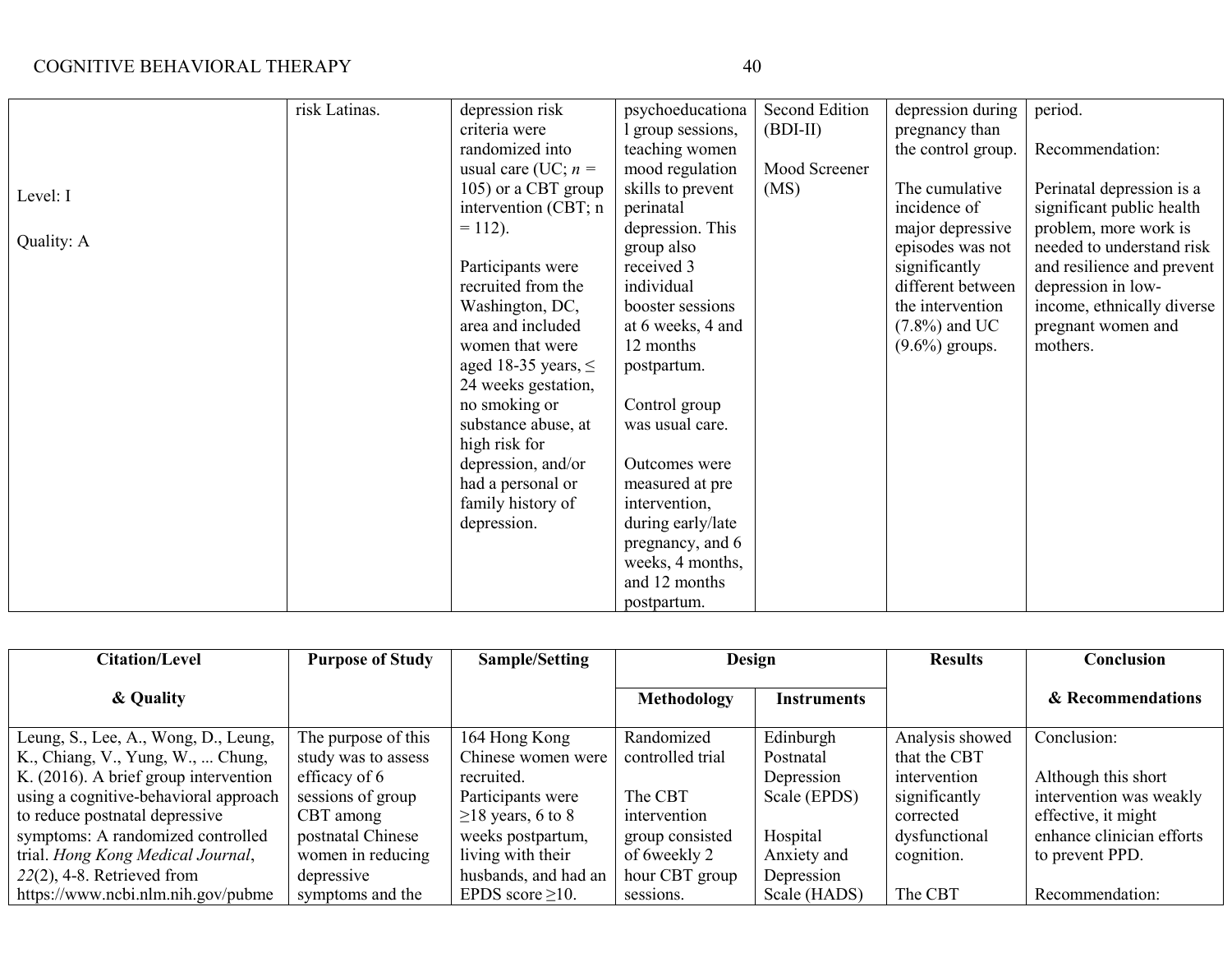|            | risk Latinas. | depression risk          | psychoeducationa  | Second Edition | depression during  | period.                    |
|------------|---------------|--------------------------|-------------------|----------------|--------------------|----------------------------|
|            |               | criteria were            | group sessions,   | $(BDI-II)$     | pregnancy than     |                            |
|            |               | randomized into          | teaching women    |                | the control group. | Recommendation:            |
|            |               | usual care (UC; $n =$    | mood regulation   | Mood Screener  |                    |                            |
| Level: I   |               | 105) or a CBT group      | skills to prevent | (MS)           | The cumulative     | Perinatal depression is a  |
|            |               | intervention (CBT; n     | perinatal         |                | incidence of       | significant public health  |
|            |               | $= 112$ ).               | depression. This  |                | major depressive   | problem, more work is      |
| Quality: A |               |                          | group also        |                | episodes was not   | needed to understand risk  |
|            |               | Participants were        | received 3        |                | significantly      | and resilience and prevent |
|            |               | recruited from the       | individual        |                | different between  | depression in low-         |
|            |               | Washington, DC,          | booster sessions  |                | the intervention   | income, ethnically diverse |
|            |               | area and included        | at 6 weeks, 4 and |                | $(7.8\%)$ and UC   | pregnant women and         |
|            |               | women that were          | 12 months         |                | $(9.6\%)$ groups.  | mothers.                   |
|            |               | aged 18-35 years, $\leq$ | postpartum.       |                |                    |                            |
|            |               | 24 weeks gestation,      |                   |                |                    |                            |
|            |               | no smoking or            | Control group     |                |                    |                            |
|            |               | substance abuse, at      | was usual care.   |                |                    |                            |
|            |               | high risk for            |                   |                |                    |                            |
|            |               | depression, and/or       | Outcomes were     |                |                    |                            |
|            |               | had a personal or        | measured at pre   |                |                    |                            |
|            |               | family history of        | intervention,     |                |                    |                            |
|            |               | depression.              | during early/late |                |                    |                            |
|            |               |                          | pregnancy, and 6  |                |                    |                            |
|            |               |                          | weeks, 4 months,  |                |                    |                            |
|            |               |                          | and 12 months     |                |                    |                            |
|            |               |                          | postpartum.       |                |                    |                            |

| <b>Citation/Level</b>                 | <b>Purpose of Study</b> | Sample/Setting          | Design           |                    | <b>Results</b>  | Conclusion                |
|---------------------------------------|-------------------------|-------------------------|------------------|--------------------|-----------------|---------------------------|
| & Quality                             |                         |                         | Methodology      | <b>Instruments</b> |                 | & Recommendations         |
| Leung, S., Lee, A., Wong, D., Leung,  | The purpose of this     | 164 Hong Kong           | Randomized       | Edinburgh          | Analysis showed | Conclusion:               |
| K., Chiang, V., Yung, W.,  Chung,     | study was to assess     | Chinese women were      | controlled trial | Postnatal          | that the CBT    |                           |
| K. (2016). A brief group intervention | efficacy of 6           | recruited.              |                  | Depression         | intervention    | Although this short       |
| using a cognitive-behavioral approach | sessions of group       | Participants were       | The CBT          | Scale (EPDS)       | significantly   | intervention was weakly   |
| to reduce postnatal depressive        | CBT among               | $\geq$ 18 years, 6 to 8 | intervention     |                    | corrected       | effective, it might       |
| symptoms: A randomized controlled     | postnatal Chinese       | weeks postpartum,       | group consisted  | Hospital           | dysfunctional   | enhance clinician efforts |
| trial. Hong Kong Medical Journal,     | women in reducing       | living with their       | of 6 weekly 2    | Anxiety and        | cognition.      | to prevent PPD.           |
| $22(2)$ , 4-8. Retrieved from         | depressive              | husbands, and had an    | hour CBT group   | Depression         |                 |                           |
| https://www.ncbi.nlm.nih.gov/pubme    | symptoms and the        | EPDS score $\geq$ 10.   | sessions.        | Scale (HADS)       | The CBT         | Recommendation:           |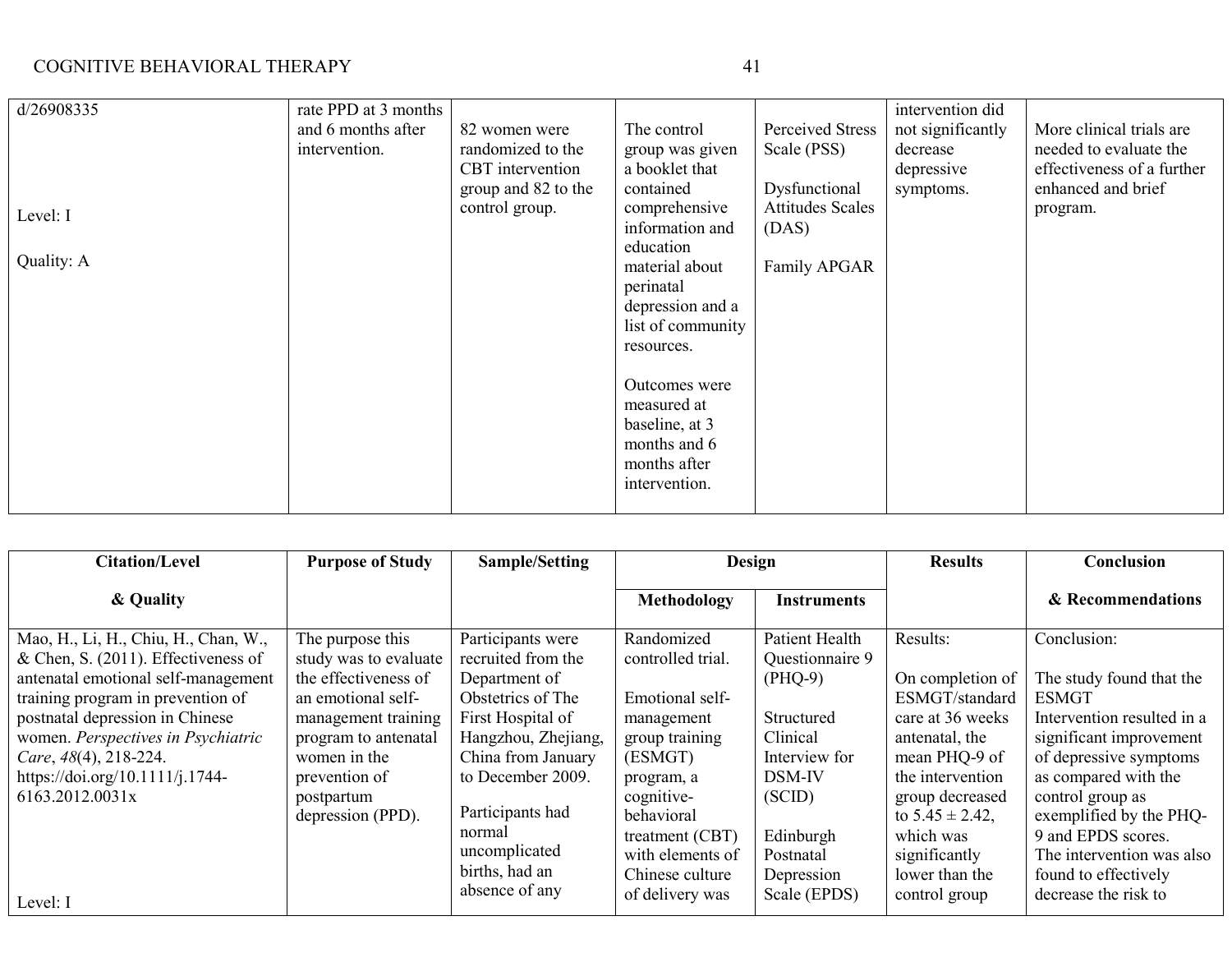| н |
|---|
|---|

| d/26908335             | rate PPD at 3 months<br>and 6 months after | 82 women were                           | The control                                                                                     | Perceived Stress                                 | intervention did<br>not significantly | More clinical trials are                         |
|------------------------|--------------------------------------------|-----------------------------------------|-------------------------------------------------------------------------------------------------|--------------------------------------------------|---------------------------------------|--------------------------------------------------|
|                        | intervention.                              | randomized to the                       | group was given                                                                                 | Scale (PSS)                                      | decrease                              | needed to evaluate the                           |
|                        |                                            | CBT intervention<br>group and 82 to the | a booklet that<br>contained                                                                     | Dysfunctional                                    | depressive<br>symptoms.               | effectiveness of a further<br>enhanced and brief |
| Level: I<br>Quality: A |                                            | control group.                          | comprehensive<br>information and<br>education<br>material about<br>perinatal                    | <b>Attitudes Scales</b><br>(DAS)<br>Family APGAR |                                       | program.                                         |
|                        |                                            |                                         | depression and a<br>list of community<br>resources.                                             |                                                  |                                       |                                                  |
|                        |                                            |                                         | Outcomes were<br>measured at<br>baseline, at 3<br>months and 6<br>months after<br>intervention. |                                                  |                                       |                                                  |

| <b>Citation/Level</b>                                                          | <b>Purpose of Study</b>                     | Sample/Setting                           | Design                              |                                   | <b>Results</b>                          | Conclusion                                            |
|--------------------------------------------------------------------------------|---------------------------------------------|------------------------------------------|-------------------------------------|-----------------------------------|-----------------------------------------|-------------------------------------------------------|
| & Quality                                                                      |                                             |                                          | Methodology                         | <b>Instruments</b>                |                                         | & Recommendations                                     |
| Mao, H., Li, H., Chiu, H., Chan, W.,<br>& Chen, S. $(2011)$ . Effectiveness of | The purpose this<br>study was to evaluate   | Participants were<br>recruited from the  | Randomized<br>controlled trial.     | Patient Health<br>Questionnaire 9 | Results:                                | Conclusion:                                           |
| antenatal emotional self-management<br>training program in prevention of       | the effectiveness of<br>an emotional self-  | Department of<br>Obstetrics of The       | Emotional self-                     | $(PHQ-9)$                         | On completion of<br>ESMGT/standard      | The study found that the<br>ESMGT                     |
| postnatal depression in Chinese<br>women. Perspectives in Psychiatric          | management training<br>program to antenatal | First Hospital of<br>Hangzhou, Zhejiang, | management<br>group training        | Structured<br>Clinical            | care at 36 weeks<br>antenatal, the      | Intervention resulted in a<br>significant improvement |
| Care, $48(4)$ , 218-224.<br>https://doi.org/10.1111/j.1744-                    | women in the<br>prevention of               | China from January<br>to December 2009.  | (ESMGT)<br>program, a               | Interview for<br><b>DSM-IV</b>    | mean PHQ-9 of<br>the intervention       | of depressive symptoms<br>as compared with the        |
| 6163.2012.0031x                                                                | postpartum<br>depression (PPD).             | Participants had                         | cognitive-<br>behavioral            | (SCID)                            | group decreased<br>to $5.45 \pm 2.42$ , | control group as<br>exemplified by the PHQ-           |
|                                                                                |                                             | normal<br>uncomplicated                  | treatment (CBT)<br>with elements of | Edinburgh<br>Postnatal            | which was<br>significantly              | 9 and EPDS scores.<br>The intervention was also       |
| Level: I                                                                       |                                             | births, had an<br>absence of any         | Chinese culture<br>of delivery was  | Depression<br>Scale (EPDS)        | lower than the<br>control group         | found to effectively<br>decrease the risk to          |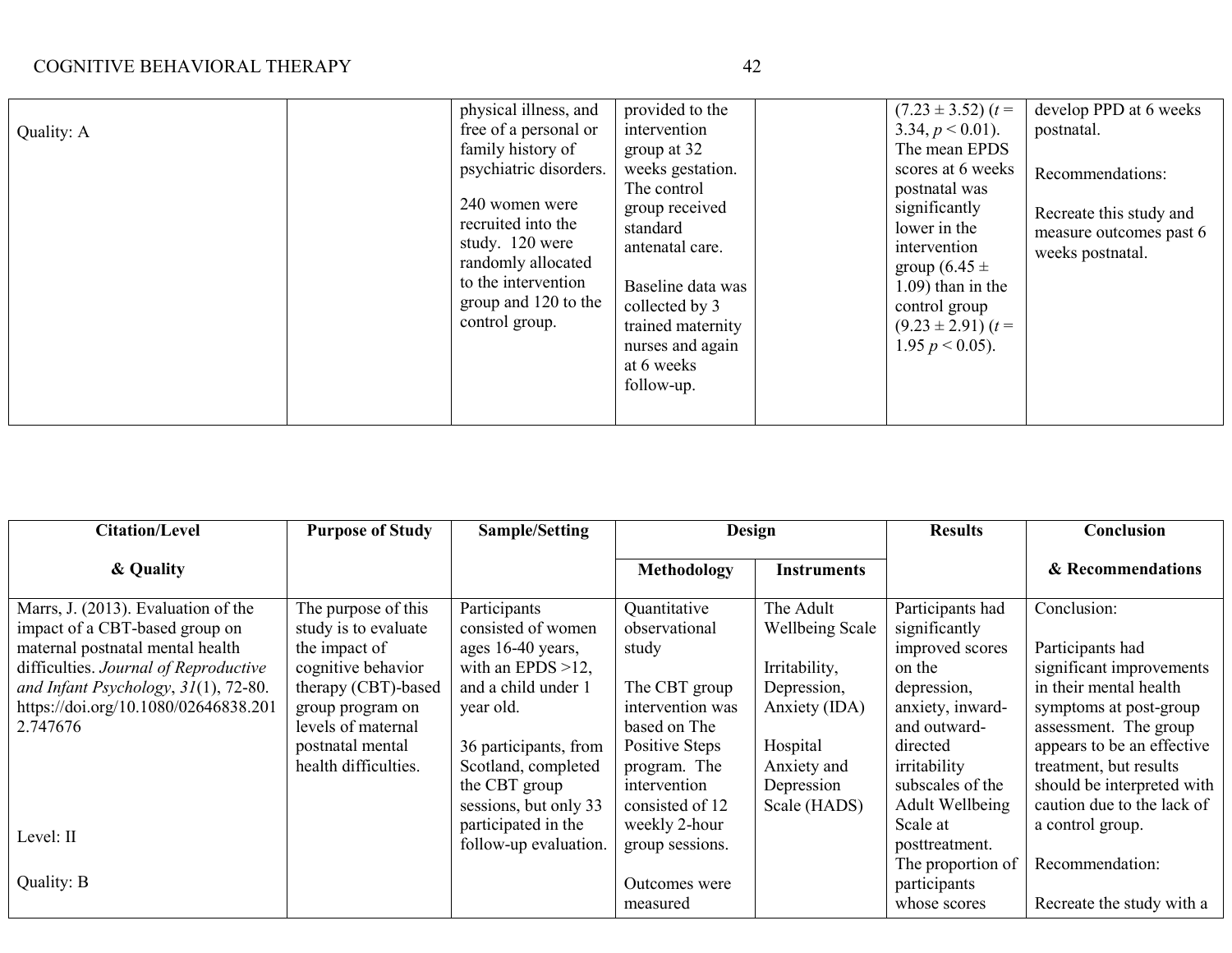|            | physical illness, and  | provided to the   | $(7.23 \pm 3.52)$ $(t =$ | develop PPD at 6 weeks  |
|------------|------------------------|-------------------|--------------------------|-------------------------|
| Quality: A | free of a personal or  | intervention      | 3.34, $p < 0.01$ ).      | postnatal.              |
|            | family history of      | group at 32       | The mean EPDS            |                         |
|            | psychiatric disorders. | weeks gestation.  | scores at 6 weeks        | Recommendations:        |
|            |                        | The control       | postnatal was            |                         |
|            | 240 women were         | group received    | significantly            | Recreate this study and |
|            | recruited into the     | standard          | lower in the             | measure outcomes past 6 |
|            | study. 120 were        | antenatal care.   | intervention             | weeks postnatal.        |
|            | randomly allocated     |                   | group $(6.45 \pm$        |                         |
|            | to the intervention    | Baseline data was | $1.09$ ) than in the     |                         |
|            | group and 120 to the   | collected by 3    | control group            |                         |
|            | control group.         | trained maternity | $(9.23 \pm 2.91)$ $(t =$ |                         |
|            |                        | nurses and again  | 1.95 $p < 0.05$ ).       |                         |
|            |                        | at 6 weeks        |                          |                         |
|            |                        | follow-up.        |                          |                         |
|            |                        |                   |                          |                         |
|            |                        |                   |                          |                         |

| <b>Citation/Level</b>                   | <b>Purpose of Study</b> | <b>Sample/Setting</b> |                  | <b>Design</b>   |                        | Conclusion                 |
|-----------------------------------------|-------------------------|-----------------------|------------------|-----------------|------------------------|----------------------------|
| & Quality                               |                         |                       | Methodology      | Instruments     |                        | & Recommendations          |
| Marrs, J. (2013). Evaluation of the     | The purpose of this     | Participants          | Quantitative     | The Adult       | Participants had       | Conclusion:                |
| impact of a CBT-based group on          | study is to evaluate    | consisted of women    | observational    | Wellbeing Scale | significantly          |                            |
| maternal postnatal mental health        | the impact of           | ages 16-40 years,     | study            |                 | improved scores        | Participants had           |
| difficulties. Journal of Reproductive   | cognitive behavior      | with an EPDS $>12$ ,  |                  | Irritability,   | on the                 | significant improvements   |
| and Infant Psychology, $31(1)$ , 72-80. | therapy (CBT)-based     | and a child under 1   | The CBT group    | Depression,     | depression,            | in their mental health     |
| https://doi.org/10.1080/02646838.201    | group program on        | year old.             | intervention was | Anxiety (IDA)   | anxiety, inward-       | symptoms at post-group     |
| 2.747676                                | levels of maternal      |                       | based on The     |                 | and outward-           | assessment. The group      |
|                                         | postnatal mental        | 36 participants, from | Positive Steps   | Hospital        | directed               | appears to be an effective |
|                                         | health difficulties.    | Scotland, completed   | program. The     | Anxiety and     | irritability           | treatment, but results     |
|                                         |                         | the CBT group         | intervention     | Depression      | subscales of the       | should be interpreted with |
|                                         |                         | sessions, but only 33 | consisted of 12  | Scale (HADS)    | <b>Adult Wellbeing</b> | caution due to the lack of |
|                                         |                         | participated in the   | weekly 2-hour    |                 | Scale at               | a control group.           |
| Level: II                               |                         | follow-up evaluation. | group sessions.  |                 | posttreatment.         |                            |
|                                         |                         |                       |                  |                 | The proportion of      | Recommendation:            |
| Quality: B                              |                         |                       | Outcomes were    |                 | participants           |                            |
|                                         |                         |                       | measured         |                 | whose scores           | Recreate the study with a  |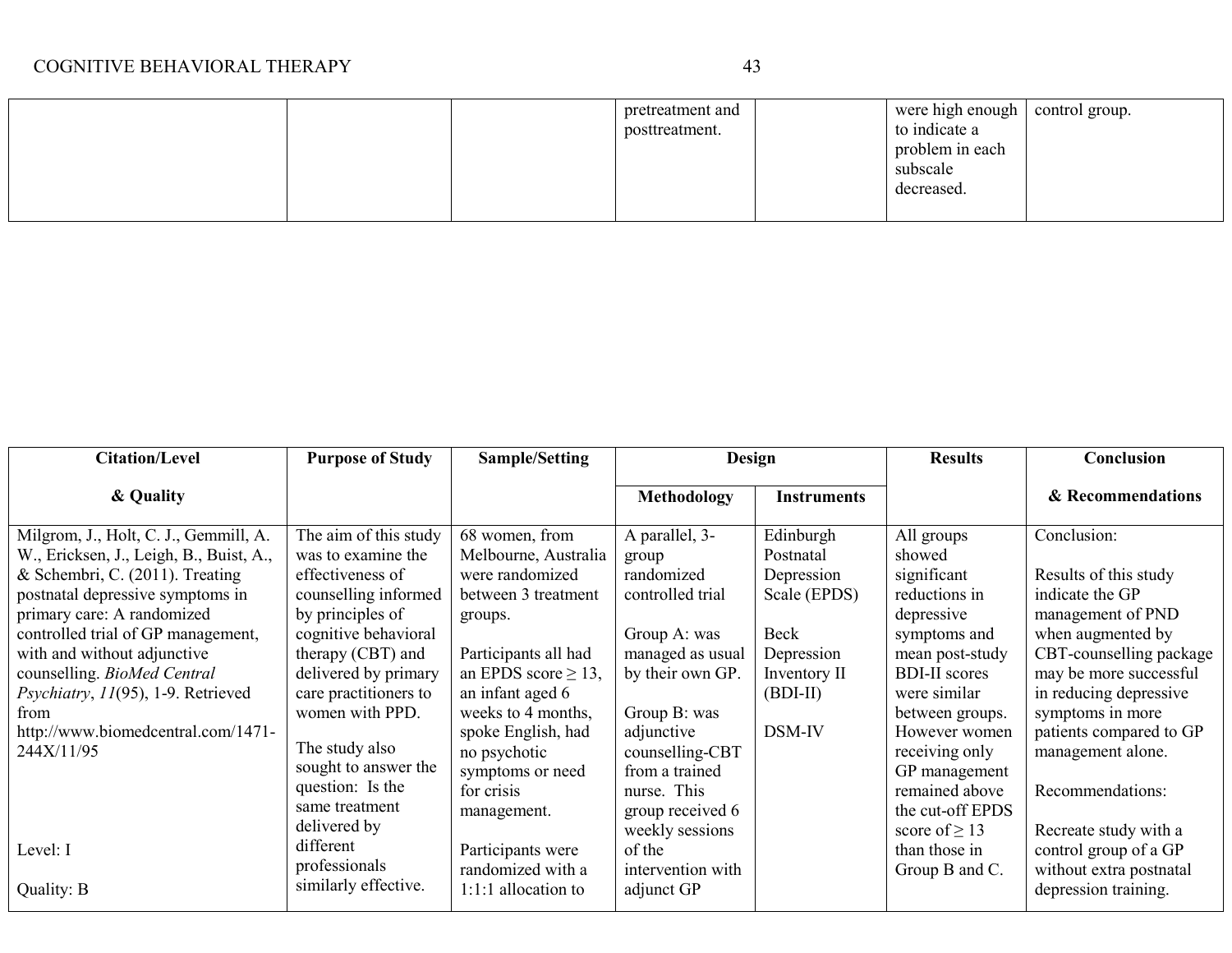|  | pretreatment and | were high enough | control group. |
|--|------------------|------------------|----------------|
|  | posttreatment.   | to indicate a    |                |
|  |                  | problem in each  |                |
|  |                  | subscale         |                |
|  |                  | decreased.       |                |
|  |                  |                  |                |

| <b>Citation/Level</b>                                                                                                                                                                                                                                                                                                                                                                          | <b>Purpose of Study</b>                                                                                                                                                                                                                                                                    | <b>Sample/Setting</b>                                                                                                                                                                                                                                             | Design                                                                                                                                                                                              |                                                                                                                    | <b>Results</b>                                                                                                                                                                                                                         | Conclusion                                                                                                                                                                                                                                                               |
|------------------------------------------------------------------------------------------------------------------------------------------------------------------------------------------------------------------------------------------------------------------------------------------------------------------------------------------------------------------------------------------------|--------------------------------------------------------------------------------------------------------------------------------------------------------------------------------------------------------------------------------------------------------------------------------------------|-------------------------------------------------------------------------------------------------------------------------------------------------------------------------------------------------------------------------------------------------------------------|-----------------------------------------------------------------------------------------------------------------------------------------------------------------------------------------------------|--------------------------------------------------------------------------------------------------------------------|----------------------------------------------------------------------------------------------------------------------------------------------------------------------------------------------------------------------------------------|--------------------------------------------------------------------------------------------------------------------------------------------------------------------------------------------------------------------------------------------------------------------------|
| & Quality                                                                                                                                                                                                                                                                                                                                                                                      |                                                                                                                                                                                                                                                                                            |                                                                                                                                                                                                                                                                   | <b>Methodology</b>                                                                                                                                                                                  | <b>Instruments</b>                                                                                                 |                                                                                                                                                                                                                                        | & Recommendations                                                                                                                                                                                                                                                        |
| Milgrom, J., Holt, C. J., Gemmill, A.<br>W., Ericksen, J., Leigh, B., Buist, A.,<br>& Schembri, C. $(2011)$ . Treating<br>postnatal depressive symptoms in<br>primary care: A randomized<br>controlled trial of GP management,<br>with and without adjunctive<br>counselling. BioMed Central<br>Psychiatry, 11(95), 1-9. Retrieved<br>from<br>http://www.biomedcentral.com/1471-<br>244X/11/95 | The aim of this study<br>was to examine the<br>effectiveness of<br>counselling informed<br>by principles of<br>cognitive behavioral<br>therapy (CBT) and<br>delivered by primary<br>care practitioners to<br>women with PPD.<br>The study also<br>sought to answer the<br>question: Is the | 68 women, from<br>Melbourne, Australia<br>were randomized<br>between 3 treatment<br>groups.<br>Participants all had<br>an EPDS score $\geq$ 13,<br>an infant aged 6<br>weeks to 4 months,<br>spoke English, had<br>no psychotic<br>symptoms or need<br>for crisis | A parallel, 3-<br>group<br>randomized<br>controlled trial<br>Group A: was<br>managed as usual<br>by their own GP.<br>Group B: was<br>adjunctive<br>counselling-CBT<br>from a trained<br>nurse. This | Edinburgh<br>Postnatal<br>Depression<br>Scale (EPDS)<br>Beck<br>Depression<br>Inventory II<br>$(BDI-II)$<br>DSM-IV | All groups<br>showed<br>significant<br>reductions in<br>depressive<br>symptoms and<br>mean post-study<br><b>BDI-II</b> scores<br>were similar<br>between groups.<br>However women<br>receiving only<br>GP management<br>remained above | Conclusion:<br>Results of this study<br>indicate the GP<br>management of PND<br>when augmented by<br>CBT-counselling package<br>may be more successful<br>in reducing depressive<br>symptoms in more<br>patients compared to GP<br>management alone.<br>Recommendations: |
| Level: I<br>Quality: B                                                                                                                                                                                                                                                                                                                                                                         | same treatment<br>delivered by<br>different<br>professionals<br>similarly effective.                                                                                                                                                                                                       | management.<br>Participants were<br>randomized with a<br>1:1:1 allocation to                                                                                                                                                                                      | group received 6<br>weekly sessions<br>of the<br>intervention with<br>adjunct GP                                                                                                                    |                                                                                                                    | the cut-off EPDS<br>score of $\geq$ 13<br>than those in<br>Group B and C.                                                                                                                                                              | Recreate study with a<br>control group of a GP<br>without extra postnatal<br>depression training.                                                                                                                                                                        |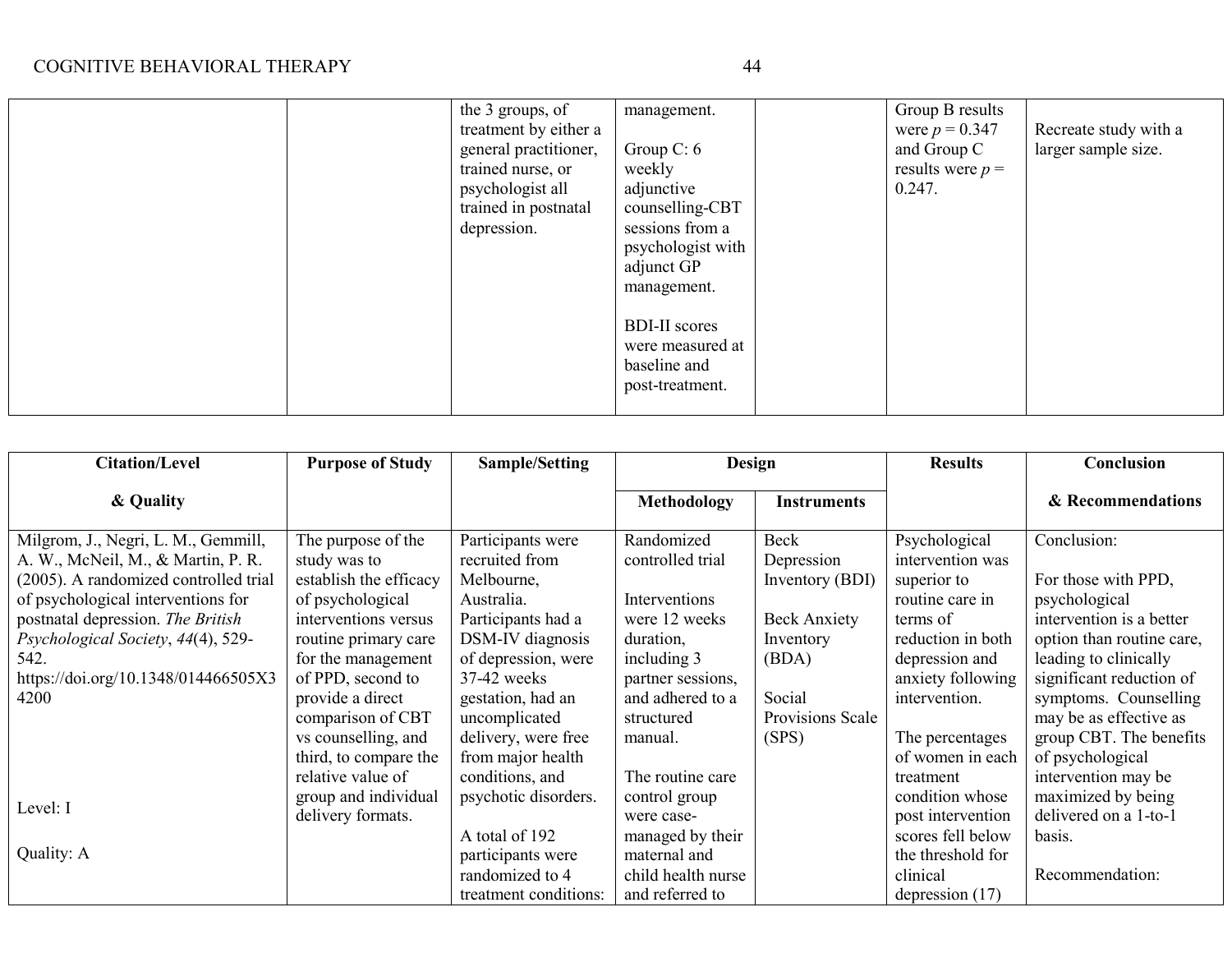|  | the 3 groups, of      | management.          | Group B results    |                       |
|--|-----------------------|----------------------|--------------------|-----------------------|
|  | treatment by either a |                      | were $p = 0.347$   | Recreate study with a |
|  | general practitioner, | Group $C: 6$         | and Group C        | larger sample size.   |
|  | trained nurse, or     | weekly               | results were $p =$ |                       |
|  | psychologist all      | adjunctive           | 0.247.             |                       |
|  | trained in postnatal  | counselling-CBT      |                    |                       |
|  | depression.           | sessions from a      |                    |                       |
|  |                       | psychologist with    |                    |                       |
|  |                       | adjunct GP           |                    |                       |
|  |                       | management.          |                    |                       |
|  |                       |                      |                    |                       |
|  |                       | <b>BDI-II</b> scores |                    |                       |
|  |                       | were measured at     |                    |                       |
|  |                       | baseline and         |                    |                       |
|  |                       | post-treatment.      |                    |                       |
|  |                       |                      |                    |                       |
|  |                       |                      |                    |                       |

| <b>Citation/Level</b>                                                                                              | <b>Purpose of Study</b>                                           | Sample/Setting                                                                  | Design                                                                    |                                       | <b>Results</b>                                                          | Conclusion                                                                 |
|--------------------------------------------------------------------------------------------------------------------|-------------------------------------------------------------------|---------------------------------------------------------------------------------|---------------------------------------------------------------------------|---------------------------------------|-------------------------------------------------------------------------|----------------------------------------------------------------------------|
| & Quality                                                                                                          |                                                                   |                                                                                 | <b>Methodology</b>                                                        | <b>Instruments</b>                    |                                                                         | & Recommendations                                                          |
| Milgrom, J., Negri, L. M., Gemmill,<br>A. W., McNeil, M., & Martin, P. R.<br>(2005). A randomized controlled trial | The purpose of the<br>study was to<br>establish the efficacy      | Participants were<br>recruited from<br>Melbourne,                               | Randomized<br>controlled trial                                            | Beck<br>Depression<br>Inventory (BDI) | Psychological<br>intervention was<br>superior to                        | Conclusion:<br>For those with PPD,                                         |
| of psychological interventions for<br>postnatal depression. The British<br>Psychological Society, 44(4), 529-      | of psychological<br>interventions versus<br>routine primary care  | Australia.<br>Participants had a<br>DSM-IV diagnosis                            | Interventions<br>were 12 weeks<br>duration,                               | <b>Beck Anxiety</b><br>Inventory      | routine care in<br>terms of<br>reduction in both                        | psychological<br>intervention is a better<br>option than routine care,     |
| 542.<br>https://doi.org/10.1348/014466505X3<br>4200                                                                | for the management<br>of PPD, second to<br>provide a direct       | of depression, were<br>37-42 weeks<br>gestation, had an                         | including 3<br>partner sessions,<br>and adhered to a                      | (BDA)<br>Social                       | depression and<br>anxiety following<br>intervention.                    | leading to clinically<br>significant reduction of<br>symptoms. Counselling |
|                                                                                                                    | comparison of CBT<br>vs counselling, and<br>third, to compare the | uncomplicated<br>delivery, were free<br>from major health                       | structured<br>manual.                                                     | Provisions Scale<br>(SPS)             | The percentages<br>of women in each                                     | may be as effective as<br>group CBT. The benefits<br>of psychological      |
| Level: I                                                                                                           | relative value of<br>group and individual<br>delivery formats.    | conditions, and<br>psychotic disorders.                                         | The routine care<br>control group<br>were case-                           |                                       | treatment<br>condition whose<br>post intervention                       | intervention may be<br>maximized by being<br>delivered on a 1-to-1         |
| Quality: A                                                                                                         |                                                                   | A total of 192<br>participants were<br>randomized to 4<br>treatment conditions: | managed by their<br>maternal and<br>child health nurse<br>and referred to |                                       | scores fell below<br>the threshold for<br>clinical<br>depression $(17)$ | basis.<br>Recommendation:                                                  |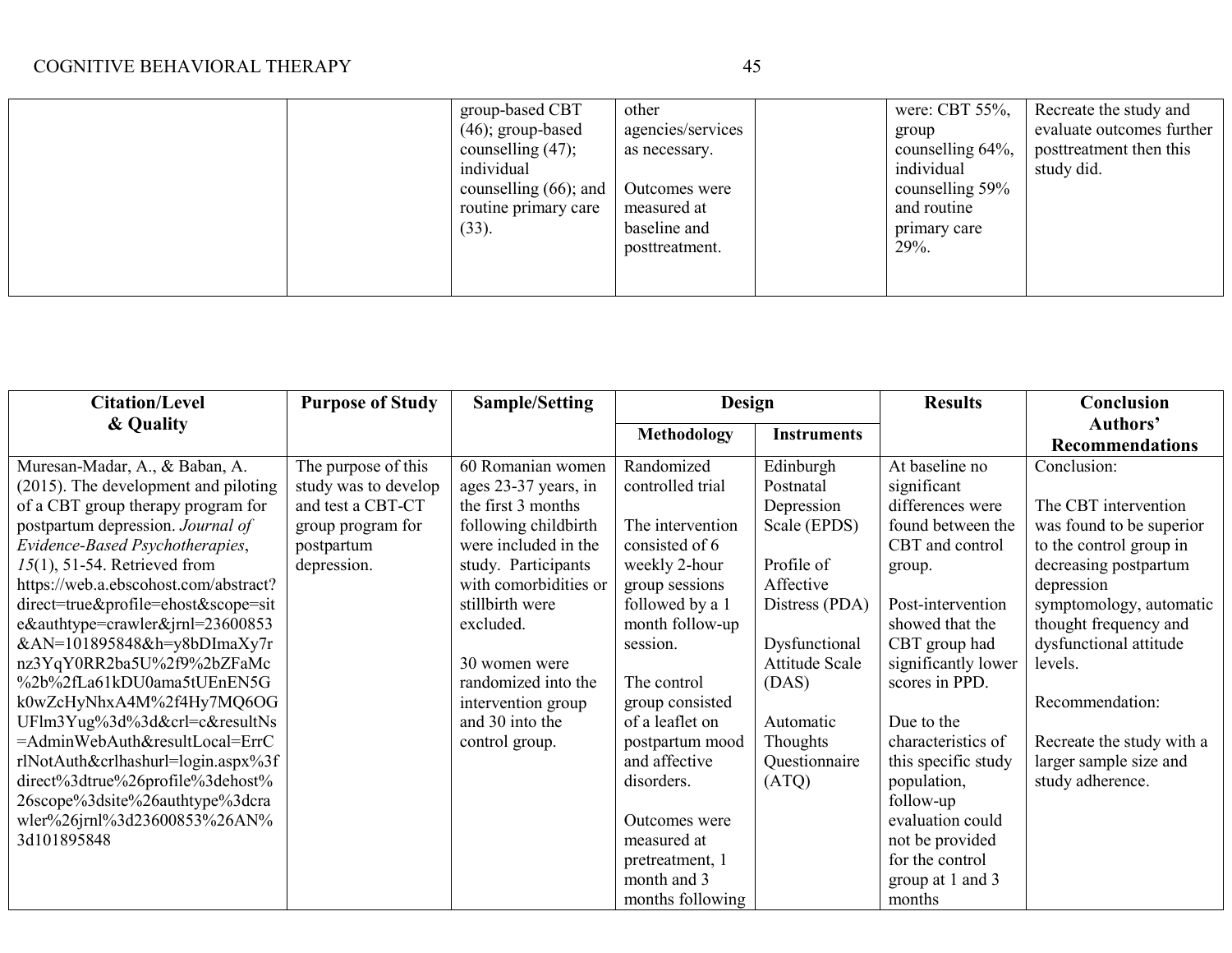| group-based CBT          | other             | were: CBT 55%,   | Recreate the study and    |
|--------------------------|-------------------|------------------|---------------------------|
| $(46)$ ; group-based     | agencies/services | group            | evaluate outcomes further |
| counselling $(47)$ ;     | as necessary.     | counselling 64%, | posttreatment then this   |
| individual               |                   | individual       | study did.                |
| counselling $(66)$ ; and | Outcomes were     | counselling 59%  |                           |
| routine primary care     | measured at       | and routine      |                           |
| $(33)$ .                 | baseline and      | primary care     |                           |
|                          | posttreatment.    | $29%$ .          |                           |
|                          |                   |                  |                           |
|                          |                   |                  |                           |

| <b>Citation/Level</b>                                                                                                                                                                                                                                                                                                                                                                                                                                                                                                                                                                                                                                                                                  | <b>Purpose of Study</b>                                                                                            | <b>Sample/Setting</b>                                                                                                                                                                                                                                                                              | Design                                                                                                                                                                                                                                                                                           |                                                                                                                                                                                                         | <b>Results</b>                                                                                                                                                                                                                                                                                                                      | Conclusion                                                                                                                                                                                                                                                                                                                                         |
|--------------------------------------------------------------------------------------------------------------------------------------------------------------------------------------------------------------------------------------------------------------------------------------------------------------------------------------------------------------------------------------------------------------------------------------------------------------------------------------------------------------------------------------------------------------------------------------------------------------------------------------------------------------------------------------------------------|--------------------------------------------------------------------------------------------------------------------|----------------------------------------------------------------------------------------------------------------------------------------------------------------------------------------------------------------------------------------------------------------------------------------------------|--------------------------------------------------------------------------------------------------------------------------------------------------------------------------------------------------------------------------------------------------------------------------------------------------|---------------------------------------------------------------------------------------------------------------------------------------------------------------------------------------------------------|-------------------------------------------------------------------------------------------------------------------------------------------------------------------------------------------------------------------------------------------------------------------------------------------------------------------------------------|----------------------------------------------------------------------------------------------------------------------------------------------------------------------------------------------------------------------------------------------------------------------------------------------------------------------------------------------------|
| & Quality                                                                                                                                                                                                                                                                                                                                                                                                                                                                                                                                                                                                                                                                                              |                                                                                                                    |                                                                                                                                                                                                                                                                                                    | <b>Methodology</b>                                                                                                                                                                                                                                                                               | <b>Instruments</b>                                                                                                                                                                                      |                                                                                                                                                                                                                                                                                                                                     | Authors'                                                                                                                                                                                                                                                                                                                                           |
| Muresan-Madar, A., & Baban, A.<br>(2015). The development and piloting<br>of a CBT group therapy program for<br>postpartum depression. Journal of<br>Evidence-Based Psychotherapies,<br>$15(1)$ , 51-54. Retrieved from<br>https://web.a.ebscohost.com/abstract?<br>direct=true&profile=ehost&scope=sit<br>e&authtype=crawler&jrnl=23600853<br>&AN=101895848&h=y8bDImaXy7r<br>nz3YqY0RR2ba5U%2f9%2bZFaMc<br>%2b%2fLa61kDU0ama5tUEnEN5G<br>k0wZcHyNhxA4M%2f4Hy7MQ6OG<br>UFlm3Yug%3d%3d&crl=c&resultNs<br>=AdminWebAuth&resultLocal=ErrC<br>rlNotAuth&crlhashurl=login.aspx%3f<br>$direct\%3$ dtrue%26profile%3dehost%<br>26scope%3dsite%26authtype%3dcra<br>wler%26jrnl%3d23600853%26AN%<br>3d101895848 | The purpose of this<br>study was to develop<br>and test a CBT-CT<br>group program for<br>postpartum<br>depression. | 60 Romanian women<br>ages 23-37 years, in<br>the first 3 months<br>following childbirth<br>were included in the<br>study. Participants<br>with comorbidities or<br>stillbirth were<br>excluded.<br>30 women were<br>randomized into the<br>intervention group<br>and 30 into the<br>control group. | Randomized<br>controlled trial<br>The intervention<br>consisted of 6<br>weekly 2-hour<br>group sessions<br>followed by a 1<br>month follow-up<br>session.<br>The control<br>group consisted<br>of a leaflet on<br>postpartum mood<br>and affective<br>disorders.<br>Outcomes were<br>measured at | Edinburgh<br>Postnatal<br>Depression<br>Scale (EPDS)<br>Profile of<br>Affective<br>Distress (PDA)<br>Dysfunctional<br><b>Attitude Scale</b><br>(DAS)<br>Automatic<br>Thoughts<br>Questionnaire<br>(ATQ) | At baseline no<br>significant<br>differences were<br>found between the<br>CBT and control<br>group.<br>Post-intervention<br>showed that the<br>CBT group had<br>significantly lower<br>scores in PPD.<br>Due to the<br>characteristics of<br>this specific study<br>population,<br>follow-up<br>evaluation could<br>not be provided | <b>Recommendations</b><br>Conclusion:<br>The CBT intervention<br>was found to be superior<br>to the control group in<br>decreasing postpartum<br>depression<br>symptomology, automatic<br>thought frequency and<br>dysfunctional attitude<br>levels.<br>Recommendation:<br>Recreate the study with a<br>larger sample size and<br>study adherence. |
|                                                                                                                                                                                                                                                                                                                                                                                                                                                                                                                                                                                                                                                                                                        |                                                                                                                    |                                                                                                                                                                                                                                                                                                    | pretreatment, 1<br>month and 3<br>months following                                                                                                                                                                                                                                               |                                                                                                                                                                                                         | for the control<br>group at 1 and 3<br>months                                                                                                                                                                                                                                                                                       |                                                                                                                                                                                                                                                                                                                                                    |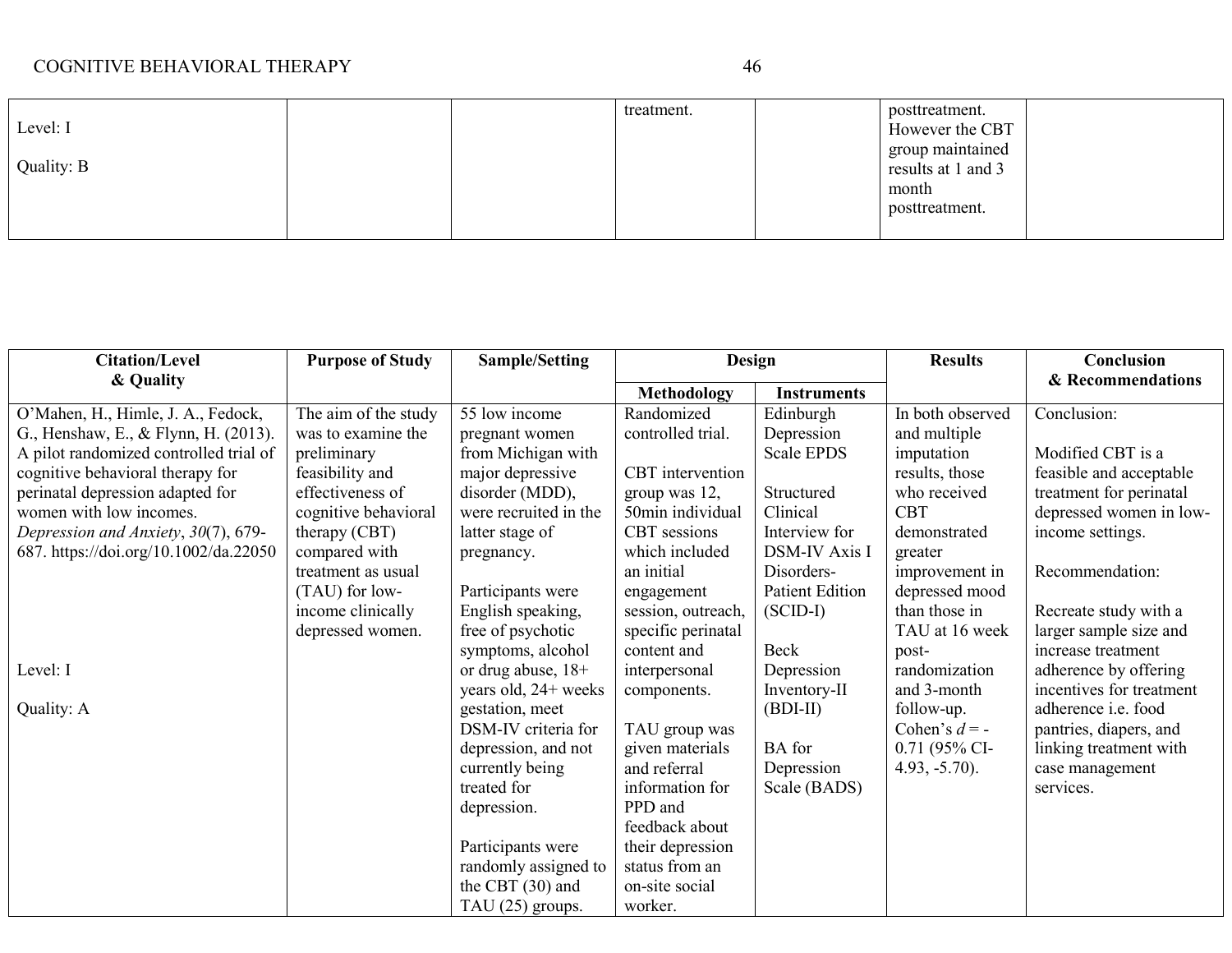| Level: I<br>Quality: B | treatment. | posttreatment.<br>However the CBT<br>group maintained<br>results at 1 and 3<br>month<br>posttreatment. |
|------------------------|------------|--------------------------------------------------------------------------------------------------------|
|------------------------|------------|--------------------------------------------------------------------------------------------------------|

| <b>Citation/Level</b>                  | <b>Purpose of Study</b> | Sample/Setting        | Design             |                        | <b>Results</b>   | Conclusion               |
|----------------------------------------|-------------------------|-----------------------|--------------------|------------------------|------------------|--------------------------|
| & Quality                              |                         |                       | <b>Methodology</b> | <b>Instruments</b>     |                  | & Recommendations        |
| O'Mahen, H., Himle, J. A., Fedock,     | The aim of the study    | 55 low income         | Randomized         | Edinburgh              | In both observed | Conclusion:              |
| G., Henshaw, E., & Flynn, H. (2013).   | was to examine the      | pregnant women        | controlled trial.  | Depression             | and multiple     |                          |
| A pilot randomized controlled trial of | preliminary             | from Michigan with    |                    | <b>Scale EPDS</b>      | imputation       | Modified CBT is a        |
| cognitive behavioral therapy for       | feasibility and         | major depressive      | CBT intervention   |                        | results, those   | feasible and acceptable  |
| perinatal depression adapted for       | effectiveness of        | disorder (MDD),       | group was 12,      | Structured             | who received     | treatment for perinatal  |
| women with low incomes.                | cognitive behavioral    | were recruited in the | 50min individual   | Clinical               | <b>CBT</b>       | depressed women in low-  |
| Depression and Anxiety, 30(7), 679-    | therapy (CBT)           | latter stage of       | CBT sessions       | Interview for          | demonstrated     | income settings.         |
| 687. https://doi.org/10.1002/da.22050  | compared with           | pregnancy.            | which included     | <b>DSM-IV Axis I</b>   | greater          |                          |
|                                        | treatment as usual      |                       | an initial         | Disorders-             | improvement in   | Recommendation:          |
|                                        | (TAU) for low-          | Participants were     | engagement         | <b>Patient Edition</b> | depressed mood   |                          |
|                                        | income clinically       | English speaking,     | session, outreach, | $(SCID-I)$             | than those in    | Recreate study with a    |
|                                        | depressed women.        | free of psychotic     | specific perinatal |                        | TAU at 16 week   | larger sample size and   |
|                                        |                         | symptoms, alcohol     | content and        | Beck                   | post-            | increase treatment       |
| Level: I                               |                         | or drug abuse, $18+$  | interpersonal      | Depression             | randomization    | adherence by offering    |
|                                        |                         | years old, 24+ weeks  | components.        | Inventory-II           | and 3-month      | incentives for treatment |
| Quality: A                             |                         | gestation, meet       |                    | $(BDI-II)$             | follow-up.       | adherence i.e. food      |
|                                        |                         | DSM-IV criteria for   | TAU group was      |                        | Cohen's $d = -$  | pantries, diapers, and   |
|                                        |                         | depression, and not   | given materials    | <b>BA</b> for          | $0.71$ (95% CI-  | linking treatment with   |
|                                        |                         | currently being       | and referral       | Depression             | $4.93, -5.70$ ). | case management          |
|                                        |                         | treated for           | information for    | Scale (BADS)           |                  | services.                |
|                                        |                         | depression.           | PPD and            |                        |                  |                          |
|                                        |                         |                       | feedback about     |                        |                  |                          |
|                                        |                         | Participants were     | their depression   |                        |                  |                          |
|                                        |                         | randomly assigned to  | status from an     |                        |                  |                          |
|                                        |                         | the CBT $(30)$ and    | on-site social     |                        |                  |                          |
|                                        |                         | TAU $(25)$ groups.    | worker.            |                        |                  |                          |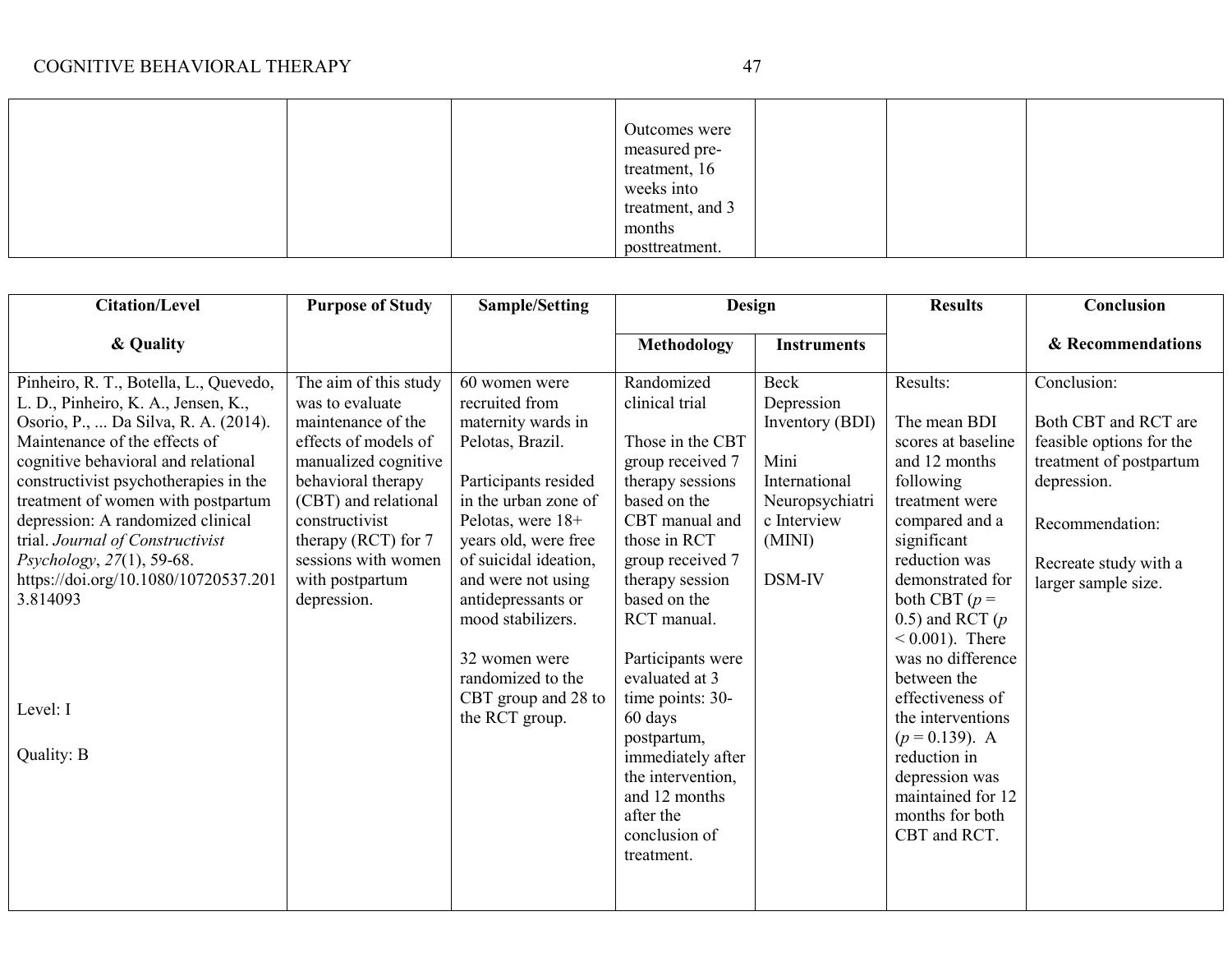|  | Outcomes were    |  |  |
|--|------------------|--|--|
|  | measured pre-    |  |  |
|  | treatment, 16    |  |  |
|  | weeks into       |  |  |
|  | treatment, and 3 |  |  |
|  | months           |  |  |
|  | posttreatment.   |  |  |

| <b>Citation/Level</b>                                                                                                                                                                                                                                                                                                                                                                                                                                            | <b>Purpose of Study</b>                                                                                                                                                                                                                                          | <b>Sample/Setting</b>                                                                                                                                                                                                                                                                                                                           | Design                                                                                                                                                                                                                                                                                                                                                                                                       |                                                                                                                             | <b>Results</b>                                                                                                                                                                                                                                                                                                                                                                                                                | Conclusion                                                                                                                                                                   |
|------------------------------------------------------------------------------------------------------------------------------------------------------------------------------------------------------------------------------------------------------------------------------------------------------------------------------------------------------------------------------------------------------------------------------------------------------------------|------------------------------------------------------------------------------------------------------------------------------------------------------------------------------------------------------------------------------------------------------------------|-------------------------------------------------------------------------------------------------------------------------------------------------------------------------------------------------------------------------------------------------------------------------------------------------------------------------------------------------|--------------------------------------------------------------------------------------------------------------------------------------------------------------------------------------------------------------------------------------------------------------------------------------------------------------------------------------------------------------------------------------------------------------|-----------------------------------------------------------------------------------------------------------------------------|-------------------------------------------------------------------------------------------------------------------------------------------------------------------------------------------------------------------------------------------------------------------------------------------------------------------------------------------------------------------------------------------------------------------------------|------------------------------------------------------------------------------------------------------------------------------------------------------------------------------|
| & Quality                                                                                                                                                                                                                                                                                                                                                                                                                                                        |                                                                                                                                                                                                                                                                  |                                                                                                                                                                                                                                                                                                                                                 | <b>Methodology</b>                                                                                                                                                                                                                                                                                                                                                                                           | <b>Instruments</b>                                                                                                          |                                                                                                                                                                                                                                                                                                                                                                                                                               | & Recommendations                                                                                                                                                            |
| Pinheiro, R. T., Botella, L., Quevedo,<br>L. D., Pinheiro, K. A., Jensen, K.,<br>Osorio, P.,  Da Silva, R. A. (2014).<br>Maintenance of the effects of<br>cognitive behavioral and relational<br>constructivist psychotherapies in the<br>treatment of women with postpartum<br>depression: A randomized clinical<br>trial. Journal of Constructivist<br>Psychology, 27(1), 59-68.<br>https://doi.org/10.1080/10720537.201<br>3.814093<br>Level: I<br>Quality: B | The aim of this study<br>was to evaluate<br>maintenance of the<br>effects of models of<br>manualized cognitive<br>behavioral therapy<br>(CBT) and relational<br>constructivist<br>therapy (RCT) for $7$<br>sessions with women<br>with postpartum<br>depression. | 60 women were<br>recruited from<br>maternity wards in<br>Pelotas, Brazil.<br>Participants resided<br>in the urban zone of<br>Pelotas, were 18+<br>years old, were free<br>of suicidal ideation,<br>and were not using<br>antidepressants or<br>mood stabilizers.<br>32 women were<br>randomized to the<br>CBT group and 28 to<br>the RCT group. | Randomized<br>clinical trial<br>Those in the CBT<br>group received 7<br>therapy sessions<br>based on the<br>CBT manual and<br>those in RCT<br>group received 7<br>therapy session<br>based on the<br>RCT manual.<br>Participants were<br>evaluated at 3<br>time points: 30-<br>60 days<br>postpartum,<br>immediately after<br>the intervention.<br>and 12 months<br>after the<br>conclusion of<br>treatment. | <b>Beck</b><br>Depression<br>Inventory (BDI)<br>Mini<br>International<br>Neuropsychiatri<br>c Interview<br>(MINI)<br>DSM-IV | Results:<br>The mean BDI<br>scores at baseline<br>and 12 months<br>following<br>treatment were<br>compared and a<br>significant<br>reduction was<br>demonstrated for<br>both CBT $(p =$<br>0.5) and RCT $(p)$<br>$0.001$ ). There<br>was no difference<br>between the<br>effectiveness of<br>the interventions<br>$(p = 0.139)$ . A<br>reduction in<br>depression was<br>maintained for 12<br>months for both<br>CBT and RCT. | Conclusion:<br>Both CBT and RCT are<br>feasible options for the<br>treatment of postpartum<br>depression.<br>Recommendation:<br>Recreate study with a<br>larger sample size. |
|                                                                                                                                                                                                                                                                                                                                                                                                                                                                  |                                                                                                                                                                                                                                                                  |                                                                                                                                                                                                                                                                                                                                                 |                                                                                                                                                                                                                                                                                                                                                                                                              |                                                                                                                             |                                                                                                                                                                                                                                                                                                                                                                                                                               |                                                                                                                                                                              |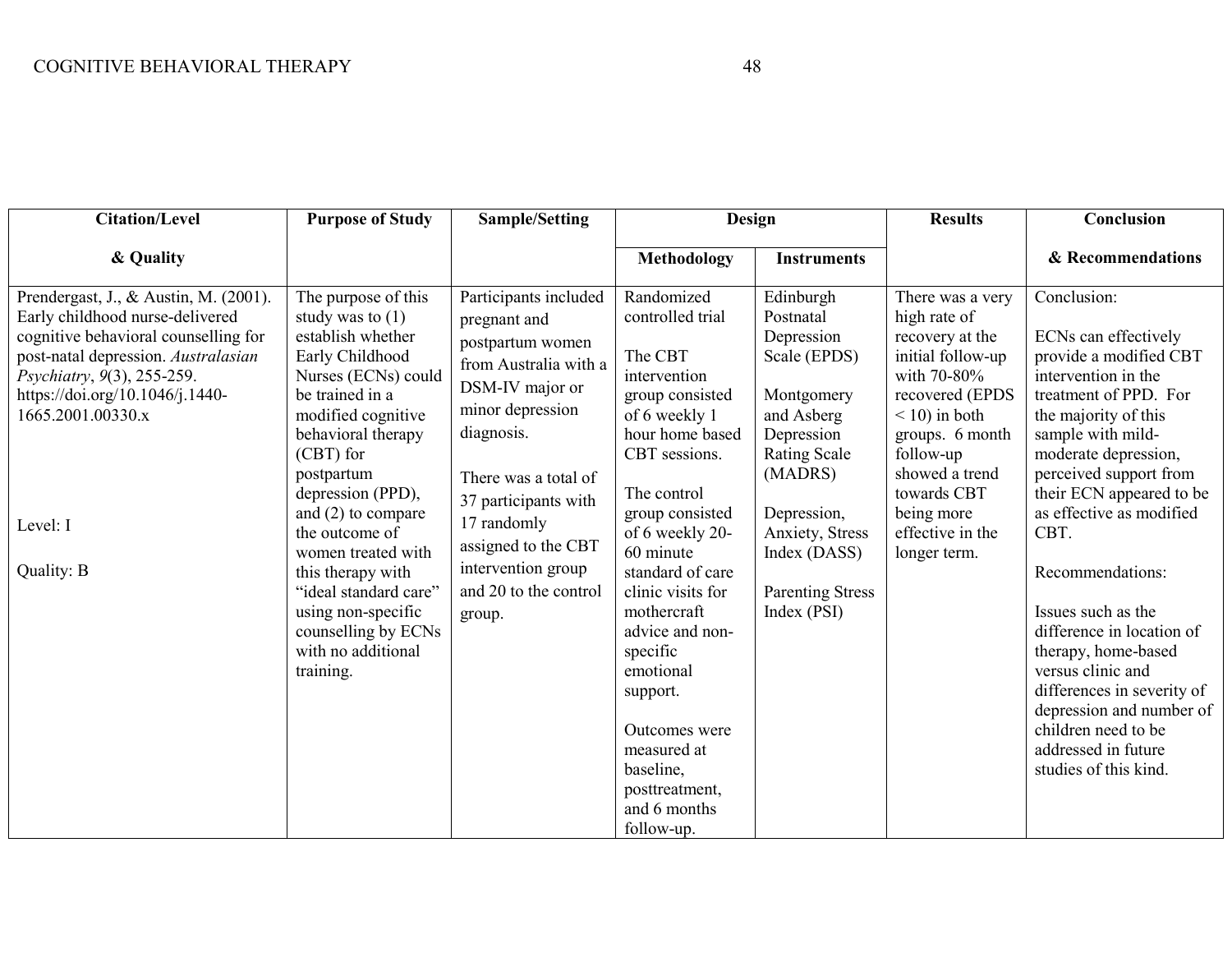| <b>Citation/Level</b>                                                                                                                                                                                                                                                   | <b>Purpose of Study</b>                                                                                                                                                                                                                                                                                                                                                                                               | <b>Sample/Setting</b>                                                                                                                                                                                                                                                                  | <b>Design</b>                                                                                                                                                                                                                                                                                                                                                                                      |                                                                                                                                                                                                                              | <b>Results</b>                                                                                                                                                                                                                                   | Conclusion                                                                                                                                                                                                                                                                                                                                                                                                                                                                                                                       |
|-------------------------------------------------------------------------------------------------------------------------------------------------------------------------------------------------------------------------------------------------------------------------|-----------------------------------------------------------------------------------------------------------------------------------------------------------------------------------------------------------------------------------------------------------------------------------------------------------------------------------------------------------------------------------------------------------------------|----------------------------------------------------------------------------------------------------------------------------------------------------------------------------------------------------------------------------------------------------------------------------------------|----------------------------------------------------------------------------------------------------------------------------------------------------------------------------------------------------------------------------------------------------------------------------------------------------------------------------------------------------------------------------------------------------|------------------------------------------------------------------------------------------------------------------------------------------------------------------------------------------------------------------------------|--------------------------------------------------------------------------------------------------------------------------------------------------------------------------------------------------------------------------------------------------|----------------------------------------------------------------------------------------------------------------------------------------------------------------------------------------------------------------------------------------------------------------------------------------------------------------------------------------------------------------------------------------------------------------------------------------------------------------------------------------------------------------------------------|
| & Quality                                                                                                                                                                                                                                                               |                                                                                                                                                                                                                                                                                                                                                                                                                       |                                                                                                                                                                                                                                                                                        | <b>Methodology</b>                                                                                                                                                                                                                                                                                                                                                                                 | <b>Instruments</b>                                                                                                                                                                                                           |                                                                                                                                                                                                                                                  | & Recommendations                                                                                                                                                                                                                                                                                                                                                                                                                                                                                                                |
| Prendergast, J., & Austin, M. (2001).<br>Early childhood nurse-delivered<br>cognitive behavioral counselling for<br>post-natal depression. Australasian<br>Psychiatry, 9(3), 255-259.<br>https://doi.org/10.1046/j.1440-<br>1665.2001.00330.x<br>Level: I<br>Quality: B | The purpose of this<br>study was to $(1)$<br>establish whether<br>Early Childhood<br>Nurses (ECNs) could<br>be trained in a<br>modified cognitive<br>behavioral therapy<br>(CBT) for<br>postpartum<br>depression (PPD),<br>and $(2)$ to compare<br>the outcome of<br>women treated with<br>this therapy with<br>"ideal standard care"<br>using non-specific<br>counselling by ECNs<br>with no additional<br>training. | Participants included<br>pregnant and<br>postpartum women<br>from Australia with a<br>DSM-IV major or<br>minor depression<br>diagnosis.<br>There was a total of<br>37 participants with<br>17 randomly<br>assigned to the CBT<br>intervention group<br>and 20 to the control<br>group. | Randomized<br>controlled trial<br>The CBT<br>intervention<br>group consisted<br>of 6 weekly 1<br>hour home based<br>CBT sessions.<br>The control<br>group consisted<br>of 6 weekly 20-<br>60 minute<br>standard of care<br>clinic visits for<br>mothercraft<br>advice and non-<br>specific<br>emotional<br>support.<br>Outcomes were<br>measured at<br>baseline,<br>posttreatment,<br>and 6 months | Edinburgh<br>Postnatal<br>Depression<br>Scale (EPDS)<br>Montgomery<br>and Asberg<br>Depression<br><b>Rating Scale</b><br>(MADRS)<br>Depression,<br>Anxiety, Stress<br>Index (DASS)<br><b>Parenting Stress</b><br>Index (PSI) | There was a very<br>high rate of<br>recovery at the<br>initial follow-up<br>with 70-80%<br>recovered (EPDS<br>$<$ 10) in both<br>groups. 6 month<br>follow-up<br>showed a trend<br>towards CBT<br>being more<br>effective in the<br>longer term. | Conclusion:<br>ECNs can effectively<br>provide a modified CBT<br>intervention in the<br>treatment of PPD. For<br>the majority of this<br>sample with mild-<br>moderate depression,<br>perceived support from<br>their ECN appeared to be<br>as effective as modified<br>CBT.<br>Recommendations:<br>Issues such as the<br>difference in location of<br>therapy, home-based<br>versus clinic and<br>differences in severity of<br>depression and number of<br>children need to be<br>addressed in future<br>studies of this kind. |
|                                                                                                                                                                                                                                                                         |                                                                                                                                                                                                                                                                                                                                                                                                                       |                                                                                                                                                                                                                                                                                        | follow-up.                                                                                                                                                                                                                                                                                                                                                                                         |                                                                                                                                                                                                                              |                                                                                                                                                                                                                                                  |                                                                                                                                                                                                                                                                                                                                                                                                                                                                                                                                  |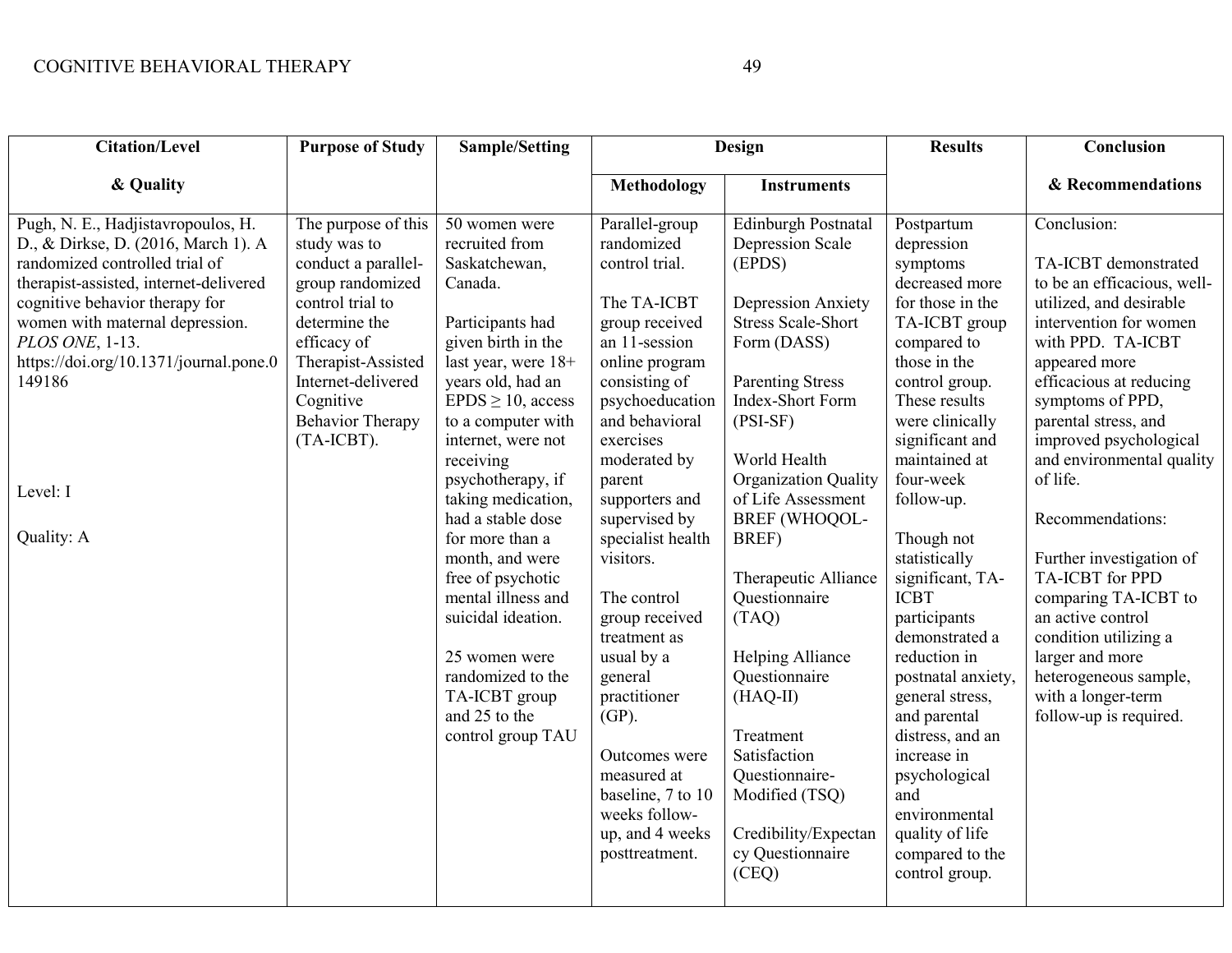| <b>Citation/Level</b>                                                                                                                                                                                                                                                                                                       | <b>Purpose of Study</b>                                                                                                                                                                                                              | <b>Sample/Setting</b>                                                                                                                                                                                                                                                                                                                                                                                                                                                                                    |                                                                                                                                                                                                                                                                                                                                                                                                                                                                                                       | <b>Design</b>                                                                                                                                                                                                                                                                                                                                                                                                                                                                                              | <b>Results</b>                                                                                                                                                                                                                                                                                                                                                                                                                                                                                                                                                   | Conclusion                                                                                                                                                                                                                                                                                                                                                                                                                                                                                                                                          |
|-----------------------------------------------------------------------------------------------------------------------------------------------------------------------------------------------------------------------------------------------------------------------------------------------------------------------------|--------------------------------------------------------------------------------------------------------------------------------------------------------------------------------------------------------------------------------------|----------------------------------------------------------------------------------------------------------------------------------------------------------------------------------------------------------------------------------------------------------------------------------------------------------------------------------------------------------------------------------------------------------------------------------------------------------------------------------------------------------|-------------------------------------------------------------------------------------------------------------------------------------------------------------------------------------------------------------------------------------------------------------------------------------------------------------------------------------------------------------------------------------------------------------------------------------------------------------------------------------------------------|------------------------------------------------------------------------------------------------------------------------------------------------------------------------------------------------------------------------------------------------------------------------------------------------------------------------------------------------------------------------------------------------------------------------------------------------------------------------------------------------------------|------------------------------------------------------------------------------------------------------------------------------------------------------------------------------------------------------------------------------------------------------------------------------------------------------------------------------------------------------------------------------------------------------------------------------------------------------------------------------------------------------------------------------------------------------------------|-----------------------------------------------------------------------------------------------------------------------------------------------------------------------------------------------------------------------------------------------------------------------------------------------------------------------------------------------------------------------------------------------------------------------------------------------------------------------------------------------------------------------------------------------------|
| & Quality                                                                                                                                                                                                                                                                                                                   |                                                                                                                                                                                                                                      |                                                                                                                                                                                                                                                                                                                                                                                                                                                                                                          | <b>Methodology</b>                                                                                                                                                                                                                                                                                                                                                                                                                                                                                    | <b>Instruments</b>                                                                                                                                                                                                                                                                                                                                                                                                                                                                                         |                                                                                                                                                                                                                                                                                                                                                                                                                                                                                                                                                                  | & Recommendations                                                                                                                                                                                                                                                                                                                                                                                                                                                                                                                                   |
| Pugh, N. E., Hadjistavropoulos, H.<br>D., & Dirkse, D. (2016, March 1). A<br>randomized controlled trial of<br>therapist-assisted, internet-delivered<br>cognitive behavior therapy for<br>women with maternal depression.<br>PLOS ONE, 1-13.<br>https://doi.org/10.1371/journal.pone.0<br>149186<br>Level: I<br>Quality: A | The purpose of this<br>study was to<br>conduct a parallel-<br>group randomized<br>control trial to<br>determine the<br>efficacy of<br>Therapist-Assisted<br>Internet-delivered<br>Cognitive<br><b>Behavior Therapy</b><br>(TA-ICBT). | 50 women were<br>recruited from<br>Saskatchewan,<br>Canada.<br>Participants had<br>given birth in the<br>last year, were 18+<br>years old, had an<br>$EPDS \ge 10$ , access<br>to a computer with<br>internet, were not<br>receiving<br>psychotherapy, if<br>taking medication,<br>had a stable dose<br>for more than a<br>month, and were<br>free of psychotic<br>mental illness and<br>suicidal ideation.<br>25 women were<br>randomized to the<br>TA-ICBT group<br>and 25 to the<br>control group TAU | Parallel-group<br>randomized<br>control trial.<br>The TA-ICBT<br>group received<br>an 11-session<br>online program<br>consisting of<br>psychoeducation<br>and behavioral<br>exercises<br>moderated by<br>parent<br>supporters and<br>supervised by<br>specialist health<br>visitors.<br>The control<br>group received<br>treatment as<br>usual by a<br>general<br>practitioner<br>$(GP)$ .<br>Outcomes were<br>measured at<br>baseline, 7 to 10<br>weeks follow-<br>up, and 4 weeks<br>posttreatment. | Edinburgh Postnatal<br>Depression Scale<br>(EPDS)<br><b>Depression Anxiety</b><br><b>Stress Scale-Short</b><br>Form (DASS)<br><b>Parenting Stress</b><br>Index-Short Form<br>$(PSI-SF)$<br>World Health<br>Organization Quality<br>of Life Assessment<br>BREF (WHOQOL-<br>BREF)<br>Therapeutic Alliance<br>Questionnaire<br>(TAQ)<br>Helping Alliance<br>Questionnaire<br>$(HAQ-II)$<br>Treatment<br>Satisfaction<br>Questionnaire-<br>Modified (TSQ)<br>Credibility/Expectan<br>cy Questionnaire<br>(CEQ) | Postpartum<br>depression<br>symptoms<br>decreased more<br>for those in the<br>TA-ICBT group<br>compared to<br>those in the<br>control group.<br>These results<br>were clinically<br>significant and<br>maintained at<br>four-week<br>follow-up.<br>Though not<br>statistically<br>significant, TA-<br><b>ICBT</b><br>participants<br>demonstrated a<br>reduction in<br>postnatal anxiety,<br>general stress,<br>and parental<br>distress, and an<br>increase in<br>psychological<br>and<br>environmental<br>quality of life<br>compared to the<br>control group. | Conclusion:<br>TA-ICBT demonstrated<br>to be an efficacious, well-<br>utilized, and desirable<br>intervention for women<br>with PPD. TA-ICBT<br>appeared more<br>efficacious at reducing<br>symptoms of PPD,<br>parental stress, and<br>improved psychological<br>and environmental quality<br>of life.<br>Recommendations:<br>Further investigation of<br><b>TA-ICBT</b> for PPD<br>comparing TA-ICBT to<br>an active control<br>condition utilizing a<br>larger and more<br>heterogeneous sample,<br>with a longer-term<br>follow-up is required. |
|                                                                                                                                                                                                                                                                                                                             |                                                                                                                                                                                                                                      |                                                                                                                                                                                                                                                                                                                                                                                                                                                                                                          |                                                                                                                                                                                                                                                                                                                                                                                                                                                                                                       |                                                                                                                                                                                                                                                                                                                                                                                                                                                                                                            |                                                                                                                                                                                                                                                                                                                                                                                                                                                                                                                                                                  |                                                                                                                                                                                                                                                                                                                                                                                                                                                                                                                                                     |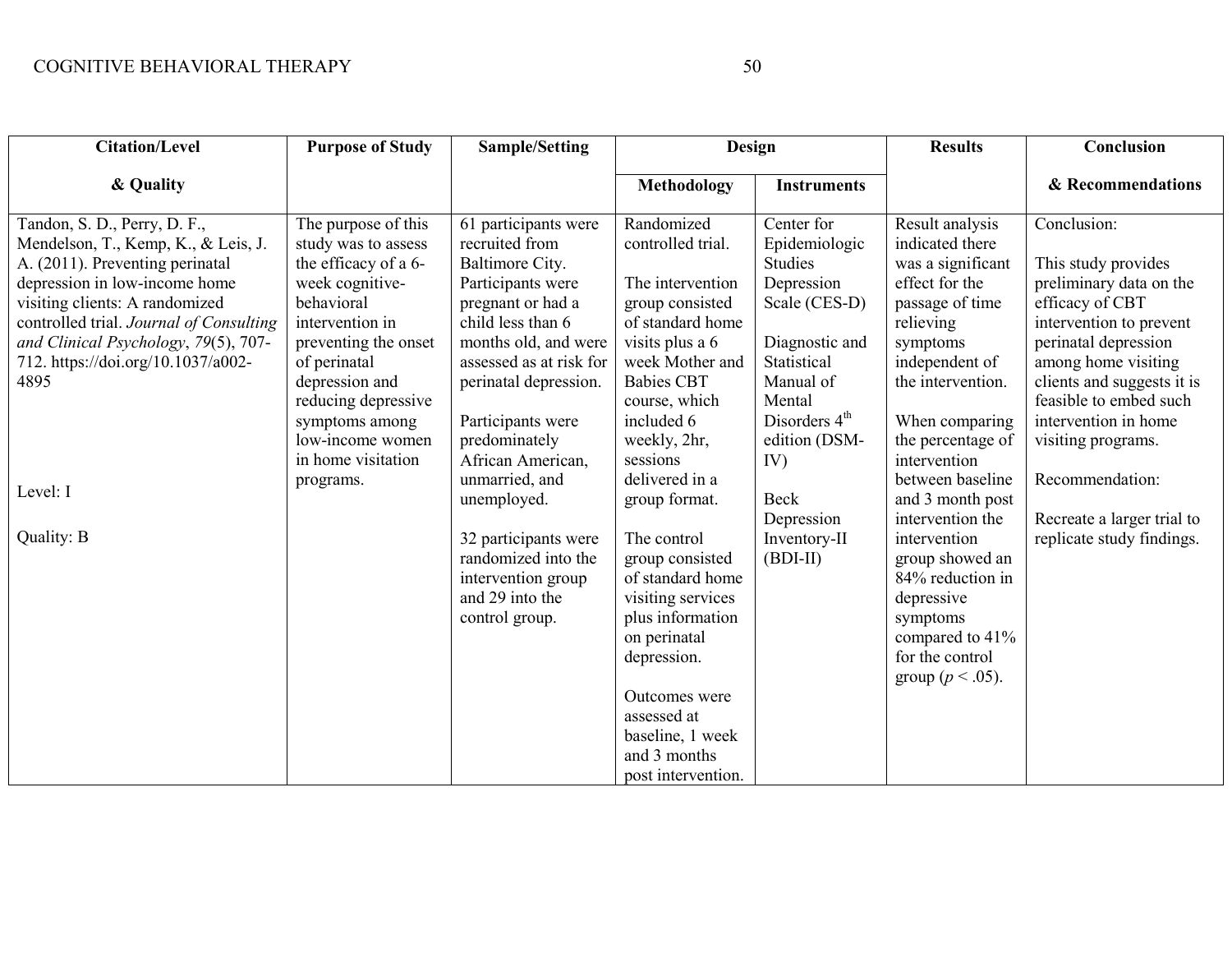| <b>Citation/Level</b>                                                                                                                                           | <b>Purpose of Study</b>                                                                      | <b>Sample/Setting</b>                                                                                              | Design                                                                                                                                                                                                               |                                                             | <b>Results</b>                                                                                                                              | Conclusion                                                                                                              |
|-----------------------------------------------------------------------------------------------------------------------------------------------------------------|----------------------------------------------------------------------------------------------|--------------------------------------------------------------------------------------------------------------------|----------------------------------------------------------------------------------------------------------------------------------------------------------------------------------------------------------------------|-------------------------------------------------------------|---------------------------------------------------------------------------------------------------------------------------------------------|-------------------------------------------------------------------------------------------------------------------------|
| & Quality                                                                                                                                                       |                                                                                              |                                                                                                                    | <b>Methodology</b>                                                                                                                                                                                                   | <b>Instruments</b>                                          |                                                                                                                                             | & Recommendations                                                                                                       |
| Tandon, S. D., Perry, D. F.,<br>Mendelson, T., Kemp, K., & Leis, J.<br>A. (2011). Preventing perinatal<br>depression in low-income home                         | The purpose of this<br>study was to assess<br>the efficacy of a 6-<br>week cognitive-        | 61 participants were<br>recruited from<br>Baltimore City.<br>Participants were                                     | Randomized<br>controlled trial.<br>The intervention                                                                                                                                                                  | Center for<br>Epidemiologic<br><b>Studies</b><br>Depression | Result analysis<br>indicated there<br>was a significant<br>effect for the                                                                   | Conclusion:<br>This study provides<br>preliminary data on the                                                           |
| visiting clients: A randomized<br>controlled trial. Journal of Consulting<br>and Clinical Psychology, 79(5), 707-<br>712. https://doi.org/10.1037/a002-<br>4895 | behavioral<br>intervention in<br>preventing the onset<br>of perinatal<br>depression and      | pregnant or had a<br>child less than 6<br>months old, and were<br>assessed as at risk for<br>perinatal depression. | group consisted<br>of standard home<br>visits plus a 6<br>week Mother and<br><b>Babies CBT</b>                                                                                                                       | Scale (CES-D)<br>Diagnostic and<br>Statistical<br>Manual of | passage of time<br>relieving<br>symptoms<br>independent of<br>the intervention.                                                             | efficacy of CBT<br>intervention to prevent<br>perinatal depression<br>among home visiting<br>clients and suggests it is |
|                                                                                                                                                                 | reducing depressive<br>symptoms among<br>low-income women<br>in home visitation<br>programs. | Participants were<br>predominately<br>African American,<br>unmarried, and                                          | course, which<br>included 6<br>weekly, 2hr,<br>sessions<br>delivered in a                                                                                                                                            | Mental<br>Disorders $4th$<br>edition (DSM-<br>IV)           | When comparing<br>the percentage of<br>intervention<br>between baseline                                                                     | feasible to embed such<br>intervention in home<br>visiting programs.<br>Recommendation:                                 |
| Level: I                                                                                                                                                        |                                                                                              | unemployed.                                                                                                        | group format.                                                                                                                                                                                                        | Beck<br>Depression                                          | and 3 month post<br>intervention the                                                                                                        | Recreate a larger trial to                                                                                              |
| Quality: B                                                                                                                                                      |                                                                                              | 32 participants were<br>randomized into the<br>intervention group<br>and 29 into the<br>control group.             | The control<br>group consisted<br>of standard home<br>visiting services<br>plus information<br>on perinatal<br>depression.<br>Outcomes were<br>assessed at<br>baseline, 1 week<br>and 3 months<br>post intervention. | Inventory-II<br>$(BDI-II)$                                  | intervention<br>group showed an<br>84% reduction in<br>depressive<br>symptoms<br>compared to 41%<br>for the control<br>group ( $p < .05$ ). | replicate study findings.                                                                                               |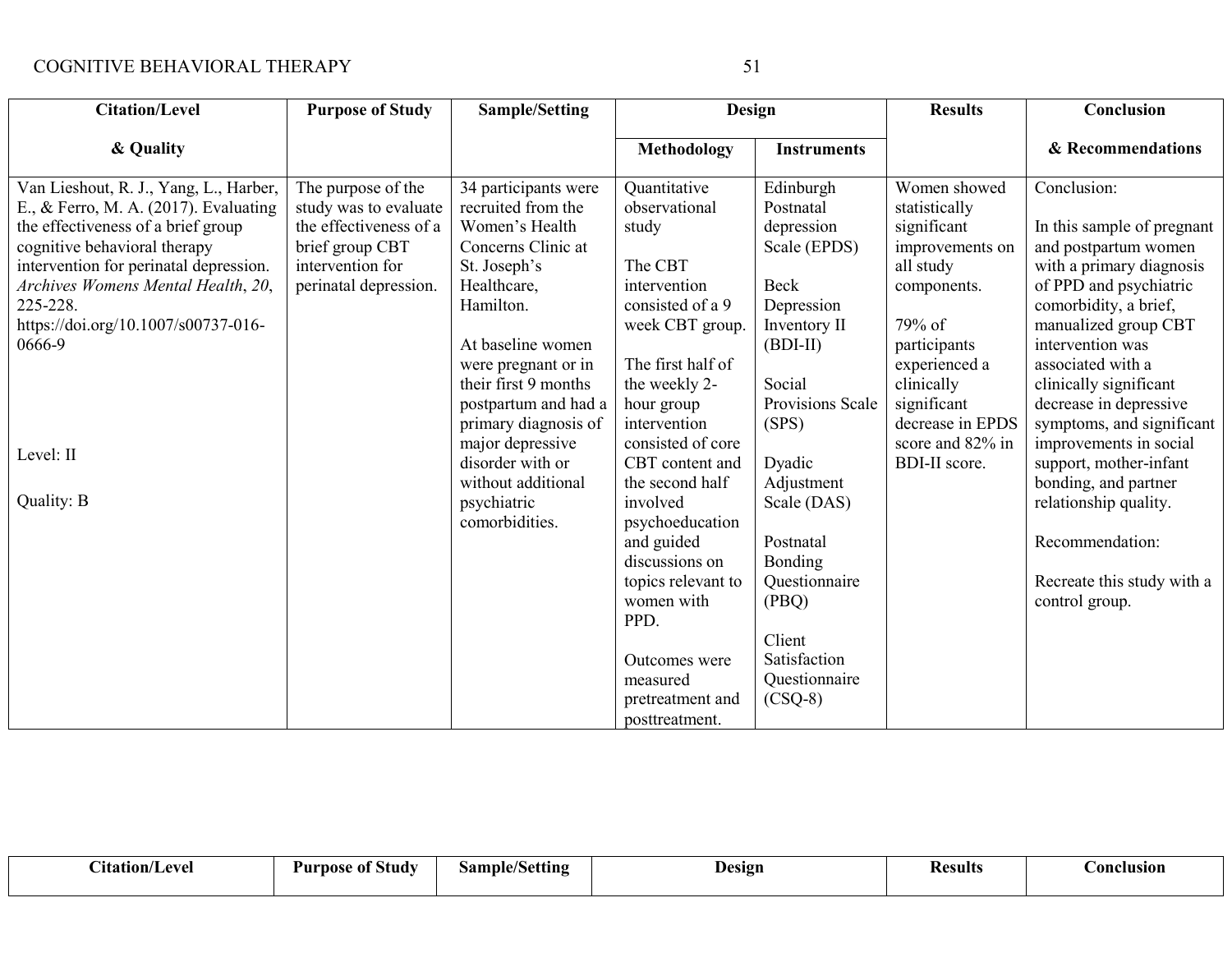| <b>Citation/Level</b>                  | <b>Purpose of Study</b> | <b>Sample/Setting</b> | Design             |                    | <b>Results</b>   | Conclusion                 |
|----------------------------------------|-------------------------|-----------------------|--------------------|--------------------|------------------|----------------------------|
| & Quality                              |                         |                       | <b>Methodology</b> | <b>Instruments</b> |                  | & Recommendations          |
| Van Lieshout, R. J., Yang, L., Harber, | The purpose of the      | 34 participants were  | Quantitative       | Edinburgh          | Women showed     | Conclusion:                |
| E., & Ferro, M. A. (2017). Evaluating  | study was to evaluate   | recruited from the    | observational      | Postnatal          | statistically    |                            |
| the effectiveness of a brief group     | the effectiveness of a  | Women's Health        | study              | depression         | significant      | In this sample of pregnant |
| cognitive behavioral therapy           | brief group CBT         | Concerns Clinic at    |                    | Scale (EPDS)       | improvements on  | and postpartum women       |
| intervention for perinatal depression. | intervention for        | St. Joseph's          | The CBT            |                    | all study        | with a primary diagnosis   |
| Archives Womens Mental Health, 20,     | perinatal depression.   | Healthcare,           | intervention       | <b>Beck</b>        | components.      | of PPD and psychiatric     |
| 225-228.                               |                         | Hamilton.             | consisted of a 9   | Depression         |                  | comorbidity, a brief,      |
| https://doi.org/10.1007/s00737-016-    |                         |                       | week CBT group.    | Inventory II       | 79% of           | manualized group CBT       |
| 0666-9                                 |                         | At baseline women     |                    | $(BDI-II)$         | participants     | intervention was           |
|                                        |                         | were pregnant or in   | The first half of  |                    | experienced a    | associated with a          |
|                                        |                         | their first 9 months  | the weekly 2-      | Social             | clinically       | clinically significant     |
|                                        |                         | postpartum and had a  | hour group         | Provisions Scale   | significant      | decrease in depressive     |
|                                        |                         | primary diagnosis of  | intervention       | (SPS)              | decrease in EPDS | symptoms, and significant  |
|                                        |                         | major depressive      | consisted of core  |                    | score and 82% in | improvements in social     |
| Level: II                              |                         | disorder with or      | CBT content and    | Dyadic             | BDI-II score.    | support, mother-infant     |
|                                        |                         | without additional    | the second half    | Adjustment         |                  | bonding, and partner       |
| Quality: B                             |                         | psychiatric           | involved           | Scale (DAS)        |                  | relationship quality.      |
|                                        |                         | comorbidities.        | psychoeducation    |                    |                  |                            |
|                                        |                         |                       | and guided         | Postnatal          |                  | Recommendation:            |
|                                        |                         |                       | discussions on     | <b>Bonding</b>     |                  |                            |
|                                        |                         |                       | topics relevant to | Questionnaire      |                  | Recreate this study with a |
|                                        |                         |                       | women with         | (PBQ)              |                  | control group.             |
|                                        |                         |                       | PPD.               |                    |                  |                            |
|                                        |                         |                       |                    | Client             |                  |                            |
|                                        |                         |                       | Outcomes were      | Satisfaction       |                  |                            |
|                                        |                         |                       | measured           | Questionnaire      |                  |                            |
|                                        |                         |                       | pretreatment and   | $(CSQ-8)$          |                  |                            |
|                                        |                         |                       | posttreatment.     |                    |                  |                            |

| ~•<br>etation/<br>evel | $\mathbf{a}$ $\mathbf{a}$<br>Study<br>Purnose<br>: ot | Setting<br>.3ample | Design | Kesults | Donclusion |
|------------------------|-------------------------------------------------------|--------------------|--------|---------|------------|
|------------------------|-------------------------------------------------------|--------------------|--------|---------|------------|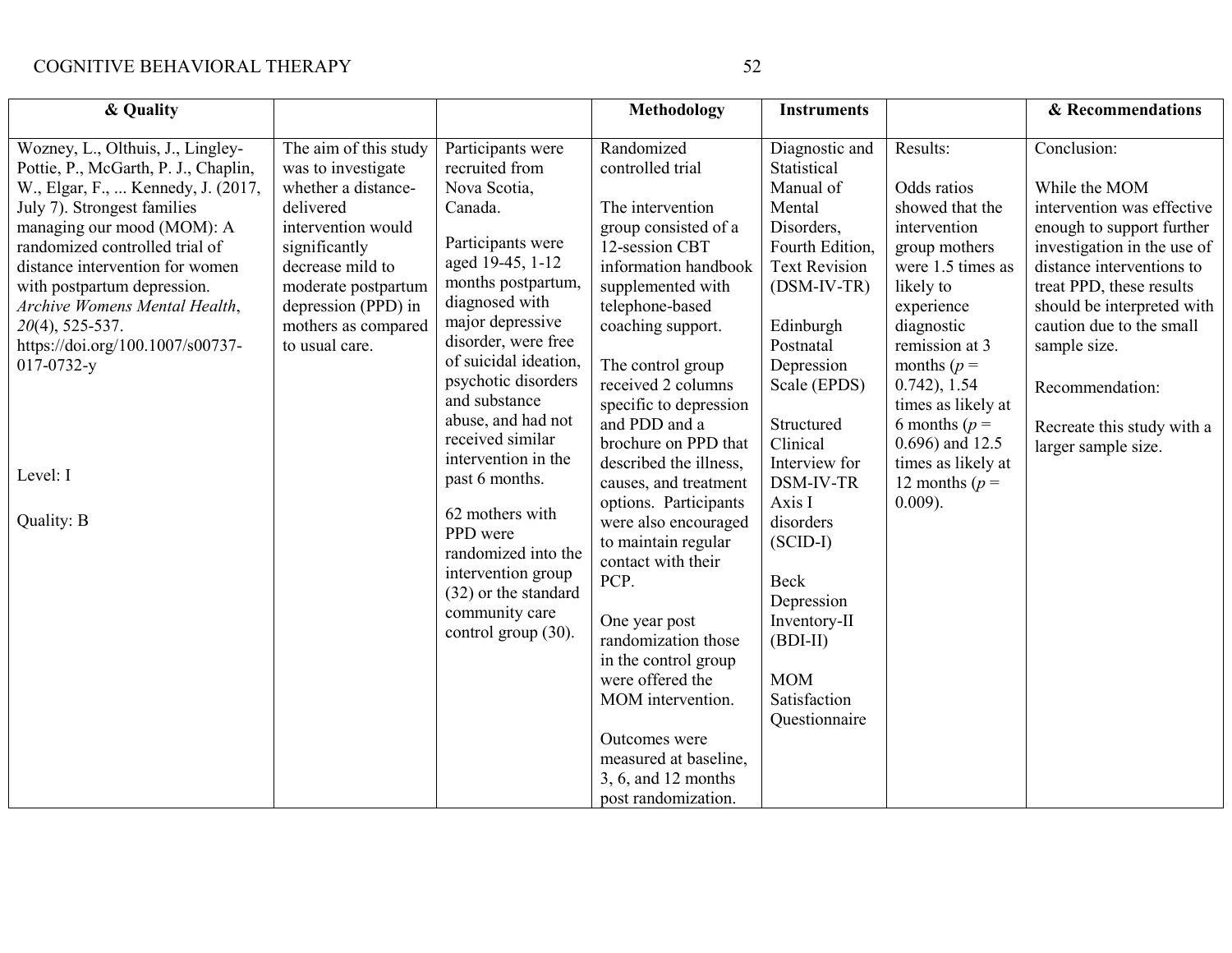| & Quality                                                                                                                                                                                                                                                                                                                                                                                                                 |                                                                                                                                                                                                                                   |                                                                                                                                                                                                                                                                                                                                                                                                                                                                                             | <b>Methodology</b>                                                                                                                                                                                                                                                                                                                                                                                                                                                                                                                                                                                                                                        | <b>Instruments</b>                                                                                                                                                                                                                                                                                                                                                                     |                                                                                                                                                                                                                                                                                                                          | & Recommendations                                                                                                                                                                                                                                                                                                                 |
|---------------------------------------------------------------------------------------------------------------------------------------------------------------------------------------------------------------------------------------------------------------------------------------------------------------------------------------------------------------------------------------------------------------------------|-----------------------------------------------------------------------------------------------------------------------------------------------------------------------------------------------------------------------------------|---------------------------------------------------------------------------------------------------------------------------------------------------------------------------------------------------------------------------------------------------------------------------------------------------------------------------------------------------------------------------------------------------------------------------------------------------------------------------------------------|-----------------------------------------------------------------------------------------------------------------------------------------------------------------------------------------------------------------------------------------------------------------------------------------------------------------------------------------------------------------------------------------------------------------------------------------------------------------------------------------------------------------------------------------------------------------------------------------------------------------------------------------------------------|----------------------------------------------------------------------------------------------------------------------------------------------------------------------------------------------------------------------------------------------------------------------------------------------------------------------------------------------------------------------------------------|--------------------------------------------------------------------------------------------------------------------------------------------------------------------------------------------------------------------------------------------------------------------------------------------------------------------------|-----------------------------------------------------------------------------------------------------------------------------------------------------------------------------------------------------------------------------------------------------------------------------------------------------------------------------------|
| Wozney, L., Olthuis, J., Lingley-<br>Pottie, P., McGarth, P. J., Chaplin,<br>W., Elgar, F.,  Kennedy, J. (2017,<br>July 7). Strongest families<br>managing our mood (MOM): A<br>randomized controlled trial of<br>distance intervention for women<br>with postpartum depression.<br>Archive Womens Mental Health,<br>$20(4)$ , 525-537.<br>https://doi.org/100.1007/s00737-<br>$017 - 0732 - y$<br>Level: I<br>Quality: B | The aim of this study<br>was to investigate<br>whether a distance-<br>delivered<br>intervention would<br>significantly<br>decrease mild to<br>moderate postpartum<br>depression (PPD) in<br>mothers as compared<br>to usual care. | Participants were<br>recruited from<br>Nova Scotia,<br>Canada.<br>Participants were<br>aged 19-45, 1-12<br>months postpartum,<br>diagnosed with<br>major depressive<br>disorder, were free<br>of suicidal ideation,<br>psychotic disorders<br>and substance<br>abuse, and had not<br>received similar<br>intervention in the<br>past 6 months.<br>62 mothers with<br>PPD were<br>randomized into the<br>intervention group<br>(32) or the standard<br>community care<br>control group (30). | Randomized<br>controlled trial<br>The intervention<br>group consisted of a<br>12-session CBT<br>information handbook<br>supplemented with<br>telephone-based<br>coaching support.<br>The control group<br>received 2 columns<br>specific to depression<br>and PDD and a<br>brochure on PPD that<br>described the illness,<br>causes, and treatment<br>options. Participants<br>were also encouraged<br>to maintain regular<br>contact with their<br>PCP.<br>One year post<br>randomization those<br>in the control group<br>were offered the<br>MOM intervention.<br>Outcomes were<br>measured at baseline,<br>3, 6, and 12 months<br>post randomization. | Diagnostic and<br>Statistical<br>Manual of<br>Mental<br>Disorders,<br>Fourth Edition,<br><b>Text Revision</b><br>$(DSM-IV-TR)$<br>Edinburgh<br>Postnatal<br>Depression<br>Scale (EPDS)<br>Structured<br>Clinical<br>Interview for<br>DSM-IV-TR<br>Axis I<br>disorders<br>$(SCID-I)$<br>Beck<br>Depression<br>Inventory-II<br>$(BDI-II)$<br><b>MOM</b><br>Satisfaction<br>Questionnaire | Results:<br>Odds ratios<br>showed that the<br>intervention<br>group mothers<br>were 1.5 times as<br>likely to<br>experience<br>diagnostic<br>remission at 3<br>months ( $p =$<br>$0.742$ , 1.54<br>times as likely at<br>6 months ( $p =$<br>$0.696$ ) and 12.5<br>times as likely at<br>12 months ( $p =$<br>$0.009$ ). | Conclusion:<br>While the MOM<br>intervention was effective<br>enough to support further<br>investigation in the use of<br>distance interventions to<br>treat PPD, these results<br>should be interpreted with<br>caution due to the small<br>sample size.<br>Recommendation:<br>Recreate this study with a<br>larger sample size. |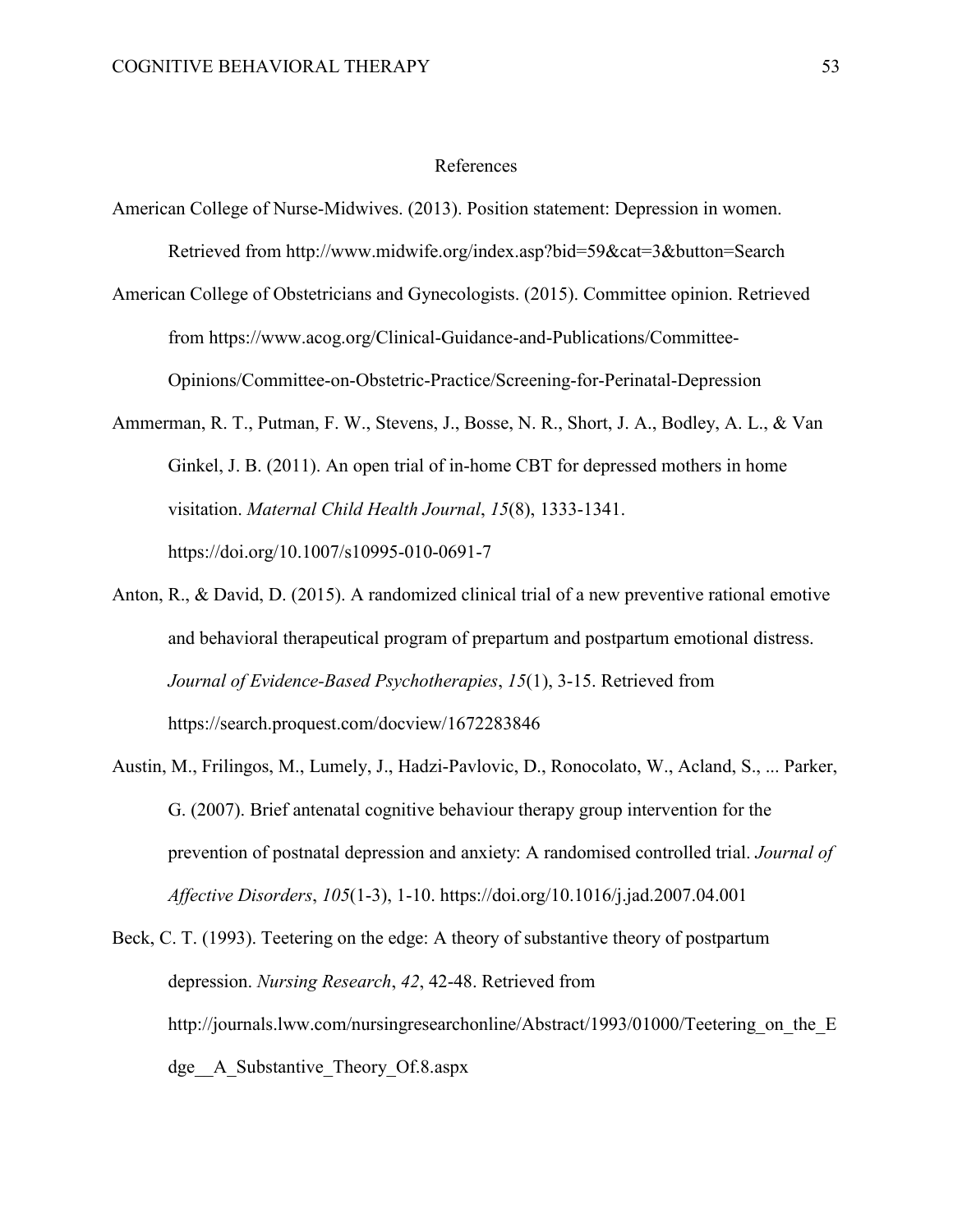#### References

- American College of Nurse-Midwives. (2013). Position statement: Depression in women. Retrieved from http://www.midwife.org/index.asp?bid=59&cat=3&button=Search
- American College of Obstetricians and Gynecologists. (2015). Committee opinion. Retrieved from https://www.acog.org/Clinical-Guidance-and-Publications/Committee-Opinions/Committee-on-Obstetric-Practice/Screening-for-Perinatal-Depression
- Ammerman, R. T., Putman, F. W., Stevens, J., Bosse, N. R., Short, J. A., Bodley, A. L., & Van Ginkel, J. B. (2011). An open trial of in-home CBT for depressed mothers in home visitation. *Maternal Child Health Journal*, *15*(8), 1333-1341. https://doi.org/10.1007/s10995-010-0691-7
- Anton, R., & David, D. (2015). A randomized clinical trial of a new preventive rational emotive and behavioral therapeutical program of prepartum and postpartum emotional distress. *Journal of Evidence-Based Psychotherapies*, *15*(1), 3-15. Retrieved from https://search.proquest.com/docview/1672283846
- Austin, M., Frilingos, M., Lumely, J., Hadzi-Pavlovic, D., Ronocolato, W., Acland, S., ... Parker, G. (2007). Brief antenatal cognitive behaviour therapy group intervention for the prevention of postnatal depression and anxiety: A randomised controlled trial. *Journal of Affective Disorders*, *105*(1-3), 1-10. https://doi.org/10.1016/j.jad.2007.04.001
- Beck, C. T. (1993). Teetering on the edge: A theory of substantive theory of postpartum depression. *Nursing Research*, *42*, 42-48. Retrieved from http://journals.lww.com/nursingresearchonline/Abstract/1993/01000/Teetering on the E dge A Substantive Theory Of.8.aspx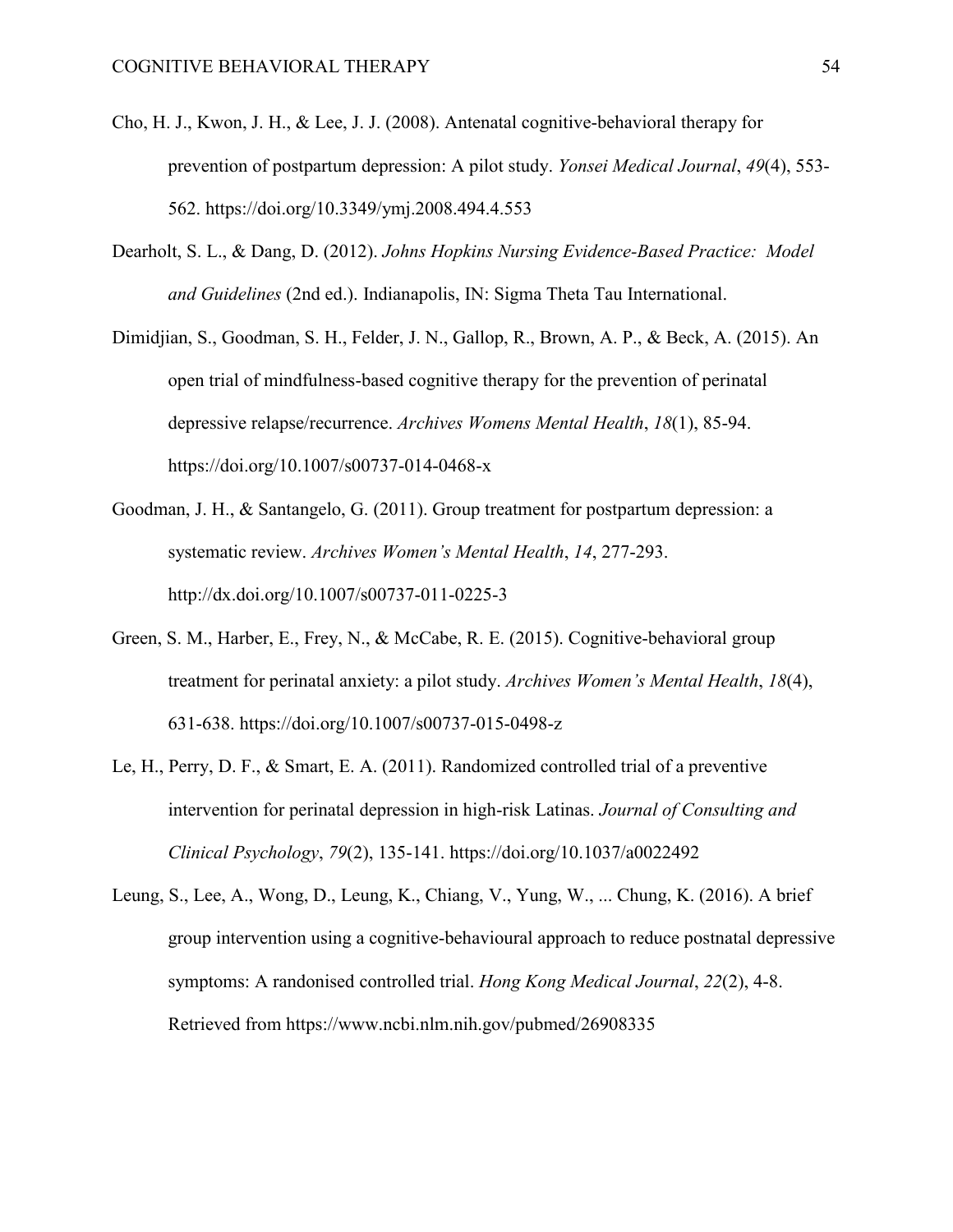- Cho, H. J., Kwon, J. H., & Lee, J. J. (2008). Antenatal cognitive-behavioral therapy for prevention of postpartum depression: A pilot study. *Yonsei Medical Journal*, *49*(4), 553- 562. https://doi.org/10.3349/ymj.2008.494.4.553
- Dearholt, S. L., & Dang, D. (2012). *Johns Hopkins Nursing Evidence-Based Practice: Model and Guidelines* (2nd ed.). Indianapolis, IN: Sigma Theta Tau International.
- Dimidjian, S., Goodman, S. H., Felder, J. N., Gallop, R., Brown, A. P., & Beck, A. (2015). An open trial of mindfulness-based cognitive therapy for the prevention of perinatal depressive relapse/recurrence. *Archives Womens Mental Health*, *18*(1), 85-94. https://doi.org/10.1007/s00737-014-0468-x
- Goodman, J. H., & Santangelo, G. (2011). Group treatment for postpartum depression: a systematic review. *Archives Women's Mental Health*, *14*, 277-293. http://dx.doi.org/10.1007/s00737-011-0225-3
- Green, S. M., Harber, E., Frey, N., & McCabe, R. E. (2015). Cognitive-behavioral group treatment for perinatal anxiety: a pilot study. *Archives Women's Mental Health*, *18*(4), 631-638. https://doi.org/10.1007/s00737-015-0498-z
- Le, H., Perry, D. F., & Smart, E. A. (2011). Randomized controlled trial of a preventive intervention for perinatal depression in high-risk Latinas. *Journal of Consulting and Clinical Psychology*, *79*(2), 135-141. https://doi.org/10.1037/a0022492
- Leung, S., Lee, A., Wong, D., Leung, K., Chiang, V., Yung, W., ... Chung, K. (2016). A brief group intervention using a cognitive-behavioural approach to reduce postnatal depressive symptoms: A randonised controlled trial. *Hong Kong Medical Journal*, *22*(2), 4-8. Retrieved from https://www.ncbi.nlm.nih.gov/pubmed/26908335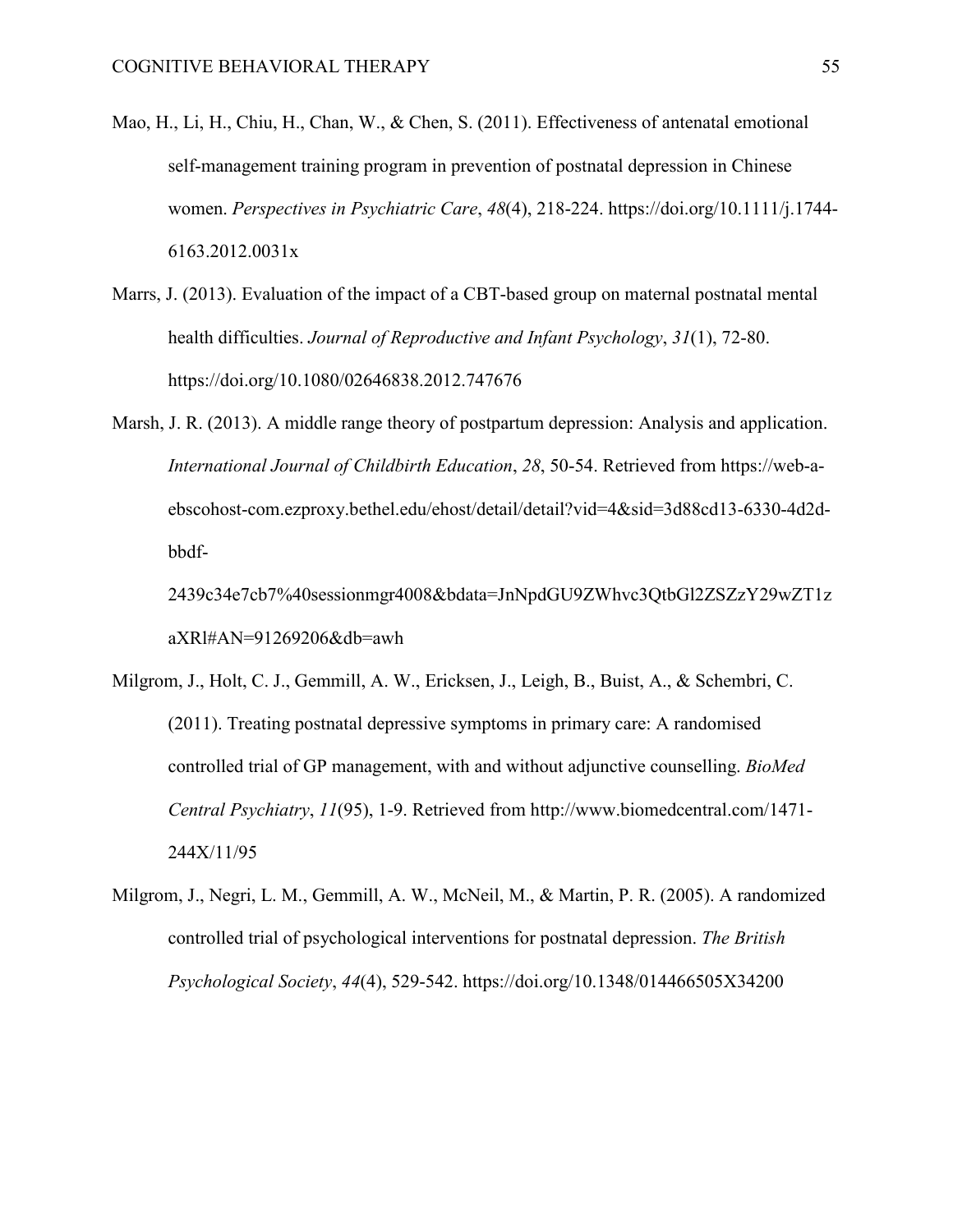- Mao, H., Li, H., Chiu, H., Chan, W., & Chen, S. (2011). Effectiveness of antenatal emotional self-management training program in prevention of postnatal depression in Chinese women. *Perspectives in Psychiatric Care*, *48*(4), 218-224. https://doi.org/10.1111/j.1744- 6163.2012.0031x
- Marrs, J. (2013). Evaluation of the impact of a CBT-based group on maternal postnatal mental health difficulties. *Journal of Reproductive and Infant Psychology*, *31*(1), 72-80. https://doi.org/10.1080/02646838.2012.747676
- Marsh, J. R. (2013). A middle range theory of postpartum depression: Analysis and application. *International Journal of Childbirth Education*, *28*, 50-54. Retrieved from https://web-aebscohost-com.ezproxy.bethel.edu/ehost/detail/detail?vid=4&sid=3d88cd13-6330-4d2dbbdf-

2439c34e7cb7%40sessionmgr4008&bdata=JnNpdGU9ZWhvc3QtbGl2ZSZzY29wZT1z aXRl#AN=91269206&db=awh

- Milgrom, J., Holt, C. J., Gemmill, A. W., Ericksen, J., Leigh, B., Buist, A., & Schembri, C. (2011). Treating postnatal depressive symptoms in primary care: A randomised controlled trial of GP management, with and without adjunctive counselling. *BioMed Central Psychiatry*, *11*(95), 1-9. Retrieved from http://www.biomedcentral.com/1471- 244X/11/95
- Milgrom, J., Negri, L. M., Gemmill, A. W., McNeil, M., & Martin, P. R. (2005). A randomized controlled trial of psychological interventions for postnatal depression. *The British Psychological Society*, *44*(4), 529-542. https://doi.org/10.1348/014466505X34200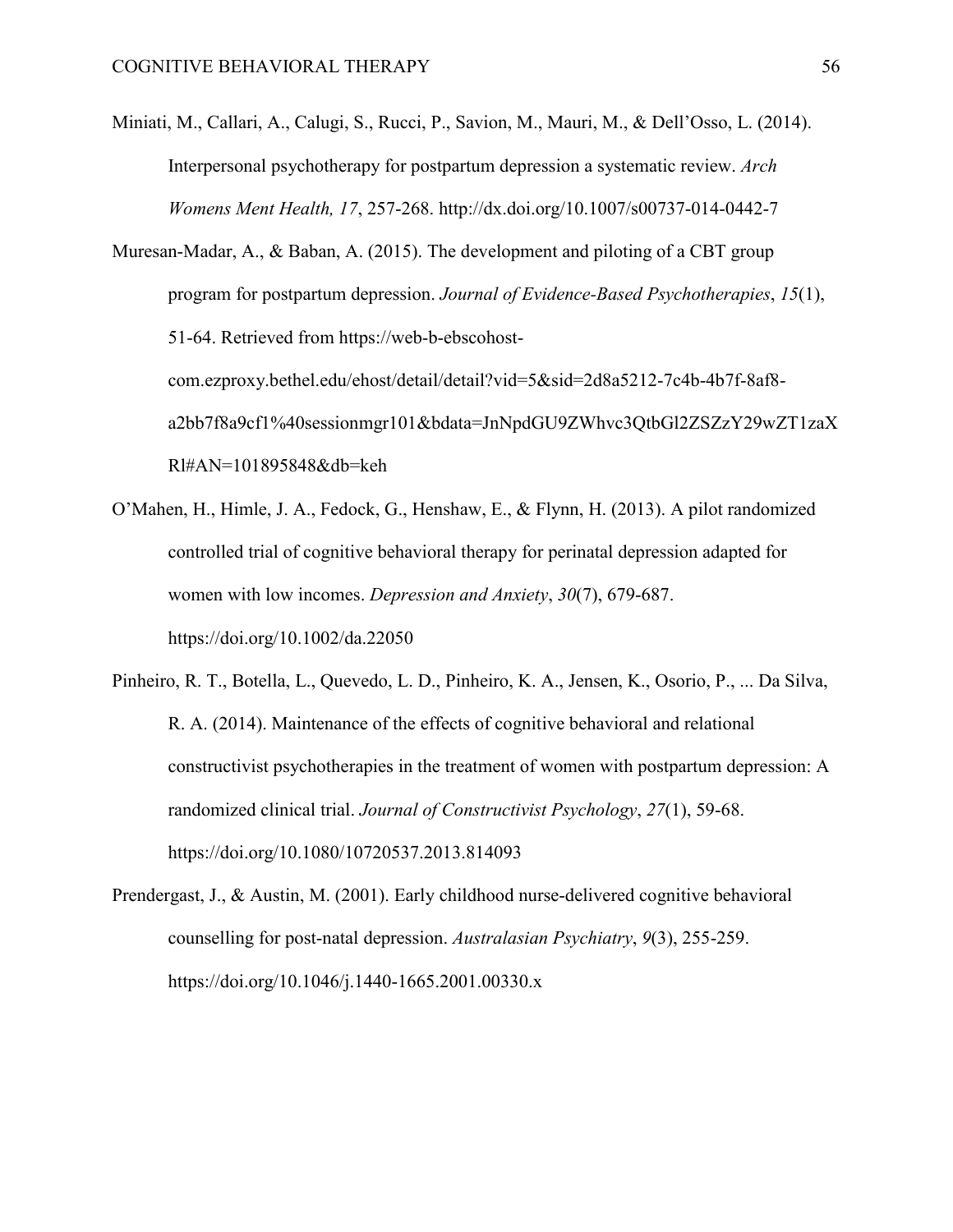Miniati, M., Callari, A., Calugi, S., Rucci, P., Savion, M., Mauri, M., & Dell'Osso, L. (2014). Interpersonal psychotherapy for postpartum depression a systematic review. *Arch Womens Ment Health, 17*, 257-268. http://dx.doi.org/10.1007/s00737-014-0442-7

Muresan-Madar, A., & Baban, A. (2015). The development and piloting of a CBT group program for postpartum depression. *Journal of Evidence-Based Psychotherapies*, *15*(1), 51-64. Retrieved from https://web-b-ebscohostcom.ezproxy.bethel.edu/ehost/detail/detail?vid=5&sid=2d8a5212-7c4b-4b7f-8af8 a2bb7f8a9cf1%40sessionmgr101&bdata=JnNpdGU9ZWhvc3QtbGl2ZSZzY29wZT1zaX Rl#AN=101895848&db=keh

- O'Mahen, H., Himle, J. A., Fedock, G., Henshaw, E., & Flynn, H. (2013). A pilot randomized controlled trial of cognitive behavioral therapy for perinatal depression adapted for women with low incomes. *Depression and Anxiety*, *30*(7), 679-687. https://doi.org/10.1002/da.22050
- Pinheiro, R. T., Botella, L., Quevedo, L. D., Pinheiro, K. A., Jensen, K., Osorio, P., ... Da Silva, R. A. (2014). Maintenance of the effects of cognitive behavioral and relational constructivist psychotherapies in the treatment of women with postpartum depression: A randomized clinical trial. *Journal of Constructivist Psychology*, *27*(1), 59-68. https://doi.org/10.1080/10720537.2013.814093
- Prendergast, J., & Austin, M. (2001). Early childhood nurse-delivered cognitive behavioral counselling for post-natal depression. *Australasian Psychiatry*, *9*(3), 255-259. https://doi.org/10.1046/j.1440-1665.2001.00330.x